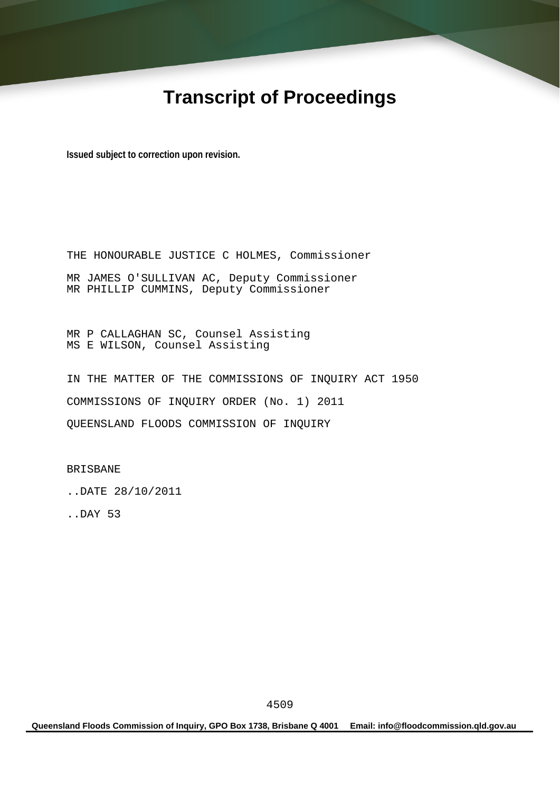# **Transcript of Proceedings**

**Issued subject to correction upon revision.** 

THE HONOURABLE JUSTICE C HOLMES, Commissioner MR JAMES O'SULLIVAN AC, Deputy Commissioner MR PHILLIP CUMMINS, Deputy Commissioner

MR P CALLAGHAN SC, Counsel Assisting MS E WILSON, Counsel Assisting

IN THE MATTER OF THE COMMISSIONS OF INQUIRY ACT 1950 COMMISSIONS OF INQUIRY ORDER (No. 1) 2011 QUEENSLAND FLOODS COMMISSION OF INQUIRY

BRISBANE

..DATE 28/10/2011

..DAY 53

**Queensland Floods Commission of Inquiry, GPO Box 1738, Brisbane Q 4001 Email: info@floodcommission.qld.gov.au**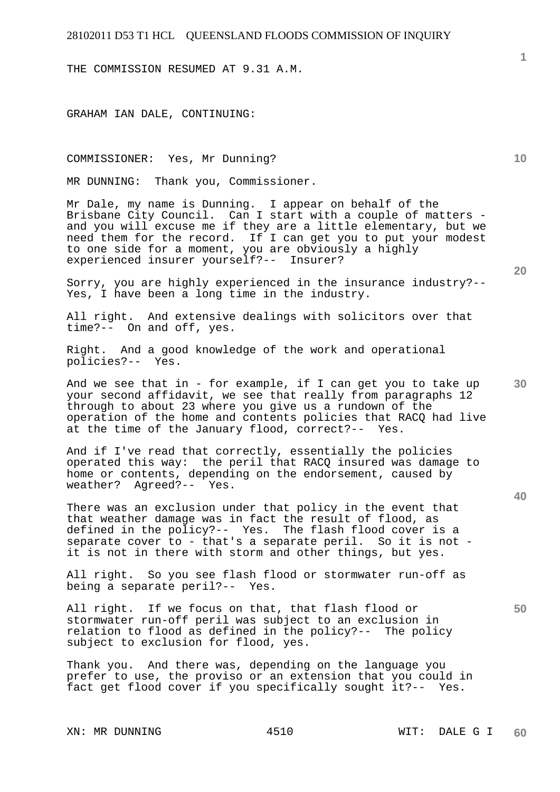THE COMMISSION RESUMED AT 9.31 A.M.

GRAHAM IAN DALE, CONTINUING:

#### COMMISSIONER: Yes, Mr Dunning?

MR DUNNING: Thank you, Commissioner.

Mr Dale, my name is Dunning. I appear on behalf of the Brisbane City Council. Can I start with a couple of matters and you will excuse me if they are a little elementary, but we need them for the record. If I can get you to put your modest to one side for a moment, you are obviously a highly experienced insurer yourself?-- Insurer?

Sorry, you are highly experienced in the insurance industry?-- Yes, I have been a long time in the industry.

All right. And extensive dealings with solicitors over that time?-- On and off, yes.

Right. And a good knowledge of the work and operational policies?-- Yes.

And we see that in - for example, if I can get you to take up your second affidavit, we see that really from paragraphs 12 through to about 23 where you give us a rundown of the operation of the home and contents policies that RACQ had live at the time of the January flood, correct?-- Yes.

And if I've read that correctly, essentially the policies operated this way: the peril that RACQ insured was damage to home or contents, depending on the endorsement, caused by weather? Agreed?-- Yes.

There was an exclusion under that policy in the event that that weather damage was in fact the result of flood, as defined in the policy?-- Yes. The flash flood cover is a separate cover to - that's a separate peril. So it is not it is not in there with storm and other things, but yes.

All right. So you see flash flood or stormwater run-off as being a separate peril?-- Yes.

All right. If we focus on that, that flash flood or stormwater run-off peril was subject to an exclusion in relation to flood as defined in the policy?-- The policy subject to exclusion for flood, yes.

Thank you. And there was, depending on the language you prefer to use, the proviso or an extension that you could in fact get flood cover if you specifically sought it?-- Yes.

**20** 

**10** 

**40**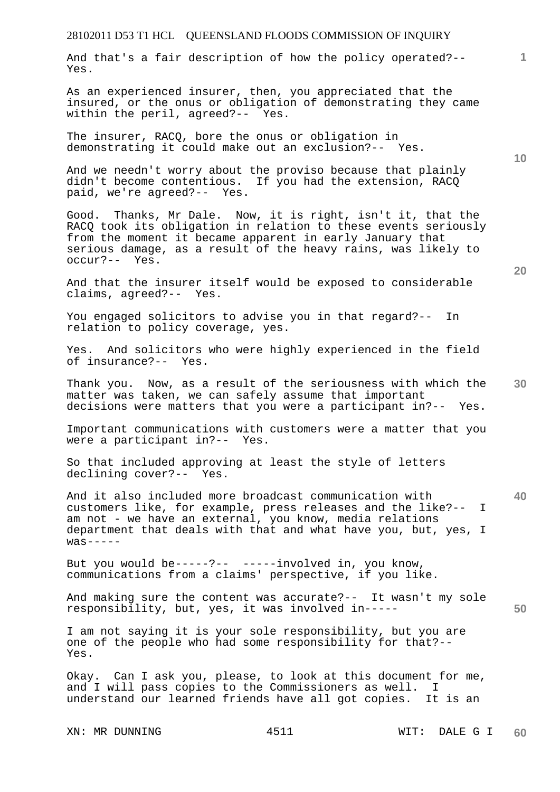And that's a fair description of how the policy operated?-- Yes.

As an experienced insurer, then, you appreciated that the insured, or the onus or obligation of demonstrating they came within the peril, agreed?-- Yes.

The insurer, RACQ, bore the onus or obligation in demonstrating it could make out an exclusion?-- Yes.

And we needn't worry about the proviso because that plainly didn't become contentious. If you had the extension, RACQ paid, we're agreed?-- Yes.

Good. Thanks, Mr Dale. Now, it is right, isn't it, that the RACQ took its obligation in relation to these events seriously from the moment it became apparent in early January that serious damage, as a result of the heavy rains, was likely to occur?-- Yes.

And that the insurer itself would be exposed to considerable claims, agreed?-- Yes.

You engaged solicitors to advise you in that regard?-- In relation to policy coverage, yes.

Yes. And solicitors who were highly experienced in the field of insurance?-- Yes.

**30**  Thank you. Now, as a result of the seriousness with which the matter was taken, we can safely assume that important decisions were matters that you were a participant in?-- Yes.

Important communications with customers were a matter that you were a participant in?-- Yes.

So that included approving at least the style of letters declining cover?-- Yes.

And it also included more broadcast communication with customers like, for example, press releases and the like?-- I am not - we have an external, you know, media relations department that deals with that and what have you, but, yes, I  $was---$ 

But you would be-----?-- -----involved in, you know, communications from a claims' perspective, if you like.

**50**  And making sure the content was accurate?-- It wasn't my sole responsibility, but, yes, it was involved in-----

I am not saying it is your sole responsibility, but you are one of the people who had some responsibility for that?-- Yes.

Okay. Can I ask you, please, to look at this document for me, and I will pass copies to the Commissioners as well. I understand our learned friends have all got copies. It is an

XN: MR DUNNING  $4511$  WIT: DALE G I

**10** 

**20** 

**1**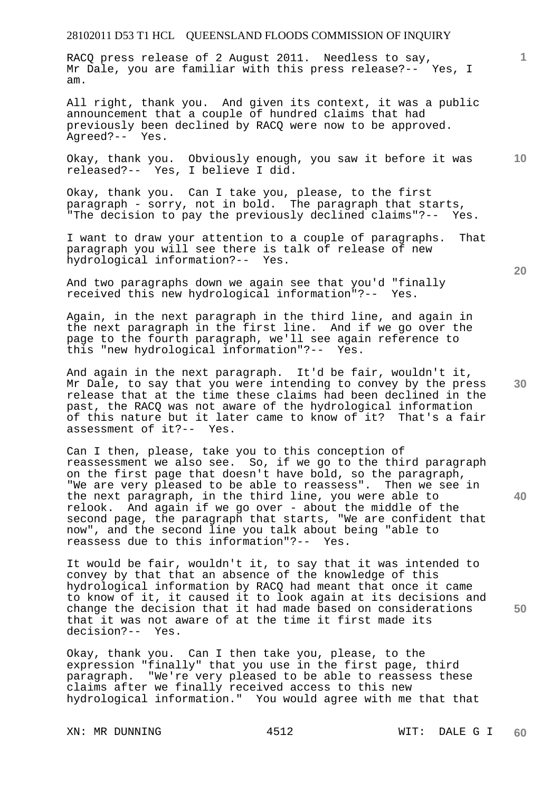RACQ press release of 2 August 2011. Needless to say, Mr Dale, you are familiar with this press release?-- Yes, I am.

All right, thank you. And given its context, it was a public announcement that a couple of hundred claims that had previously been declined by RACQ were now to be approved. Agreed?-- Yes.

**10**  Okay, thank you. Obviously enough, you saw it before it was released?-- Yes, I believe I did.

Okay, thank you. Can I take you, please, to the first paragraph - sorry, not in bold. The paragraph that starts, "The decision to pay the previously declined claims"?-- Yes.

I want to draw your attention to a couple of paragraphs. That paragraph you will see there is talk of release of new hydrological information?-- Yes.

And two paragraphs down we again see that you'd "finally received this new hydrological information"?-- Yes. received this new hydrological information"?--

Again, in the next paragraph in the third line, and again in the next paragraph in the first line. And if we go over the page to the fourth paragraph, we'll see again reference to this "new hydrological information"?-- Yes.

And again in the next paragraph. It'd be fair, wouldn't it, Mr Dale, to say that you were intending to convey by the press release that at the time these claims had been declined in the past, the RACQ was not aware of the hydrological information of this nature but it later came to know of it? That's a fair assessment of it?-- Yes.

Can I then, please, take you to this conception of reassessment we also see. So, if we go to the third paragraph on the first page that doesn't have bold, so the paragraph, "We are very pleased to be able to reassess". Then we see in the next paragraph, in the third line, you were able to relook. And again if we go over - about the middle of the second page, the paragraph that starts, "We are confident that now", and the second line you talk about being "able to reassess due to this information"?-- Yes.

It would be fair, wouldn't it, to say that it was intended to convey by that that an absence of the knowledge of this hydrological information by RACQ had meant that once it came to know of it, it caused it to look again at its decisions and change the decision that it had made based on considerations that it was not aware of at the time it first made its decision?-- Yes.

Okay, thank you. Can I then take you, please, to the expression "finally" that you use in the first page, third paragraph. "We're very pleased to be able to reassess these claims after we finally received access to this new hydrological information." You would agree with me that that

**20** 

**1**

**30** 

**40**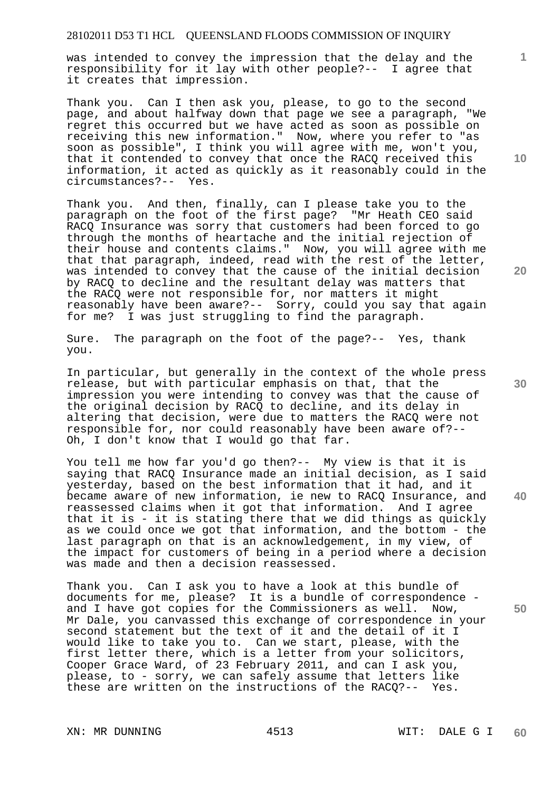was intended to convey the impression that the delay and the responsibility for it lay with other people?-- I agree that it creates that impression.

Thank you. Can I then ask you, please, to go to the second page, and about halfway down that page we see a paragraph, "We regret this occurred but we have acted as soon as possible on receiving this new information." Now, where you refer to "as soon as possible", I think you will agree with me, won't you, that it contended to convey that once the RACQ received this information, it acted as quickly as it reasonably could in the circumstances?-- Yes.

Thank you. And then, finally, can I please take you to the paragraph on the foot of the first page? "Mr Heath CEO said RACQ Insurance was sorry that customers had been forced to go through the months of heartache and the initial rejection of their house and contents claims." Now, you will agree with me that that paragraph, indeed, read with the rest of the letter, was intended to convey that the cause of the initial decision by RACQ to decline and the resultant delay was matters that the RACQ were not responsible for, nor matters it might reasonably have been aware?-- Sorry, could you say that again for me? I was just struggling to find the paragraph.

Sure. The paragraph on the foot of the page?-- Yes, thank you.

In particular, but generally in the context of the whole press release, but with particular emphasis on that, that the impression you were intending to convey was that the cause of the original decision by RACQ to decline, and its delay in altering that decision, were due to matters the RACQ were not responsible for, nor could reasonably have been aware of?-- Oh, I don't know that I would go that far.

You tell me how far you'd go then?-- My view is that it is saying that RACQ Insurance made an initial decision, as I said yesterday, based on the best information that it had, and it became aware of new information, ie new to RACQ Insurance, and reassessed claims when it got that information. And I agree that it is - it is stating there that we did things as quickly as we could once we got that information, and the bottom - the last paragraph on that is an acknowledgement, in my view, of the impact for customers of being in a period where a decision was made and then a decision reassessed.

Thank you. Can I ask you to have a look at this bundle of documents for me, please? It is a bundle of correspondence and I have got copies for the Commissioners as well. Now, Mr Dale, you canvassed this exchange of correspondence in your second statement but the text of it and the detail of it I would like to take you to. Can we start, please, with the first letter there, which is a letter from your solicitors, Cooper Grace Ward, of 23 February 2011, and can I ask you, please, to - sorry, we can safely assume that letters like these are written on the instructions of the RACQ?-- Yes.

XN: MR DUNNING  $4513$  WIT: DALE G I

**10** 

**1**

**30** 

**20** 

**40**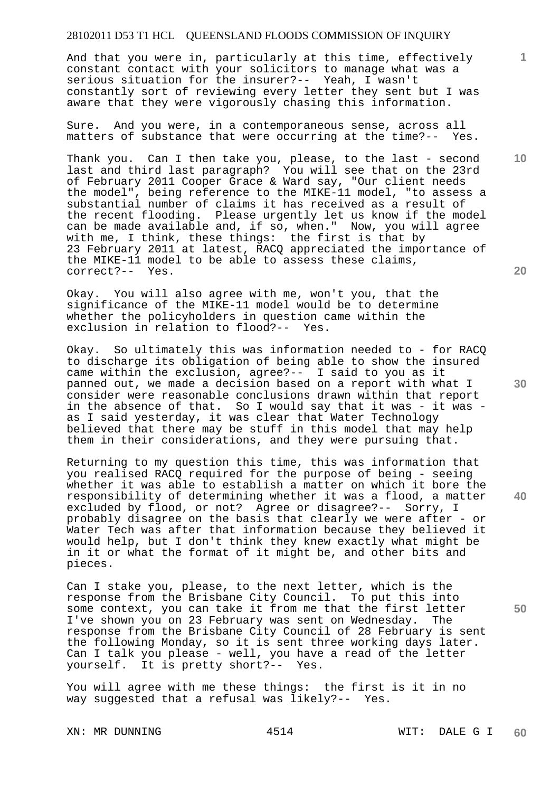And that you were in, particularly at this time, effectively constant contact with your solicitors to manage what was a serious situation for the insurer?-- Yeah, I wasn't constantly sort of reviewing every letter they sent but I was aware that they were vigorously chasing this information.

Sure. And you were, in a contemporaneous sense, across all matters of substance that were occurring at the time?-- Yes.

Thank you. Can I then take you, please, to the last - second last and third last paragraph? You will see that on the 23rd of February 2011 Cooper Grace & Ward say, "Our client needs the model", being reference to the MIKE-11 model, "to assess a substantial number of claims it has received as a result of the recent flooding. Please urgently let us know if the model can be made available and, if so, when." Now, you will agree with me, I think, these things: the first is that by 23 February 2011 at latest, RACQ appreciated the importance of the MIKE-11 model to be able to assess these claims, correct?-- Yes.

Okay. You will also agree with me, won't you, that the significance of the MIKE-11 model would be to determine whether the policyholders in question came within the exclusion in relation to flood?-- Yes.

Okay. So ultimately this was information needed to - for RACQ to discharge its obligation of being able to show the insured came within the exclusion, agree?-- I said to you as it panned out, we made a decision based on a report with what I consider were reasonable conclusions drawn within that report in the absence of that. So I would say that it was - it was as I said yesterday, it was clear that Water Technology believed that there may be stuff in this model that may help them in their considerations, and they were pursuing that.

Returning to my question this time, this was information that you realised RACQ required for the purpose of being - seeing whether it was able to establish a matter on which it bore the responsibility of determining whether it was a flood, a matter excluded by flood, or not? Agree or disagree?-- Sorry, I probably disagree on the basis that clearly we were after - or Water Tech was after that information because they believed it would help, but I don't think they knew exactly what might be in it or what the format of it might be, and other bits and pieces.

Can I stake you, please, to the next letter, which is the response from the Brisbane City Council. To put this into some context, you can take it from me that the first letter I've shown you on 23 February was sent on Wednesday. The response from the Brisbane City Council of 28 February is sent the following Monday, so it is sent three working days later. Can I talk you please - well, you have a read of the letter yourself. It is pretty short?-- Yes.

You will agree with me these things: the first is it in no way suggested that a refusal was likely?-- Yes.

XN: MR DUNNING  $4514$  WIT: DALE G I

**20** 

**10** 

**30** 

**40** 

**50**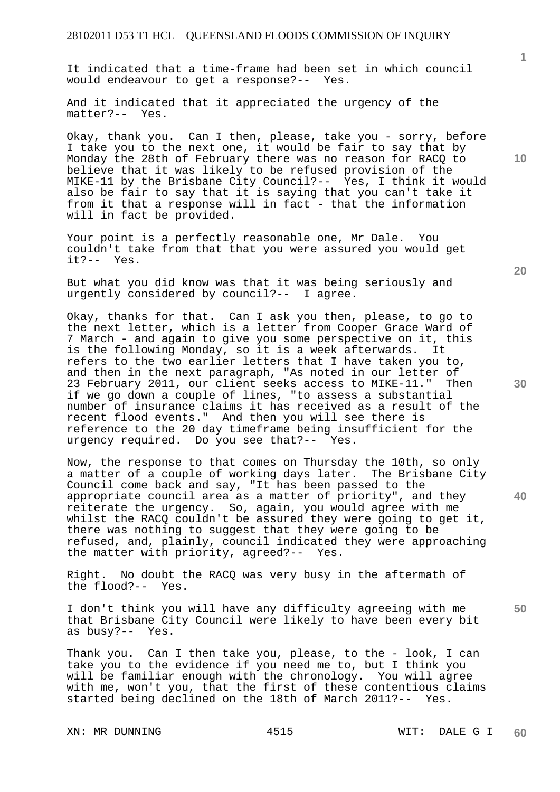It indicated that a time-frame had been set in which council would endeavour to get a response?-- Yes.

And it indicated that it appreciated the urgency of the matter?-- Yes.

Okay, thank you. Can I then, please, take you - sorry, before I take you to the next one, it would be fair to say that by Monday the 28th of February there was no reason for RACQ to believe that it was likely to be refused provision of the MIKE-11 by the Brisbane City Council?-- Yes, I think it would also be fair to say that it is saying that you can't take it from it that a response will in fact - that the information will in fact be provided.

Your point is a perfectly reasonable one, Mr Dale. You couldn't take from that that you were assured you would get it?-- Yes.

But what you did know was that it was being seriously and urgently considered by council?-- I agree.

Okay, thanks for that. Can I ask you then, please, to go to the next letter, which is a letter from Cooper Grace Ward of 7 March - and again to give you some perspective on it, this is the following Monday, so it is a week afterwards. It refers to the two earlier letters that I have taken you to, and then in the next paragraph, "As noted in our letter of 23 February 2011, our client seeks access to MIKE-11." Then if we go down a couple of lines, "to assess a substantial number of insurance claims it has received as a result of the recent flood events." And then you will see there is reference to the 20 day timeframe being insufficient for the urgency required. Do you see that?-- Yes.

Now, the response to that comes on Thursday the 10th, so only a matter of a couple of working days later. The Brisbane City Council come back and say, "It has been passed to the appropriate council area as a matter of priority", and they reiterate the urgency. So, again, you would agree with me whilst the RACQ couldn't be assured they were going to get it, there was nothing to suggest that they were going to be refused, and, plainly, council indicated they were approaching the matter with priority, agreed?-- Yes.

Right. No doubt the RACQ was very busy in the aftermath of the flood?-- Yes.

I don't think you will have any difficulty agreeing with me that Brisbane City Council were likely to have been every bit as busy?-- Yes.

Thank you. Can I then take you, please, to the - look, I can take you to the evidence if you need me to, but I think you will be familiar enough with the chronology. You will agree with me, won't you, that the first of these contentious claims started being declined on the 18th of March 2011?-- Yes.

XN: MR DUNNING  $4515$  WIT: DALE G I

**10** 

**1**

**20** 

**30** 

**40**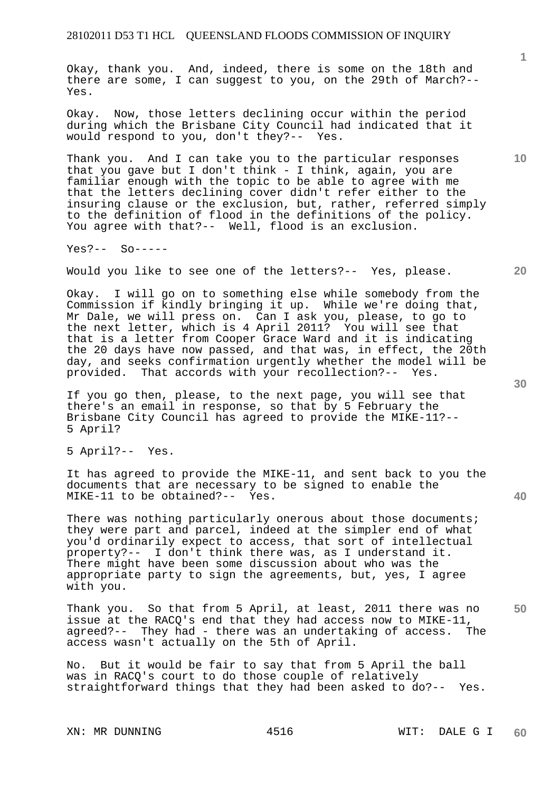Okay, thank you. And, indeed, there is some on the 18th and there are some, I can suggest to you, on the 29th of March?-- Yes.

Okay. Now, those letters declining occur within the period during which the Brisbane City Council had indicated that it would respond to you, don't they?-- Yes.

Thank you. And I can take you to the particular responses that you gave but I don't think - I think, again, you are familiar enough with the topic to be able to agree with me that the letters declining cover didn't refer either to the insuring clause or the exclusion, but, rather, referred simply to the definition of flood in the definitions of the policy. You agree with that?-- Well, flood is an exclusion.

Yes?-- So-----

Would you like to see one of the letters?-- Yes, please.

Okay. I will go on to something else while somebody from the Commission if kindly bringing it up. While we're doing that, Mr Dale, we will press on. Can I ask you, please, to go to the next letter, which is 4 April 2011? You will see that that is a letter from Cooper Grace Ward and it is indicating the 20 days have now passed, and that was, in effect, the 20th day, and seeks confirmation urgently whether the model will be provided. That accords with your recollection?-- Yes.

If you go then, please, to the next page, you will see that there's an email in response, so that by 5 February the Brisbane City Council has agreed to provide the MIKE-11?-- 5 April?

5 April?-- Yes.

It has agreed to provide the MIKE-11, and sent back to you the documents that are necessary to be signed to enable the MIKE-11 to be obtained?-- Yes.

There was nothing particularly onerous about those documents; they were part and parcel, indeed at the simpler end of what you'd ordinarily expect to access, that sort of intellectual property?-- I don't think there was, as I understand it. There might have been some discussion about who was the appropriate party to sign the agreements, but, yes, I agree with you.

**50**  Thank you. So that from 5 April, at least, 2011 there was no issue at the RACQ's end that they had access now to MIKE-11, agreed?-- They had - there was an undertaking of access. The access wasn't actually on the 5th of April.

No. But it would be fair to say that from 5 April the ball was in RACQ's court to do those couple of relatively straightforward things that they had been asked to do?-- Yes.

**10** 

**1**

**30**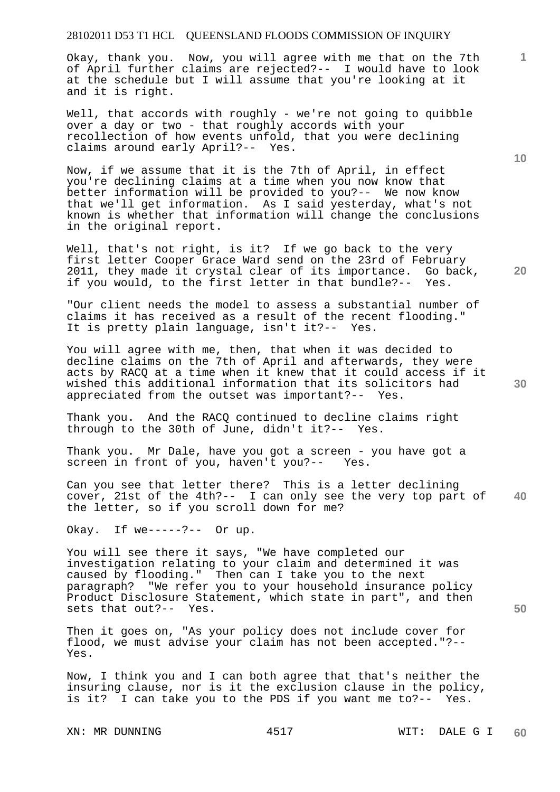Okay, thank you. Now, you will agree with me that on the 7th of April further claims are rejected?-- I would have to look at the schedule but I will assume that you're looking at it and it is right.

Well, that accords with roughly - we're not going to quibble over a day or two - that roughly accords with your recollection of how events unfold, that you were declining claims around early April?-- Yes.

Now, if we assume that it is the 7th of April, in effect you're declining claims at a time when you now know that better information will be provided to you?-- We now know that we'll get information. As I said yesterday, what's not known is whether that information will change the conclusions in the original report.

Well, that's not right, is it? If we go back to the very first letter Cooper Grace Ward send on the 23rd of February 2011, they made it crystal clear of its importance. Go back, if you would, to the first letter in that bundle?-- Yes.

"Our client needs the model to assess a substantial number of claims it has received as a result of the recent flooding." It is pretty plain language, isn't it?-- Yes.

You will agree with me, then, that when it was decided to decline claims on the 7th of April and afterwards, they were acts by RACQ at a time when it knew that it could access if it wished this additional information that its solicitors had appreciated from the outset was important?-- Yes.

Thank you. And the RACQ continued to decline claims right through to the 30th of June, didn't it?-- Yes.

Thank you. Mr Dale, have you got a screen - you have got a screen in front of you, haven't you?-- Yes.

**40**  Can you see that letter there? This is a letter declining cover, 21st of the 4th?-- I can only see the very top part of the letter, so if you scroll down for me?

Okay. If we-----?-- Or up.

You will see there it says, "We have completed our investigation relating to your claim and determined it was caused by flooding." Then can I take you to the next paragraph? "We refer you to your household insurance policy Product Disclosure Statement, which state in part", and then sets that out?-- Yes.

Then it goes on, "As your policy does not include cover for flood, we must advise your claim has not been accepted."?-- Yes.

Now, I think you and I can both agree that that's neither the insuring clause, nor is it the exclusion clause in the policy, is it? I can take you to the PDS if you want me to?-- Yes.

XN: MR DUNNING  $4517$  WIT: DALE G I

**10** 

**1**

**20**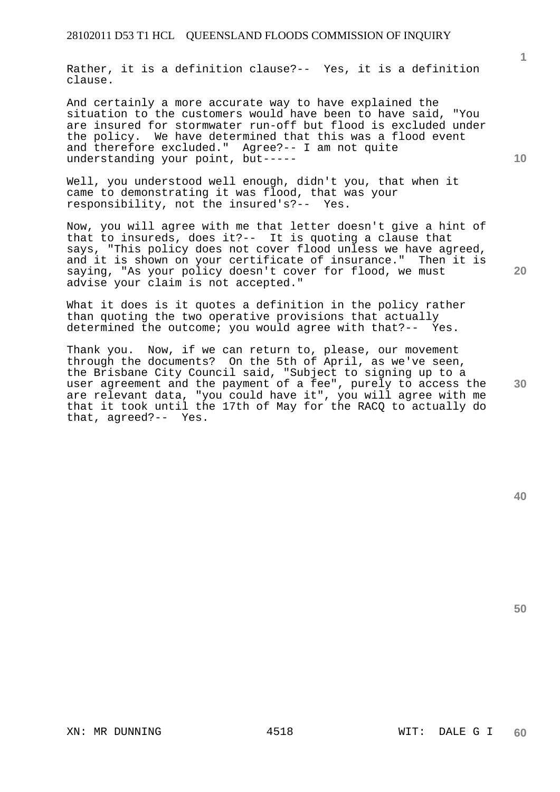Rather, it is a definition clause?-- Yes, it is a definition clause.

And certainly a more accurate way to have explained the situation to the customers would have been to have said, "You are insured for stormwater run-off but flood is excluded under the policy. We have determined that this was a flood event and therefore excluded." Agree?-- I am not quite understanding your point, but-----

Well, you understood well enough, didn't you, that when it came to demonstrating it was flood, that was your responsibility, not the insured's?-- Yes.

Now, you will agree with me that letter doesn't give a hint of that to insureds, does it?-- It is quoting a clause that says, "This policy does not cover flood unless we have agreed, and it is shown on your certificate of insurance." Then it is saying, "As your policy doesn't cover for flood, we must advise your claim is not accepted."

What it does is it quotes a definition in the policy rather than quoting the two operative provisions that actually determined the outcome; you would agree with that?-- Yes.

**30**  Thank you. Now, if we can return to, please, our movement through the documents? On the 5th of April, as we've seen, the Brisbane City Council said, "Subject to signing up to a user agreement and the payment of a fee", purely to access the are relevant data, "you could have it", you will agree with me that it took until the 17th of May for the RACQ to actually do that, agreed?-- Yes.

**50** 

**1**

**20**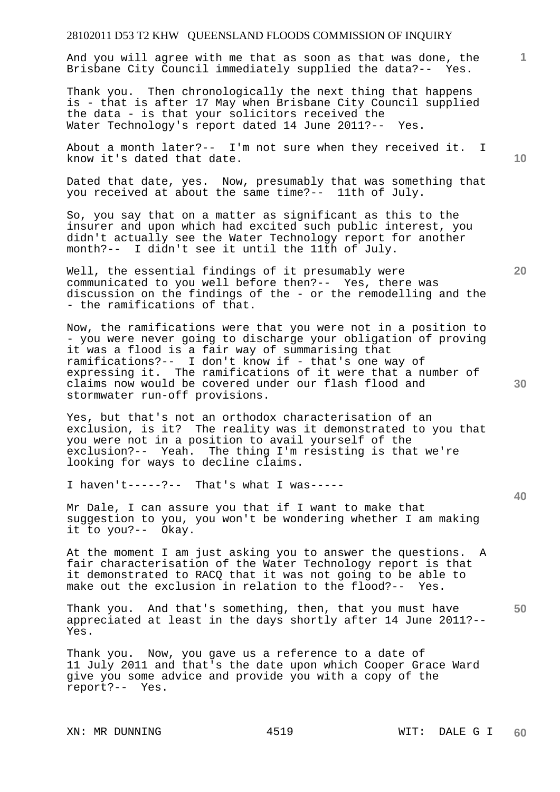And you will agree with me that as soon as that was done, the Brisbane City Council immediately supplied the data?-- Yes.

Thank you. Then chronologically the next thing that happens is - that is after 17 May when Brisbane City Council supplied the data - is that your solicitors received the Water Technology's report dated 14 June 2011?-- Yes.

About a month later?-- I'm not sure when they received it. I know it's dated that date.

Dated that date, yes. Now, presumably that was something that you received at about the same time?-- 11th of July.

So, you say that on a matter as significant as this to the insurer and upon which had excited such public interest, you didn't actually see the Water Technology report for another month?-- I didn't see it until the 11th of July.

Well, the essential findings of it presumably were communicated to you well before then?-- Yes, there was discussion on the findings of the - or the remodelling and the - the ramifications of that.

Now, the ramifications were that you were not in a position to - you were never going to discharge your obligation of proving it was a flood is a fair way of summarising that ramifications?-- I don't know if - that's one way of expressing it. The ramifications of it were that a number of claims now would be covered under our flash flood and stormwater run-off provisions.

Yes, but that's not an orthodox characterisation of an exclusion, is it? The reality was it demonstrated to you that you were not in a position to avail yourself of the exclusion?-- Yeah. The thing I'm resisting is that we're looking for ways to decline claims.

I haven't-----?-- That's what I was-----

Mr Dale, I can assure you that if I want to make that suggestion to you, you won't be wondering whether I am making it to you?-- Okay.

At the moment I am just asking you to answer the questions. A fair characterisation of the Water Technology report is that it demonstrated to RACQ that it was not going to be able to make out the exclusion in relation to the flood?-- Yes.

**50**  Thank you. And that's something, then, that you must have appreciated at least in the days shortly after 14 June 2011?-- Yes.

Thank you. Now, you gave us a reference to a date of 11 July 2011 and that's the date upon which Cooper Grace Ward give you some advice and provide you with a copy of the report?-- Yes.

**10** 

**1**

**20**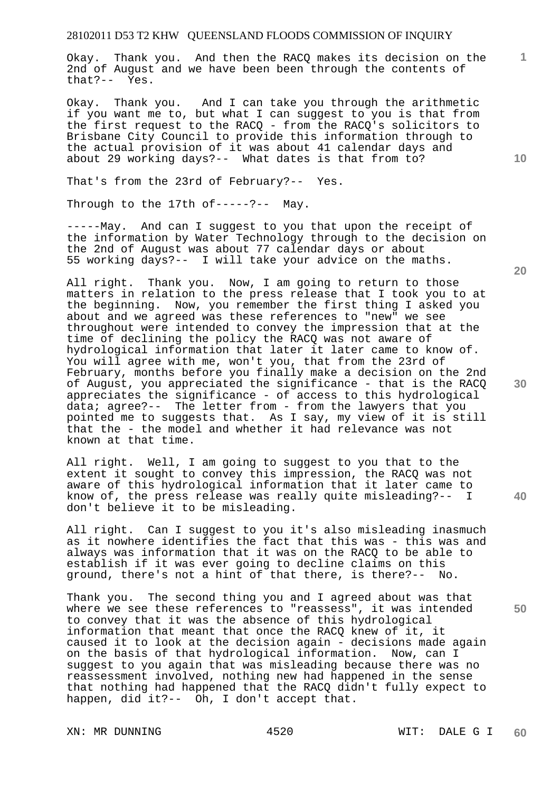Okay. Thank you. And then the RACQ makes its decision on the 2nd of August and we have been been through the contents of that?-- Yes.

Okay. Thank you. And I can take you through the arithmetic if you want me to, but what I can suggest to you is that from the first request to the RACQ - from the RACQ's solicitors to Brisbane City Council to provide this information through to the actual provision of it was about 41 calendar days and about 29 working days?-- What dates is that from to?

That's from the 23rd of February?-- Yes.

Through to the 17th of-----?-- May.

-----May. And can I suggest to you that upon the receipt of the information by Water Technology through to the decision on the 2nd of August was about 77 calendar days or about 55 working days?-- I will take your advice on the maths.

All right. Thank you. Now, I am going to return to those matters in relation to the press release that I took you to at the beginning. Now, you remember the first thing I asked you about and we agreed was these references to "new" we see throughout were intended to convey the impression that at the time of declining the policy the RACQ was not aware of hydrological information that later it later came to know of. You will agree with me, won't you, that from the 23rd of February, months before you finally make a decision on the 2nd of August, you appreciated the significance - that is the RACQ appreciates the significance - of access to this hydrological data; agree?-- The letter from - from the lawyers that you pointed me to suggests that. As I say, my view of it is still that the - the model and whether it had relevance was not known at that time.

All right. Well, I am going to suggest to you that to the extent it sought to convey this impression, the RACQ was not aware of this hydrological information that it later came to know of, the press release was really quite misleading?-- I don't believe it to be misleading.

All right. Can I suggest to you it's also misleading inasmuch as it nowhere identifies the fact that this was - this was and always was information that it was on the RACQ to be able to establish if it was ever going to decline claims on this ground, there's not a hint of that there, is there?-- No.

Thank you. The second thing you and I agreed about was that where we see these references to "reassess", it was intended to convey that it was the absence of this hydrological information that meant that once the RACQ knew of it, it caused it to look at the decision again - decisions made again on the basis of that hydrological information. Now, can I suggest to you again that was misleading because there was no reassessment involved, nothing new had happened in the sense that nothing had happened that the RACQ didn't fully expect to happen, did it?-- Oh, I don't accept that.

XN: MR DUNNING  $4520$  WIT: DALE G I

**20** 

**1**

**10** 

**40** 

**30**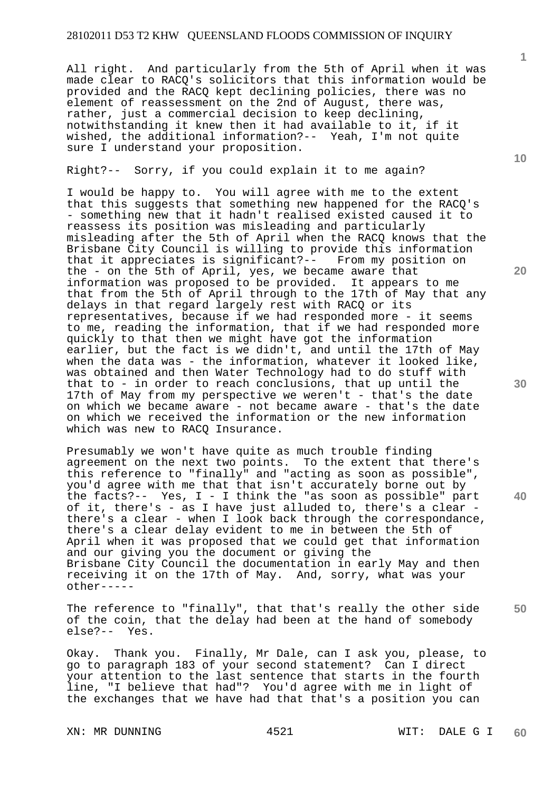All right. And particularly from the 5th of April when it was made clear to RACQ's solicitors that this information would be provided and the RACQ kept declining policies, there was no element of reassessment on the 2nd of August, there was, rather, just a commercial decision to keep declining, notwithstanding it knew then it had available to it, if it wished, the additional information?-- Yeah, I'm not quite sure I understand your proposition.

Right?-- Sorry, if you could explain it to me again?

I would be happy to. You will agree with me to the extent that this suggests that something new happened for the RACQ's - something new that it hadn't realised existed caused it to reassess its position was misleading and particularly misleading after the 5th of April when the RACQ knows that the Brisbane City Council is willing to provide this information that it appreciates is significant?-- From my position on the - on the 5th of April, yes, we became aware that information was proposed to be provided. It appears to me that from the 5th of April through to the 17th of May that any delays in that regard largely rest with RACQ or its representatives, because if we had responded more - it seems to me, reading the information, that if we had responded more quickly to that then we might have got the information earlier, but the fact is we didn't, and until the 17th of May when the data was - the information, whatever it looked like, was obtained and then Water Technology had to do stuff with that to - in order to reach conclusions, that up until the 17th of May from my perspective we weren't - that's the date on which we became aware - not became aware - that's the date on which we received the information or the new information which was new to RACO Insurance.

Presumably we won't have quite as much trouble finding agreement on the next two points. To the extent that there's this reference to "finally" and "acting as soon as possible", you'd agree with me that that isn't accurately borne out by the facts?-- Yes, I - I think the "as soon as possible" part of it, there's - as I have just alluded to, there's a clear there's a clear - when I look back through the correspondance, there's a clear delay evident to me in between the 5th of April when it was proposed that we could get that information and our giving you the document or giving the Brisbane City Council the documentation in early May and then receiving it on the 17th of May. And, sorry, what was your other-----

**50**  The reference to "finally", that that's really the other side of the coin, that the delay had been at the hand of somebody else?-- Yes.

Okay. Thank you. Finally, Mr Dale, can I ask you, please, to go to paragraph 183 of your second statement? Can I direct your attention to the last sentence that starts in the fourth line, "I believe that had"? You'd agree with me in light of the exchanges that we have had that that's a position you can

XN: MR DUNNING  $4521$  WIT: DALE G I

**10** 

**1**

**20**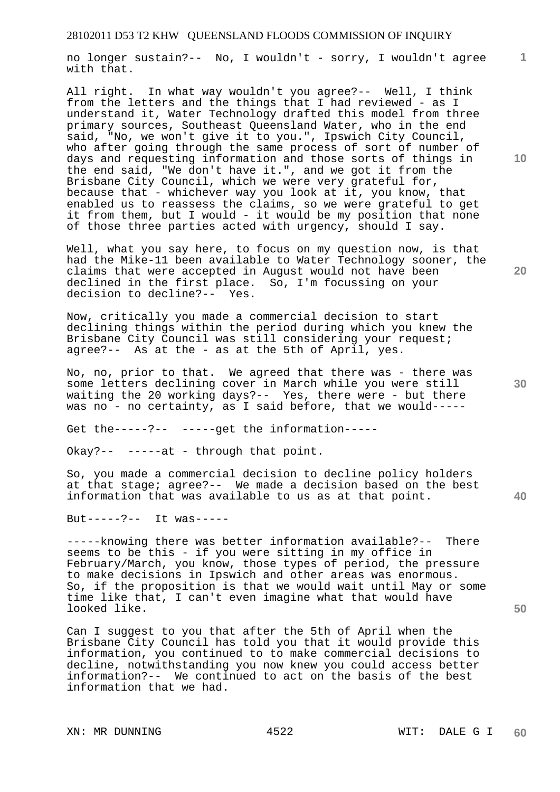no longer sustain?-- No, I wouldn't - sorry, I wouldn't agree with that.

All right. In what way wouldn't you agree?-- Well, I think from the letters and the things that I had reviewed - as I understand it, Water Technology drafted this model from three primary sources, Southeast Queensland Water, who in the end said, "No, we won't give it to you.", Ipswich City Council, who after going through the same process of sort of number of days and requesting information and those sorts of things in the end said, "We don't have it.", and we got it from the Brisbane City Council, which we were very grateful for, because that - whichever way you look at it, you know, that enabled us to reassess the claims, so we were grateful to get it from them, but I would - it would be my position that none of those three parties acted with urgency, should I say.

Well, what you say here, to focus on my question now, is that had the Mike-11 been available to Water Technology sooner, the claims that were accepted in August would not have been declined in the first place. So, I'm focussing on your decision to decline?-- Yes.

Now, critically you made a commercial decision to start declining things within the period during which you knew the Brisbane City Council was still considering your request; agree?-- As at the - as at the 5th of April, yes.

No, no, prior to that. We agreed that there was - there was some letters declining cover in March while you were still waiting the 20 working days?-- Yes, there were - but there was no - no certainty, as I said before, that we would-----

Get the-----?-- -----get the information-----

Okay?-- -----at - through that point.

So, you made a commercial decision to decline policy holders at that stage; agree?-- We made a decision based on the best information that was available to us as at that point.

But-----?-- It was-----

-----knowing there was better information available?-- There seems to be this - if you were sitting in my office in February/March, you know, those types of period, the pressure to make decisions in Ipswich and other areas was enormous. So, if the proposition is that we would wait until May or some time like that, I can't even imagine what that would have looked like.

Can I suggest to you that after the 5th of April when the Brisbane City Council has told you that it would provide this information, you continued to to make commercial decisions to decline, notwithstanding you now knew you could access better information?-- We continued to act on the basis of the best information that we had.

**10** 

**1**

**20** 

**30**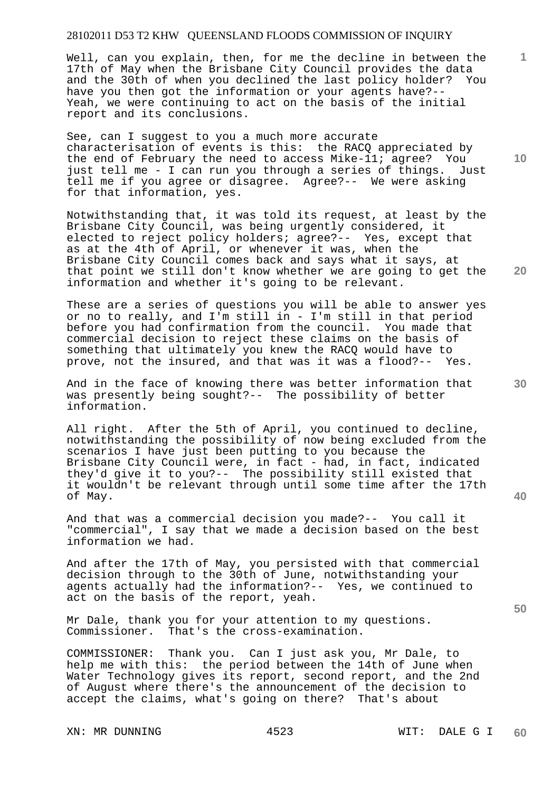Well, can you explain, then, for me the decline in between the 17th of May when the Brisbane City Council provides the data and the 30th of when you declined the last policy holder? You have you then got the information or your agents have?-- Yeah, we were continuing to act on the basis of the initial report and its conclusions.

See, can I suggest to you a much more accurate characterisation of events is this: the RACQ appreciated by the end of February the need to access Mike-11; agree? You just tell me - I can run you through a series of things. Just tell me if you agree or disagree. Agree?-- We were asking for that information, yes.

Notwithstanding that, it was told its request, at least by the Brisbane City Council, was being urgently considered, it elected to reject policy holders; agree?-- Yes, except that as at the 4th of April, or whenever it was, when the Brisbane City Council comes back and says what it says, at that point we still don't know whether we are going to get the information and whether it's going to be relevant.

These are a series of questions you will be able to answer yes or no to really, and I'm still in - I'm still in that period before you had confirmation from the council. You made that commercial decision to reject these claims on the basis of something that ultimately you knew the RACQ would have to prove, not the insured, and that was it was a flood?-- Yes.

And in the face of knowing there was better information that was presently being sought?-- The possibility of better information.

All right. After the 5th of April, you continued to decline, notwithstanding the possibility of now being excluded from the scenarios I have just been putting to you because the Brisbane City Council were, in fact - had, in fact, indicated they'd give it to you?-- The possibility still existed that it wouldn't be relevant through until some time after the 17th of May.

And that was a commercial decision you made?-- You call it "commercial", I say that we made a decision based on the best information we had.

And after the 17th of May, you persisted with that commercial decision through to the 30th of June, notwithstanding your agents actually had the information?-- Yes, we continued to act on the basis of the report, yeah.

Mr Dale, thank you for your attention to my questions. Commissioner. That's the cross-examination.

COMMISSIONER: Thank you. Can I just ask you, Mr Dale, to help me with this: the period between the 14th of June when Water Technology gives its report, second report, and the 2nd of August where there's the announcement of the decision to accept the claims, what's going on there? That's about

XN: MR DUNNING 4523 WIT: DALE G I

**10** 

**1**

**20** 

**30** 

**50**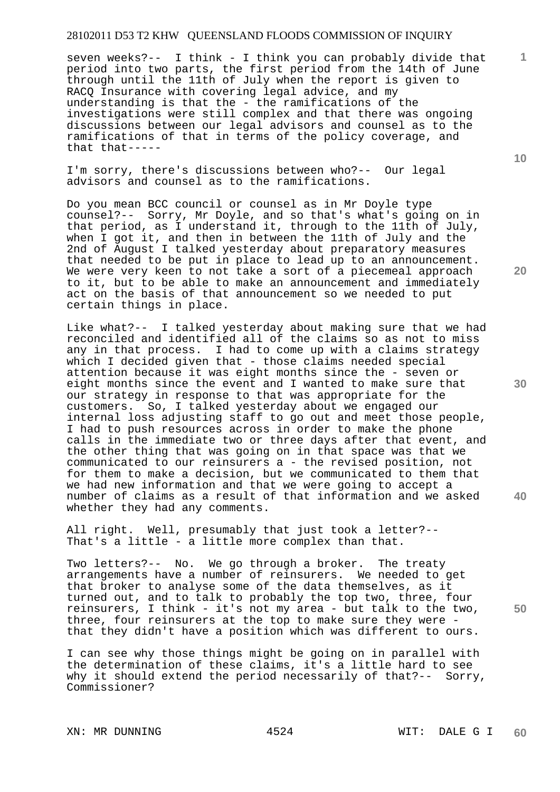seven weeks?-- I think - I think you can probably divide that period into two parts, the first period from the 14th of June through until the 11th of July when the report is given to RACQ Insurance with covering legal advice, and my understanding is that the - the ramifications of the investigations were still complex and that there was ongoing discussions between our legal advisors and counsel as to the ramifications of that in terms of the policy coverage, and that that-----

I'm sorry, there's discussions between who?-- Our legal advisors and counsel as to the ramifications.

Do you mean BCC council or counsel as in Mr Doyle type counsel?-- Sorry, Mr Doyle, and so that's what's going on in that period, as I understand it, through to the 11th of July, when I got it, and then in between the 11th of July and the 2nd of August I talked yesterday about preparatory measures that needed to be put in place to lead up to an announcement. We were very keen to not take a sort of a piecemeal approach to it, but to be able to make an announcement and immediately act on the basis of that announcement so we needed to put certain things in place.

Like what?-- I talked yesterday about making sure that we had reconciled and identified all of the claims so as not to miss any in that process. I had to come up with a claims strategy which I decided given that - those claims needed special attention because it was eight months since the - seven or eight months since the event and I wanted to make sure that our strategy in response to that was appropriate for the customers. So, I talked yesterday about we engaged our internal loss adjusting staff to go out and meet those people, I had to push resources across in order to make the phone calls in the immediate two or three days after that event, and the other thing that was going on in that space was that we communicated to our reinsurers a - the revised position, not for them to make a decision, but we communicated to them that we had new information and that we were going to accept a number of claims as a result of that information and we asked whether they had any comments.

All right. Well, presumably that just took a letter?-- That's a little - a little more complex than that.

Two letters?-- No. We go through a broker. The treaty arrangements have a number of reinsurers. We needed to get that broker to analyse some of the data themselves, as it turned out, and to talk to probably the top two, three, four reinsurers, I think - it's not my area - but talk to the two, three, four reinsurers at the top to make sure they were that they didn't have a position which was different to ours.

I can see why those things might be going on in parallel with the determination of these claims, it's a little hard to see why it should extend the period necessarily of that?-- Sorry, Commissioner?

**10** 

**1**

**20** 

**30** 

**50**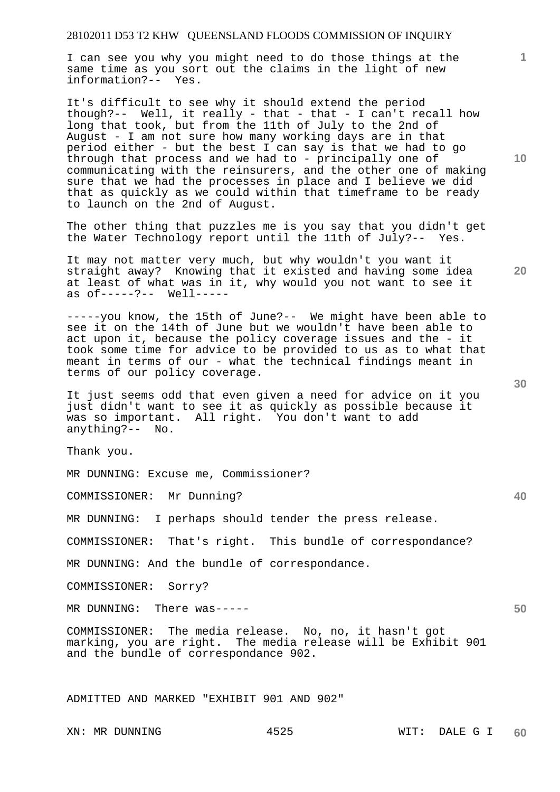I can see you why you might need to do those things at the same time as you sort out the claims in the light of new information?-- Yes.

It's difficult to see why it should extend the period though?-- Well, it really - that - that - I can't recall how long that took, but from the 11th of July to the 2nd of August - I am not sure how many working days are in that period either - but the best I can say is that we had to go through that process and we had to - principally one of communicating with the reinsurers, and the other one of making sure that we had the processes in place and I believe we did that as quickly as we could within that timeframe to be ready to launch on the 2nd of August.

The other thing that puzzles me is you say that you didn't get the Water Technology report until the 11th of July?-- Yes.

It may not matter very much, but why wouldn't you want it straight away? Knowing that it existed and having some idea at least of what was in it, why would you not want to see it as of-----?-- Well-----

-----you know, the 15th of June?-- We might have been able to see it on the 14th of June but we wouldn't have been able to act upon it, because the policy coverage issues and the - it took some time for advice to be provided to us as to what that meant in terms of our - what the technical findings meant in terms of our policy coverage.

It just seems odd that even given a need for advice on it you just didn't want to see it as quickly as possible because it was so important. All right. You don't want to add anything?-- No.

Thank you.

MR DUNNING: Excuse me, Commissioner?

COMMISSIONER: Mr Dunning?

MR DUNNING: I perhaps should tender the press release.

COMMISSIONER: That's right. This bundle of correspondance?

MR DUNNING: And the bundle of correspondance.

COMMISSIONER: Sorry?

MR DUNNING: There was-----

COMMISSIONER: The media release. No, no, it hasn't got marking, you are right. The media release will be Exhibit 901 and the bundle of correspondance 902.

ADMITTED AND MARKED "EXHIBIT 901 AND 902"

**10** 

**20** 

**1**

**50**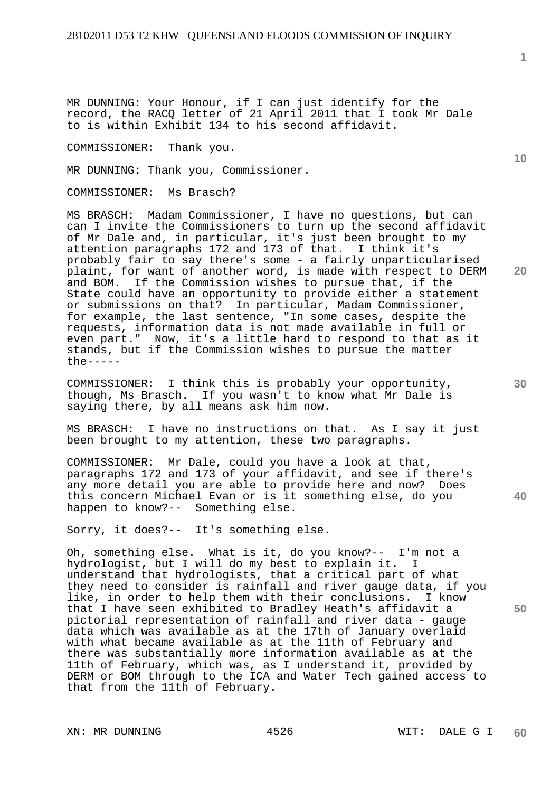MR DUNNING: Your Honour, if I can just identify for the record, the RACQ letter of 21 April 2011 that I took Mr Dale to is within Exhibit 134 to his second affidavit.

COMMISSIONER: Thank you.

MR DUNNING: Thank you, Commissioner.

COMMISSIONER: Ms Brasch?

MS BRASCH: Madam Commissioner, I have no questions, but can can I invite the Commissioners to turn up the second affidavit of Mr Dale and, in particular, it's just been brought to my attention paragraphs 172 and 173 of that. I think it's probably fair to say there's some - a fairly unparticularised plaint, for want of another word, is made with respect to DERM and BOM. If the Commission wishes to pursue that, if the State could have an opportunity to provide either a statement or submissions on that? In particular, Madam Commissioner, for example, the last sentence, "In some cases, despite the requests, information data is not made available in full or even part." Now, it's a little hard to respond to that as it stands, but if the Commission wishes to pursue the matter the-----

COMMISSIONER: I think this is probably your opportunity, though, Ms Brasch. If you wasn't to know what Mr Dale is saying there, by all means ask him now.

MS BRASCH: I have no instructions on that. As I say it just been brought to my attention, these two paragraphs.

COMMISSIONER: Mr Dale, could you have a look at that, paragraphs 172 and 173 of your affidavit, and see if there's any more detail you are able to provide here and now? Does this concern Michael Evan or is it something else, do you happen to know?-- Something else.

Sorry, it does?-- It's something else.

Oh, something else. What is it, do you know?-- I'm not a hydrologist, but I will do my best to explain it. I understand that hydrologists, that a critical part of what they need to consider is rainfall and river gauge data, if you like, in order to help them with their conclusions. I know that I have seen exhibited to Bradley Heath's affidavit a pictorial representation of rainfall and river data - gauge data which was available as at the 17th of January overlaid with what became available as at the 11th of February and there was substantially more information available as at the 11th of February, which was, as I understand it, provided by DERM or BOM through to the ICA and Water Tech gained access to that from the 11th of February.

XN: MR DUNNING  $4526$  WIT: DALE G I

**10** 

**20** 

**40**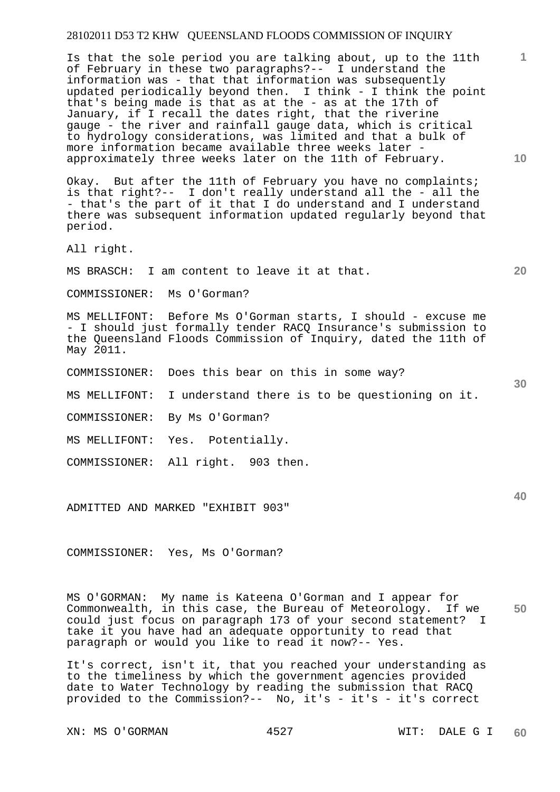Is that the sole period you are talking about, up to the 11th of February in these two paragraphs?-- I understand the information was - that that information was subsequently updated periodically beyond then. I think - I think the point that's being made is that as at the - as at the 17th of January, if I recall the dates right, that the riverine gauge - the river and rainfall gauge data, which is critical to hydrology considerations, was limited and that a bulk of more information became available three weeks later approximately three weeks later on the 11th of February.

Okay. But after the 11th of February you have no complaints; is that right?-- I don't really understand all the - all the - that's the part of it that I do understand and I understand there was subsequent information updated regularly beyond that period.

All right.

MS BRASCH: I am content to leave it at that.

COMMISSIONER: Ms O'Gorman?

MS MELLIFONT: Before Ms O'Gorman starts, I should - excuse me - I should just formally tender RACQ Insurance's submission to the Queensland Floods Commission of Inquiry, dated the 11th of May 2011.

COMMISSIONER: Does this bear on this in some way?

MS MELLIFONT: I understand there is to be questioning on it.

COMMISSIONER: By Ms O'Gorman?

MS MELLIFONT: Yes. Potentially.

COMMISSIONER: All right. 903 then.

ADMITTED AND MARKED "EXHIBIT 903"

COMMISSIONER: Yes, Ms O'Gorman?

**50**  MS O'GORMAN: My name is Kateena O'Gorman and I appear for Commonwealth, in this case, the Bureau of Meteorology. If we could just focus on paragraph 173 of your second statement? I take it you have had an adequate opportunity to read that paragraph or would you like to read it now?-- Yes.

It's correct, isn't it, that you reached your understanding as to the timeliness by which the government agencies provided date to Water Technology by reading the submission that RACQ provided to the Commission?-- No, it's - it's - it's correct

XN: MS O'GORMAN 4527 WIT: DALE G I

**10** 

**20** 

**1**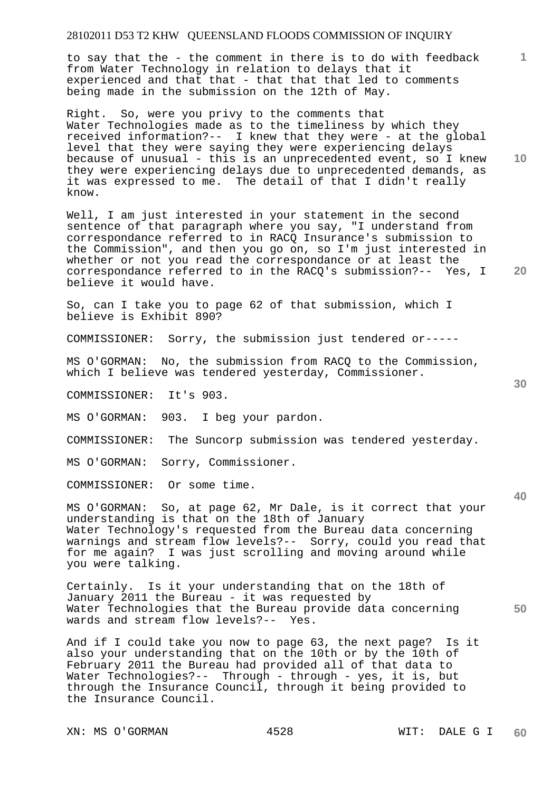to say that the - the comment in there is to do with feedback from Water Technology in relation to delays that it experienced and that that - that that that led to comments being made in the submission on the 12th of May.

Right. So, were you privy to the comments that Water Technologies made as to the timeliness by which they received information?-- I knew that they were - at the global level that they were saying they were experiencing delays because of unusual - this is an unprecedented event, so I knew they were experiencing delays due to unprecedented demands, as it was expressed to me. The detail of that I didn't really know.

Well, I am just interested in your statement in the second sentence of that paragraph where you say, "I understand from correspondance referred to in RACQ Insurance's submission to the Commission", and then you go on, so I'm just interested in whether or not you read the correspondance or at least the correspondance referred to in the RACQ's submission?-- Yes, I believe it would have.

So, can I take you to page 62 of that submission, which I believe is Exhibit 890?

COMMISSIONER: Sorry, the submission just tendered or-----

MS O'GORMAN: No, the submission from RACQ to the Commission, which I believe was tendered yesterday, Commissioner.

COMMISSIONER: It's 903.

MS O'GORMAN: 903. I beg your pardon.

COMMISSIONER: The Suncorp submission was tendered yesterday.

MS O'GORMAN: Sorry, Commissioner.

COMMISSIONER: Or some time.

MS O'GORMAN: So, at page 62, Mr Dale, is it correct that your understanding is that on the 18th of January Water Technology's requested from the Bureau data concerning warnings and stream flow levels?-- Sorry, could you read that for me again? I was just scrolling and moving around while you were talking.

Certainly. Is it your understanding that on the 18th of January 2011 the Bureau - it was requested by Water Technologies that the Bureau provide data concerning wards and stream flow levels?-- Yes.

And if I could take you now to page 63, the next page? Is it also your understanding that on the 10th or by the 10th of February 2011 the Bureau had provided all of that data to Water Technologies?-- Through - through - yes, it is, but through the Insurance Council, through it being provided to the Insurance Council.

XN: MS O'GORMAN 4528 WIT: DALE G I

**1**

**10** 

**20** 

**30** 

**40**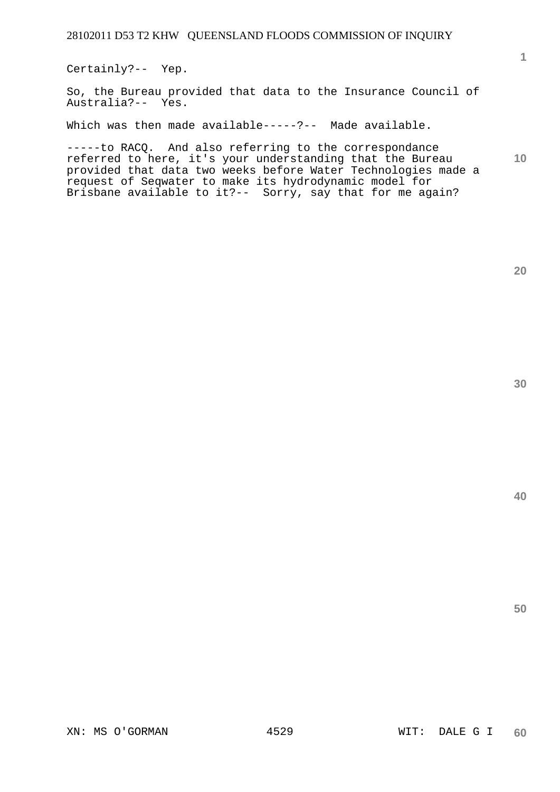Certainly?-- Yep.

So, the Bureau provided that data to the Insurance Council of Australia?-- Yes.

Which was then made available-----?-- Made available.

**10**  -----to RACQ. And also referring to the correspondance referred to here, it's your understanding that the Bureau provided that data two weeks before Water Technologies made a request of Seqwater to make its hydrodynamic model for Brisbane available to it?-- Sorry, say that for me again?

**20** 

**1**

**40**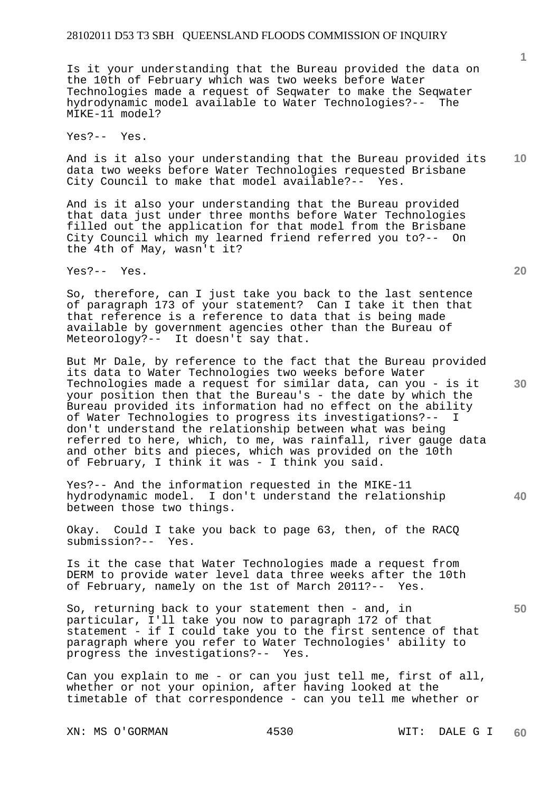Is it your understanding that the Bureau provided the data on the 10th of February which was two weeks before Water Technologies made a request of Seqwater to make the Seqwater hydrodynamic model available to Water Technologies?--MIKE-11 model?

Yes?-- Yes.

**10**  And is it also your understanding that the Bureau provided its data two weeks before Water Technologies requested Brisbane City Council to make that model available?-- Yes.

And is it also your understanding that the Bureau provided that data just under three months before Water Technologies filled out the application for that model from the Brisbane City Council which my learned friend referred you to?-- On the 4th of May, wasn't it?

Yes?-- Yes.

So, therefore, can I just take you back to the last sentence of paragraph 173 of your statement? Can I take it then that that reference is a reference to data that is being made available by government agencies other than the Bureau of Meteorology?-- It doesn't say that.

But Mr Dale, by reference to the fact that the Bureau provided its data to Water Technologies two weeks before Water Technologies made a request for similar data, can you - is it your position then that the Bureau's - the date by which the Bureau provided its information had no effect on the ability of Water Technologies to progress its investigations?-- I don't understand the relationship between what was being referred to here, which, to me, was rainfall, river gauge data and other bits and pieces, which was provided on the 10th of February, I think it was - I think you said.

Yes?-- And the information requested in the MIKE-11 hydrodynamic model. I don't understand the relationship between those two things.

Okay. Could I take you back to page 63, then, of the RACQ submission?-- Yes.

Is it the case that Water Technologies made a request from DERM to provide water level data three weeks after the 10th of February, namely on the 1st of March 2011?-- Yes.

So, returning back to your statement then - and, in particular, I'll take you now to paragraph 172 of that statement - if I could take you to the first sentence of that paragraph where you refer to Water Technologies' ability to progress the investigations?-- Yes.

Can you explain to me - or can you just tell me, first of all, whether or not your opinion, after having looked at the timetable of that correspondence - can you tell me whether or

XN: MS O'GORMAN 4530 WIT: DALE G I

**20** 

**30**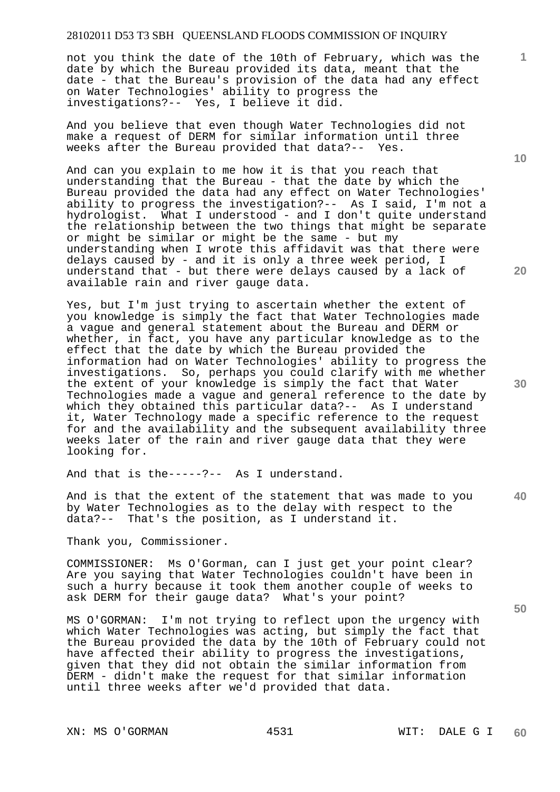not you think the date of the 10th of February, which was the date by which the Bureau provided its data, meant that the date - that the Bureau's provision of the data had any effect on Water Technologies' ability to progress the investigations?-- Yes, I believe it did.

And you believe that even though Water Technologies did not make a request of DERM for similar information until three weeks after the Bureau provided that data?-- Yes.

And can you explain to me how it is that you reach that understanding that the Bureau - that the date by which the Bureau provided the data had any effect on Water Technologies' ability to progress the investigation?-- As I said, I'm not a hydrologist. What I understood - and I don't quite understand the relationship between the two things that might be separate or might be similar or might be the same - but my understanding when I wrote this affidavit was that there were delays caused by - and it is only a three week period, I understand that - but there were delays caused by a lack of available rain and river gauge data.

Yes, but I'm just trying to ascertain whether the extent of you knowledge is simply the fact that Water Technologies made a vague and general statement about the Bureau and DERM or whether, in fact, you have any particular knowledge as to the effect that the date by which the Bureau provided the information had on Water Technologies' ability to progress the investigations. So, perhaps you could clarify with me whether the extent of your knowledge is simply the fact that Water Technologies made a vague and general reference to the date by which they obtained this particular data?-- As I understand it, Water Technology made a specific reference to the request for and the availability and the subsequent availability three weeks later of the rain and river gauge data that they were looking for.

And that is the-----?-- As I understand.

**40**  And is that the extent of the statement that was made to you by Water Technologies as to the delay with respect to the data?-- That's the position, as I understand it.

Thank you, Commissioner.

COMMISSIONER: Ms O'Gorman, can I just get your point clear? Are you saying that Water Technologies couldn't have been in such a hurry because it took them another couple of weeks to ask DERM for their gauge data? What's your point?

MS O'GORMAN: I'm not trying to reflect upon the urgency with which Water Technologies was acting, but simply the fact that the Bureau provided the data by the 10th of February could not have affected their ability to progress the investigations, given that they did not obtain the similar information from DERM - didn't make the request for that similar information until three weeks after we'd provided that data.

XN: MS O'GORMAN 4531 WIT: DALE G I

**10** 

**1**

**20** 

**50**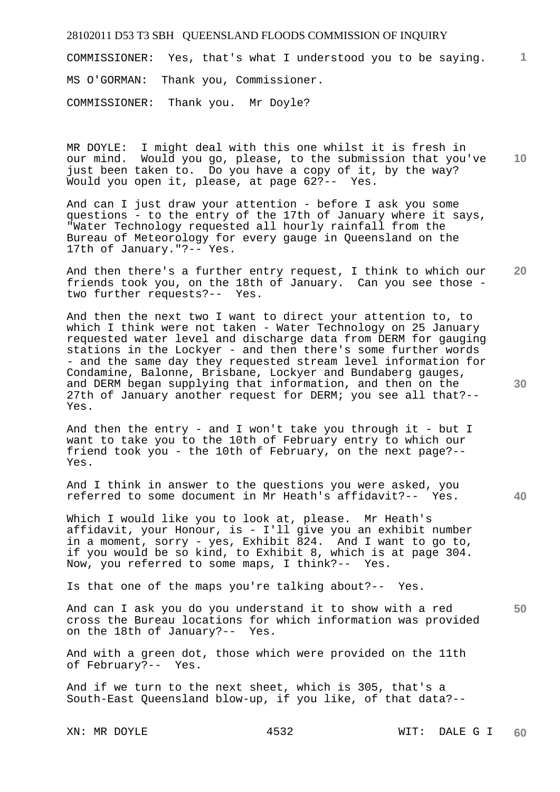**1** COMMISSIONER: Yes, that's what I understood you to be saying. MS O'GORMAN: Thank you, Commissioner. COMMISSIONER: Thank you. Mr Doyle?

MR DOYLE: I might deal with this one whilst it is fresh in our mind. Would you go, please, to the submission that you've just been taken to. Do you have a copy of it, by the way? Would you open it, please, at page 62?-- Yes.

And can I just draw your attention - before I ask you some questions - to the entry of the 17th of January where it says, "Water Technology requested all hourly rainfall from the Bureau of Meteorology for every gauge in Queensland on the 17th of January."?-- Yes.

**20**  And then there's a further entry request, I think to which our friends took you, on the 18th of January. Can you see those two further requests?-- Yes.

And then the next two I want to direct your attention to, to which I think were not taken - Water Technology on 25 January requested water level and discharge data from DERM for gauging stations in the Lockyer - and then there's some further words - and the same day they requested stream level information for Condamine, Balonne, Brisbane, Lockyer and Bundaberg gauges, and DERM began supplying that information, and then on the 27th of January another request for DERM; you see all that?-- Yes.

And then the entry - and I won't take you through it - but I want to take you to the 10th of February entry to which our friend took you - the 10th of February, on the next page?-- Yes.

And I think in answer to the questions you were asked, you referred to some document in Mr Heath's affidavit?-- Yes.

Which I would like you to look at, please. Mr Heath's affidavit, your Honour, is - I'll give you an exhibit number in a moment, sorry - yes, Exhibit 824. And I want to go to, if you would be so kind, to Exhibit 8, which is at page 304. Now, you referred to some maps, I think?-- Yes.

Is that one of the maps you're talking about?-- Yes.

**50**  And can I ask you do you understand it to show with a red cross the Bureau locations for which information was provided on the 18th of January?-- Yes.

And with a green dot, those which were provided on the 11th of February?-- Yes.

And if we turn to the next sheet, which is 305, that's a South-East Queensland blow-up, if you like, of that data?--

**30** 

**40**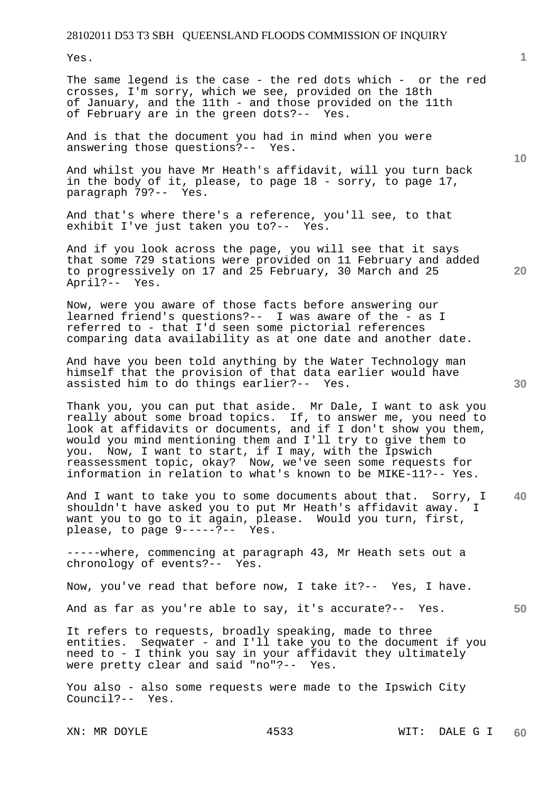Yes.

The same legend is the case - the red dots which - or the red crosses, I'm sorry, which we see, provided on the 18th of January, and the 11th - and those provided on the 11th of February are in the green dots?-- Yes.

And is that the document you had in mind when you were answering those questions?-- Yes.

And whilst you have Mr Heath's affidavit, will you turn back in the body of it, please, to page 18 - sorry, to page 17, paragraph 79?-- Yes.

And that's where there's a reference, you'll see, to that exhibit I've just taken you to?-- Yes.

And if you look across the page, you will see that it says that some 729 stations were provided on 11 February and added to progressively on 17 and 25 February, 30 March and 25 April?-- Yes.

Now, were you aware of those facts before answering our learned friend's questions?-- I was aware of the - as I referred to - that I'd seen some pictorial references comparing data availability as at one date and another date.

And have you been told anything by the Water Technology man himself that the provision of that data earlier would have assisted him to do things earlier?-- Yes.

Thank you, you can put that aside. Mr Dale, I want to ask you really about some broad topics. If, to answer me, you need to look at affidavits or documents, and if I don't show you them, would you mind mentioning them and I'll try to give them to you. Now, I want to start, if I may, with the Ipswich reassessment topic, okay? Now, we've seen some requests for information in relation to what's known to be MIKE-11?-- Yes.

**40**  And I want to take you to some documents about that. Sorry, I shouldn't have asked you to put Mr Heath's affidavit away. I want you to go to it again, please. Would you turn, first, please, to page 9-----?-- Yes.

-----where, commencing at paragraph 43, Mr Heath sets out a chronology of events?-- Yes.

Now, you've read that before now, I take it?-- Yes, I have.

And as far as you're able to say, it's accurate?-- Yes.

It refers to requests, broadly speaking, made to three entities. Seqwater - and I'll take you to the document if you need to - I think you say in your affidavit they ultimately were pretty clear and said "no"?-- Yes.

You also - also some requests were made to the Ipswich City Council?-- Yes.

**1**

**50** 

**20**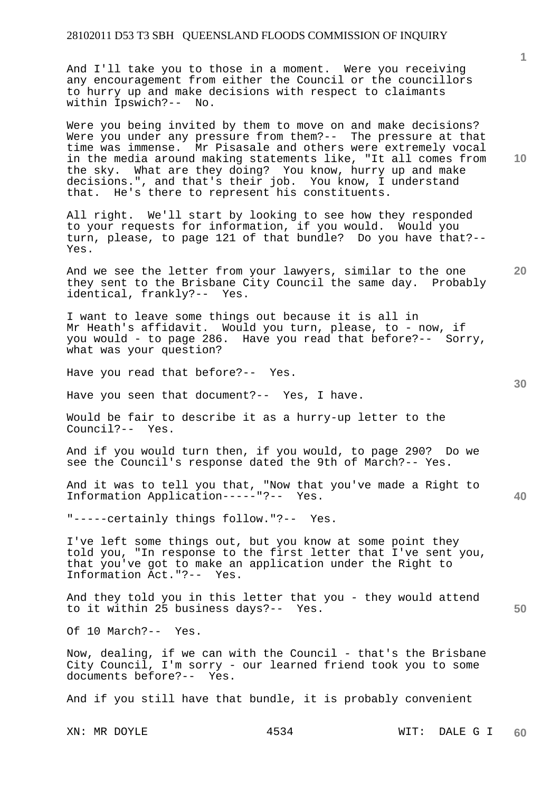And I'll take you to those in a moment. Were you receiving any encouragement from either the Council or the councillors to hurry up and make decisions with respect to claimants within Ipswich?-- No.

Were you being invited by them to move on and make decisions? Were you under any pressure from them?-- The pressure at that time was immense. Mr Pisasale and others were extremely vocal in the media around making statements like, "It all comes from the sky. What are they doing? You know, hurry up and make decisions.", and that's their job. You know, I understand that. He's there to represent his constituents.

All right. We'll start by looking to see how they responded to your requests for information, if you would. Would you turn, please, to page 121 of that bundle? Do you have that?-- Yes.

And we see the letter from your lawyers, similar to the one they sent to the Brisbane City Council the same day. Probably identical, frankly?-- Yes.

I want to leave some things out because it is all in Mr Heath's affidavit. Would you turn, please, to - now, if you would - to page 286. Have you read that before?-- Sorry, what was your question?

Have you read that before?-- Yes.

Have you seen that document?-- Yes, I have.

Would be fair to describe it as a hurry-up letter to the Council?-- Yes.

And if you would turn then, if you would, to page 290? Do we see the Council's response dated the 9th of March?-- Yes.

And it was to tell you that, "Now that you've made a Right to Information Application-----"?-- Yes.

"-----certainly things follow."?-- Yes.

I've left some things out, but you know at some point they told you, "In response to the first letter that I've sent you, that you've got to make an application under the Right to Information Act."?-- Yes.

**50**  And they told you in this letter that you - they would attend to it within 25 business days?-- Yes.

Of 10 March?-- Yes.

Now, dealing, if we can with the Council - that's the Brisbane City Council, I'm sorry - our learned friend took you to some documents before?-- Yes.

And if you still have that bundle, it is probably convenient

**10** 

**20** 

**1**

**30**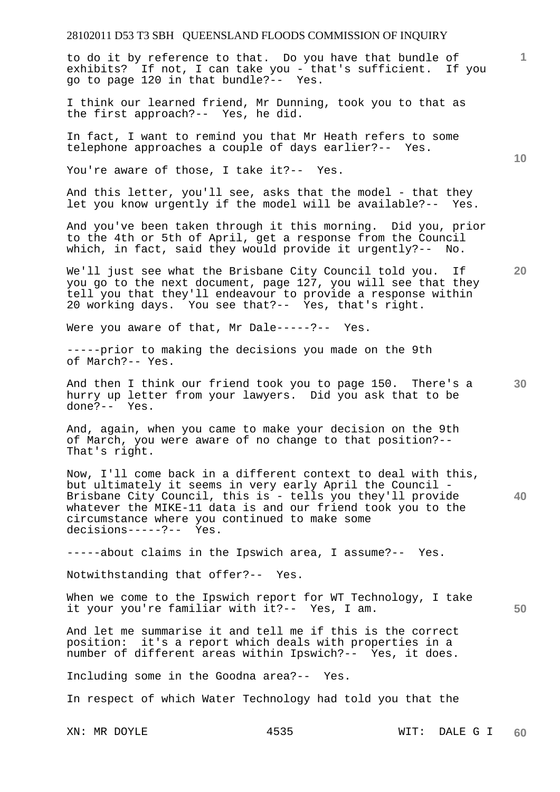to do it by reference to that. Do you have that bundle of exhibits? If not, I can take you - that's sufficient. If you go to page 120 in that bundle?-- Yes.

I think our learned friend, Mr Dunning, took you to that as the first approach?-- Yes, he did.

In fact, I want to remind you that Mr Heath refers to some telephone approaches a couple of days earlier?-- Yes.

You're aware of those, I take it?-- Yes.

And this letter, you'll see, asks that the model - that they let you know urgently if the model will be available?-- Yes.

And you've been taken through it this morning. Did you, prior to the 4th or 5th of April, get a response from the Council which, in fact, said they would provide it urgently?-- No.

We'll just see what the Brisbane City Council told you. If you go to the next document, page 127, you will see that they tell you that they'll endeavour to provide a response within 20 working days. You see that?-- Yes, that's right.

Were you aware of that, Mr Dale-----?-- Yes.

-----prior to making the decisions you made on the 9th of March?-- Yes.

**30**  And then I think our friend took you to page 150. There's a hurry up letter from your lawyers. Did you ask that to be done?-- Yes.

And, again, when you came to make your decision on the 9th of March, you were aware of no change to that position?-- That's right.

**40**  Now, I'll come back in a different context to deal with this, but ultimately it seems in very early April the Council - Brisbane City Council, this is - tells you they'll provide whatever the MIKE-11 data is and our friend took you to the circumstance where you continued to make some decisions-----?-- Yes.

-----about claims in the Ipswich area, I assume?-- Yes.

Notwithstanding that offer?-- Yes.

When we come to the Ipswich report for WT Technology, I take it your you're familiar with it?-- Yes, I am.

And let me summarise it and tell me if this is the correct position: it's a report which deals with properties in a it's a report which deals with properties in a number of different areas within Ipswich?-- Yes, it does.

Including some in the Goodna area?-- Yes.

In respect of which Water Technology had told you that the

**1**

**10** 

**20**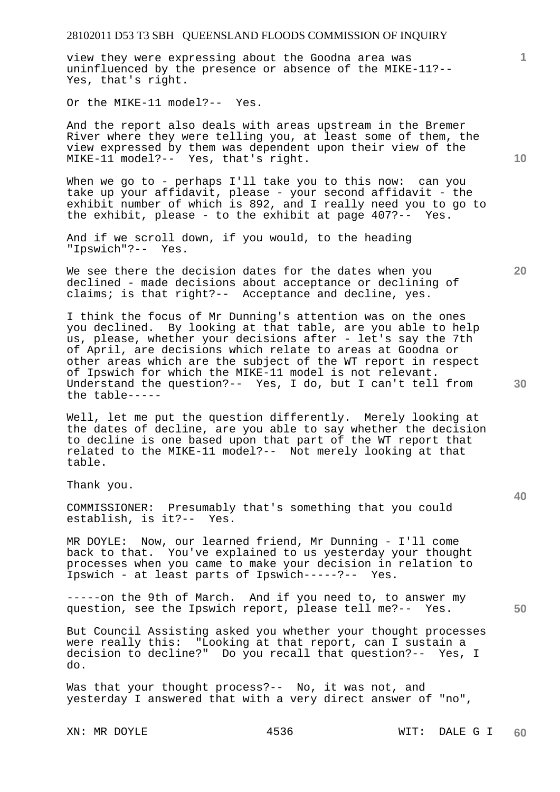view they were expressing about the Goodna area was uninfluenced by the presence or absence of the MIKE-11?-- Yes, that's right.

Or the MIKE-11 model?-- Yes.

And the report also deals with areas upstream in the Bremer River where they were telling you, at least some of them, the view expressed by them was dependent upon their view of the MIKE-11 model?-- Yes, that's right.

When we go to - perhaps I'll take you to this now: can you take up your affidavit, please - your second affidavit - the exhibit number of which is 892, and I really need you to go to the exhibit, please - to the exhibit at page 407?-- Yes.

And if we scroll down, if you would, to the heading "Ipswich"?-- Yes.

We see there the decision dates for the dates when you declined - made decisions about acceptance or declining of claims; is that right?-- Acceptance and decline, yes.

I think the focus of Mr Dunning's attention was on the ones you declined. By looking at that table, are you able to help us, please, whether your decisions after - let's say the 7th of April, are decisions which relate to areas at Goodna or other areas which are the subject of the WT report in respect of Ipswich for which the MIKE-11 model is not relevant. Understand the question?-- Yes, I do, but I can't tell from the table-----

Well, let me put the question differently. Merely looking at the dates of decline, are you able to say whether the decision to decline is one based upon that part of the WT report that related to the MIKE-11 model?-- Not merely looking at that table.

Thank you.

COMMISSIONER: Presumably that's something that you could establish, is it?-- Yes.

MR DOYLE: Now, our learned friend, Mr Dunning - I'll come back to that. You've explained to us yesterday your thought processes when you came to make your decision in relation to Ipswich - at least parts of Ipswich-----?-- Yes.

-----on the 9th of March. And if you need to, to answer my question, see the Ipswich report, please tell me?-- Yes.

But Council Assisting asked you whether your thought processes were really this: "Looking at that report, can I sustain a decision to decline?" Do you recall that question?-- Yes, I do.

Was that your thought process?-- No, it was not, and yesterday I answered that with a very direct answer of "no",

**10** 

**20** 

**1**

**50**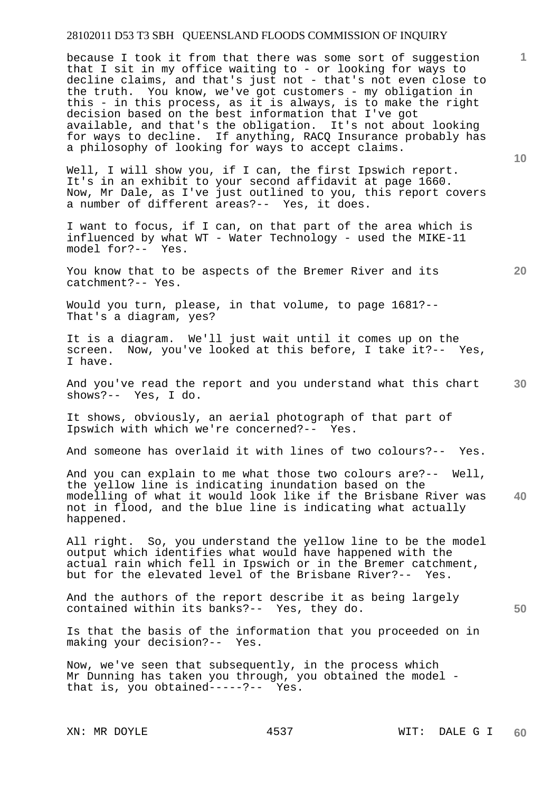because I took it from that there was some sort of suggestion that I sit in my office waiting to - or looking for ways to decline claims, and that's just not - that's not even close to the truth. You know, we've got customers - my obligation in this - in this process, as it is always, is to make the right decision based on the best information that I've got available, and that's the obligation. It's not about looking for ways to decline. If anything, RACQ Insurance probably has a philosophy of looking for ways to accept claims.

Well, I will show you, if I can, the first Ipswich report. It's in an exhibit to your second affidavit at page 1660. Now, Mr Dale, as I've just outlined to you, this report covers a number of different areas?-- Yes, it does.

I want to focus, if I can, on that part of the area which is influenced by what WT - Water Technology - used the MIKE-11 model for?-- Yes.

You know that to be aspects of the Bremer River and its catchment?-- Yes.

Would you turn, please, in that volume, to page 1681?-- That's a diagram, yes?

It is a diagram. We'll just wait until it comes up on the screen. Now, you've looked at this before, I take it?-- Yes, I have.

**30**  And you've read the report and you understand what this chart shows?-- Yes, I do.

It shows, obviously, an aerial photograph of that part of Ipswich with which we're concerned?-- Yes.

And someone has overlaid it with lines of two colours?-- Yes.

**40**  And you can explain to me what those two colours are?-- Well, the yellow line is indicating inundation based on the modelling of what it would look like if the Brisbane River was not in flood, and the blue line is indicating what actually happened.

All right. So, you understand the yellow line to be the model output which identifies what would have happened with the actual rain which fell in Ipswich or in the Bremer catchment, but for the elevated level of the Brisbane River?-- Yes.

And the authors of the report describe it as being largely contained within its banks?-- Yes, they do.

Is that the basis of the information that you proceeded on in making your decision?-- Yes.

Now, we've seen that subsequently, in the process which Mr Dunning has taken you through, you obtained the model that is, you obtained-----?-- Yes.

**10** 

**1**

**20**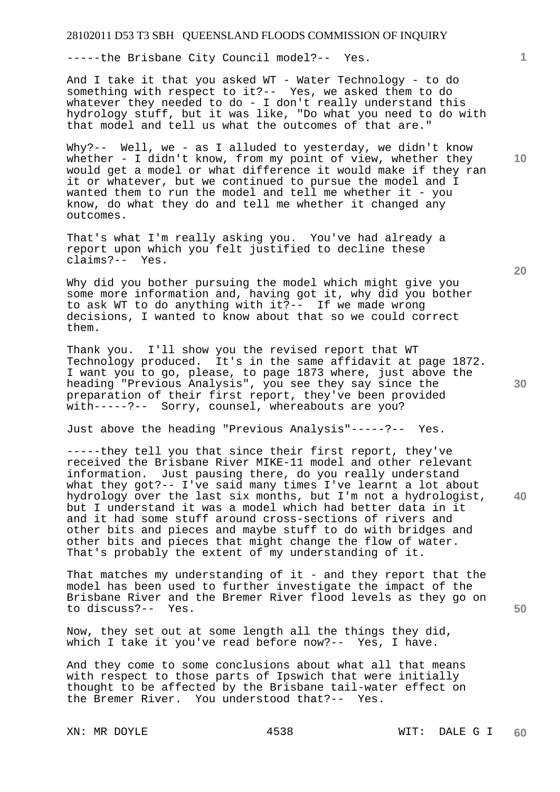-----the Brisbane City Council model?-- Yes.

And I take it that you asked WT - Water Technology - to do something with respect to it?-- Yes, we asked them to do whatever they needed to do - I don't really understand this hydrology stuff, but it was like, "Do what you need to do with that model and tell us what the outcomes of that are."

Why?-- Well, we - as I alluded to yesterday, we didn't know whether - I didn't know, from my point of view, whether they would get a model or what difference it would make if they ran it or whatever, but we continued to pursue the model and I wanted them to run the model and tell me whether it - you know, do what they do and tell me whether it changed any outcomes.

That's what I'm really asking you. You've had already a report upon which you felt justified to decline these claims?-- Yes.

Why did you bother pursuing the model which might give you some more information and, having got it, why did you bother to ask WT to do anything with it?-- If we made wrong decisions, I wanted to know about that so we could correct them.

Thank you. I'll show you the revised report that WT Technology produced. It's in the same affidavit at page 1872. I want you to go, please, to page 1873 where, just above the heading "Previous Analysis", you see they say since the preparation of their first report, they've been provided with-----?-- Sorry, counsel, whereabouts are you?

Just above the heading "Previous Analysis"-----?-- Yes.

**40**  -----they tell you that since their first report, they've received the Brisbane River MIKE-11 model and other relevant information. Just pausing there, do you really understand what they got?-- I've said many times I've learnt a lot about hydrology over the last six months, but I'm not a hydrologist, but I understand it was a model which had better data in it and it had some stuff around cross-sections of rivers and other bits and pieces and maybe stuff to do with bridges and other bits and pieces that might change the flow of water. That's probably the extent of my understanding of it.

That matches my understanding of it - and they report that the model has been used to further investigate the impact of the Brisbane River and the Bremer River flood levels as they go on to discuss?-- Yes.

Now, they set out at some length all the things they did, which I take it you've read before now?-- Yes, I have.

And they come to some conclusions about what all that means with respect to those parts of Ipswich that were initially thought to be affected by the Brisbane tail-water effect on the Bremer River. You understood that?-- Yes.

**10** 

**1**

**20** 

**30**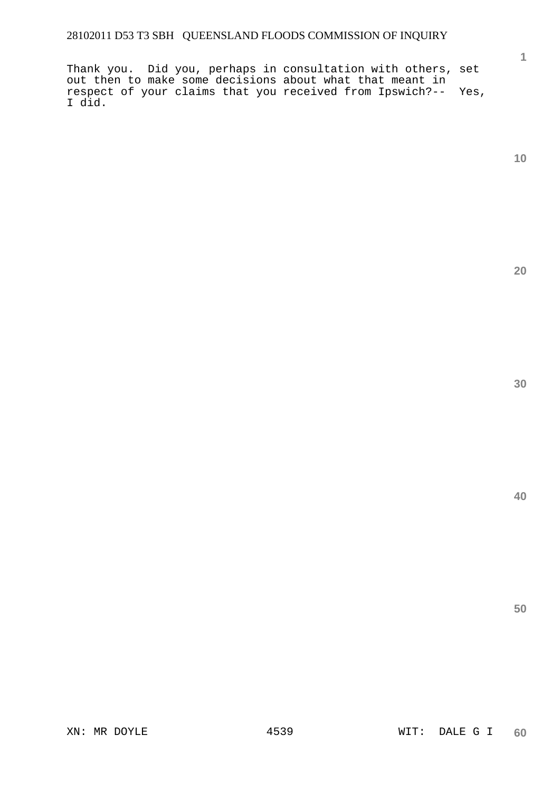Thank you. Did you, perhaps in consultation with others, set out then to make some decisions about what that meant in respect of your claims that you received from Ipswich?-- Yes, I did.

**10** 

**1**

**20** 

**30**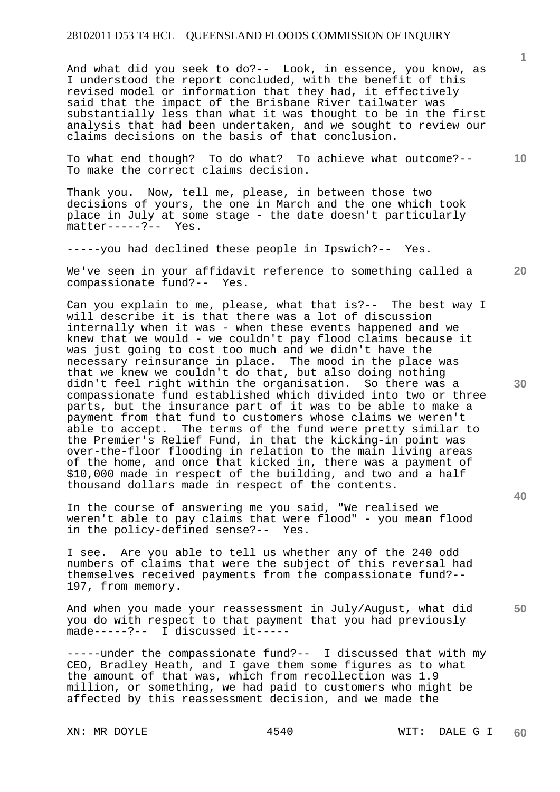And what did you seek to do?-- Look, in essence, you know, as I understood the report concluded, with the benefit of this revised model or information that they had, it effectively said that the impact of the Brisbane River tailwater was substantially less than what it was thought to be in the first analysis that had been undertaken, and we sought to review our claims decisions on the basis of that conclusion.

**10**  To what end though? To do what? To achieve what outcome?-- To make the correct claims decision.

Thank you. Now, tell me, please, in between those two decisions of yours, the one in March and the one which took place in July at some stage - the date doesn't particularly  $mather---?--- Yes.$ 

-----you had declined these people in Ipswich?-- Yes.

**20**  We've seen in your affidavit reference to something called a compassionate fund?-- Yes. compassionate fund?--

Can you explain to me, please, what that is?-- The best way I will describe it is that there was a lot of discussion internally when it was - when these events happened and we knew that we would - we couldn't pay flood claims because it was just going to cost too much and we didn't have the necessary reinsurance in place. The mood in the place was that we knew we couldn't do that, but also doing nothing didn't feel right within the organisation. So there was a compassionate fund established which divided into two or three parts, but the insurance part of it was to be able to make a payment from that fund to customers whose claims we weren't able to accept. The terms of the fund were pretty similar to the Premier's Relief Fund, in that the kicking-in point was over-the-floor flooding in relation to the main living areas of the home, and once that kicked in, there was a payment of \$10,000 made in respect of the building, and two and a half thousand dollars made in respect of the contents.

In the course of answering me you said, "We realised we weren't able to pay claims that were flood" - you mean flood in the policy-defined sense?-- Yes.

I see. Are you able to tell us whether any of the 240 odd numbers of claims that were the subject of this reversal had themselves received payments from the compassionate fund?-- 197, from memory.

And when you made your reassessment in July/August, what did you do with respect to that payment that you had previously made-----?-- I discussed it-----

-----under the compassionate fund?-- I discussed that with my CEO, Bradley Heath, and I gave them some figures as to what the amount of that was, which from recollection was 1.9 million, or something, we had paid to customers who might be affected by this reassessment decision, and we made the

**1**

**30**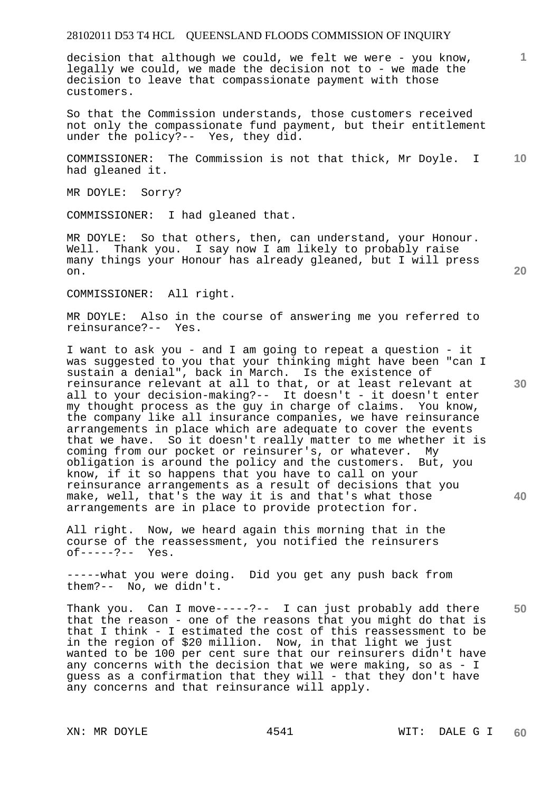decision that although we could, we felt we were - you know, legally we could, we made the decision not to - we made the decision to leave that compassionate payment with those customers.

So that the Commission understands, those customers received not only the compassionate fund payment, but their entitlement under the policy?-- Yes, they did.

**10**  COMMISSIONER: The Commission is not that thick, Mr Doyle. I had gleaned it.

MR DOYLE: Sorry?

COMMISSIONER: I had gleaned that.

MR DOYLE: So that others, then, can understand, your Honour. Well. Thank you. I say now I am likely to probably raise many things your Honour has already gleaned, but I will press on.

COMMISSIONER: All right.

MR DOYLE: Also in the course of answering me you referred to reinsurance?-- Yes.

I want to ask you - and I am going to repeat a question - it was suggested to you that your thinking might have been "can I sustain a denial", back in March. Is the existence of reinsurance relevant at all to that, or at least relevant at all to your decision-making?-- It doesn't - it doesn't enter my thought process as the guy in charge of claims. You know, the company like all insurance companies, we have reinsurance arrangements in place which are adequate to cover the events that we have. So it doesn't really matter to me whether it is coming from our pocket or reinsurer's, or whatever. My obligation is around the policy and the customers. But, you know, if it so happens that you have to call on your reinsurance arrangements as a result of decisions that you make, well, that's the way it is and that's what those arrangements are in place to provide protection for.

All right. Now, we heard again this morning that in the course of the reassessment, you notified the reinsurers of-----?-- Yes.

-----what you were doing. Did you get any push back from them?-- No, we didn't.

Thank you. Can I move-----?-- I can just probably add there that the reason - one of the reasons that you might do that is that I think - I estimated the cost of this reassessment to be in the region of \$20 million. Now, in that light we just wanted to be 100 per cent sure that our reinsurers didn't have any concerns with the decision that we were making, so as - I guess as a confirmation that they will - that they don't have any concerns and that reinsurance will apply.

**20** 

**1**

**40** 

**50**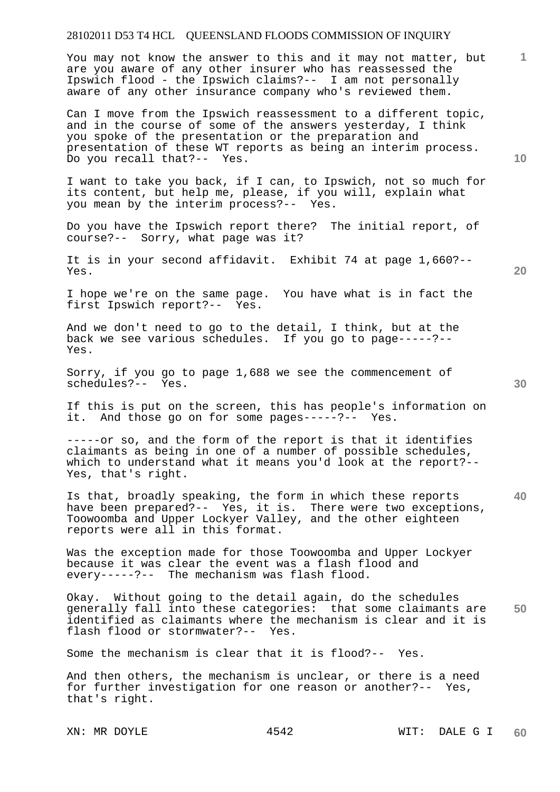You may not know the answer to this and it may not matter, but are you aware of any other insurer who has reassessed the Ipswich flood - the Ipswich claims?-- I am not personally aware of any other insurance company who's reviewed them.

Can I move from the Ipswich reassessment to a different topic, and in the course of some of the answers yesterday, I think you spoke of the presentation or the preparation and presentation of these WT reports as being an interim process. Do you recall that?-- Yes.

I want to take you back, if I can, to Ipswich, not so much for its content, but help me, please, if you will, explain what you mean by the interim process?-- Yes.

Do you have the Ipswich report there? The initial report, of course?-- Sorry, what page was it?

It is in your second affidavit. Exhibit 74 at page 1,660?-- Yes.

I hope we're on the same page. You have what is in fact the first Ipswich report?-- Yes.

And we don't need to go to the detail, I think, but at the back we see various schedules. If you go to page-----?-- Yes.

Sorry, if you go to page 1,688 we see the commencement of schedules?-- Yes.

If this is put on the screen, this has people's information on it. And those go on for some pages-----?-- Yes.

-----or so, and the form of the report is that it identifies claimants as being in one of a number of possible schedules, which to understand what it means you'd look at the report?-- Yes, that's right.

**40**  Is that, broadly speaking, the form in which these reports have been prepared?-- Yes, it is. There were two exceptions, Toowoomba and Upper Lockyer Valley, and the other eighteen reports were all in this format.

Was the exception made for those Toowoomba and Upper Lockyer because it was clear the event was a flash flood and every-----?-- The mechanism was flash flood.

**50**  Okay. Without going to the detail again, do the schedules generally fall into these categories: that some claimants are identified as claimants where the mechanism is clear and it is flash flood or stormwater?-- Yes.

Some the mechanism is clear that it is flood?-- Yes.

And then others, the mechanism is unclear, or there is a need for further investigation for one reason or another?-- Yes, that's right.

**10** 

**20**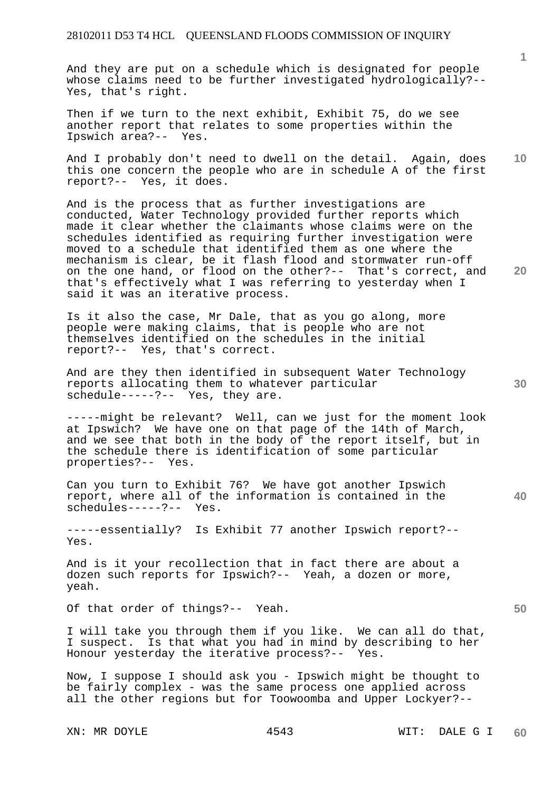And they are put on a schedule which is designated for people whose claims need to be further investigated hydrologically?-- Yes, that's right.

Then if we turn to the next exhibit, Exhibit 75, do we see another report that relates to some properties within the Ipswich area?-- Yes.

**10**  And I probably don't need to dwell on the detail. Again, does this one concern the people who are in schedule A of the first report?-- Yes, it does.

And is the process that as further investigations are conducted, Water Technology provided further reports which made it clear whether the claimants whose claims were on the schedules identified as requiring further investigation were moved to a schedule that identified them as one where the mechanism is clear, be it flash flood and stormwater run-off on the one hand, or flood on the other?-- That's correct, and that's effectively what I was referring to yesterday when I said it was an iterative process.

Is it also the case, Mr Dale, that as you go along, more people were making claims, that is people who are not themselves identified on the schedules in the initial report?-- Yes, that's correct.

And are they then identified in subsequent Water Technology reports allocating them to whatever particular schedule-----?-- Yes, they are.

-----might be relevant? Well, can we just for the moment look at Ipswich? We have one on that page of the 14th of March, and we see that both in the body of the report itself, but in the schedule there is identification of some particular properties?-- Yes.

Can you turn to Exhibit 76? We have got another Ipswich report, where all of the information is contained in the schedules-----?-- Yes.

-----essentially? Is Exhibit 77 another Ipswich report?-- Yes.

And is it your recollection that in fact there are about a dozen such reports for Ipswich?-- Yeah, a dozen or more, yeah.

Of that order of things?-- Yeah.

I will take you through them if you like. We can all do that, I suspect. Is that what you had in mind by describing to her Honour yesterday the iterative process?-- Yes.

Now, I suppose I should ask you - Ipswich might be thought to be fairly complex - was the same process one applied across all the other regions but for Toowoomba and Upper Lockyer?--

**1**

**30** 

**40** 

**20**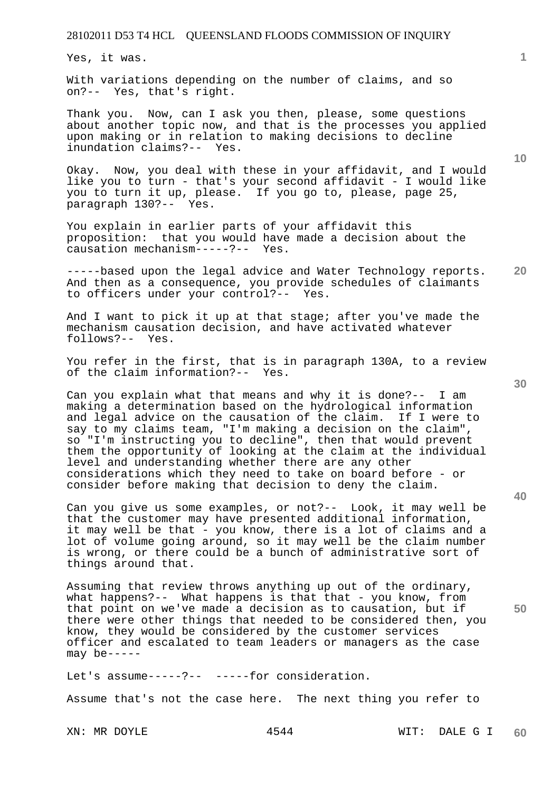Yes, it was.

With variations depending on the number of claims, and so on?-- Yes, that's right.

Thank you. Now, can I ask you then, please, some questions about another topic now, and that is the processes you applied upon making or in relation to making decisions to decline inundation claims?-- Yes.

Okay. Now, you deal with these in your affidavit, and I would like you to turn - that's your second affidavit - I would like you to turn it up, please. If you go to, please, page 25, paragraph 130?-- Yes.

You explain in earlier parts of your affidavit this proposition: that you would have made a decision about the causation mechanism-----?-- Yes.

**20**  -----based upon the legal advice and Water Technology reports. And then as a consequence, you provide schedules of claimants to officers under your control?-- Yes.

And I want to pick it up at that stage; after you've made the mechanism causation decision, and have activated whatever follows?-- Yes.

You refer in the first, that is in paragraph 130A, to a review of the claim information?-- Yes.

Can you explain what that means and why it is done?-- I am making a determination based on the hydrological information and legal advice on the causation of the claim. If I were to say to my claims team, "I'm making a decision on the claim", so "I'm instructing you to decline", then that would prevent them the opportunity of looking at the claim at the individual level and understanding whether there are any other considerations which they need to take on board before - or consider before making that decision to deny the claim.

Can you give us some examples, or not?-- Look, it may well be that the customer may have presented additional information, it may well be that - you know, there is a lot of claims and a lot of volume going around, so it may well be the claim number is wrong, or there could be a bunch of administrative sort of things around that.

Assuming that review throws anything up out of the ordinary, what happens?-- What happens is that that - you know, from that point on we've made a decision as to causation, but if there were other things that needed to be considered then, you know, they would be considered by the customer services officer and escalated to team leaders or managers as the case may be-----

Let's assume-----?-- -----for consideration.

Assume that's not the case here. The next thing you refer to

**10** 

**1**

**30** 

**40**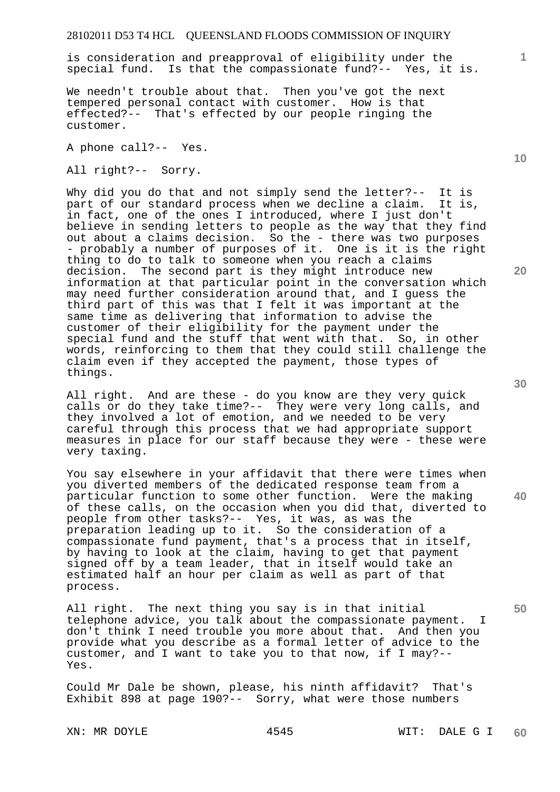is consideration and preapproval of eligibility under the special fund. Is that the compassionate fund?-- Yes, it is.

We needn't trouble about that. Then you've got the next tempered personal contact with customer. How is that effected?-- That's effected by our people ringing the customer.

A phone call?-- Yes.

All right?-- Sorry.

Why did you do that and not simply send the letter?-- It is part of our standard process when we decline a claim. It is, in fact, one of the ones I introduced, where I just don't believe in sending letters to people as the way that they find out about a claims decision. So the - there was two purposes - probably a number of purposes of it. One is it is the right thing to do to talk to someone when you reach a claims decision. The second part is they might introduce new information at that particular point in the conversation which may need further consideration around that, and I guess the third part of this was that I felt it was important at the same time as delivering that information to advise the customer of their eligibility for the payment under the special fund and the stuff that went with that. So, in other words, reinforcing to them that they could still challenge the claim even if they accepted the payment, those types of things.

All right. And are these - do you know are they very quick calls or do they take time?-- They were very long calls, and they involved a lot of emotion, and we needed to be very careful through this process that we had appropriate support measures in place for our staff because they were - these were very taxing.

You say elsewhere in your affidavit that there were times when you diverted members of the dedicated response team from a particular function to some other function. Were the making of these calls, on the occasion when you did that, diverted to people from other tasks?-- Yes, it was, as was the preparation leading up to it. So the consideration of a compassionate fund payment, that's a process that in itself, by having to look at the claim, having to get that payment signed off by a team leader, that in itself would take an estimated half an hour per claim as well as part of that process.

All right. The next thing you say is in that initial telephone advice, you talk about the compassionate payment. I don't think I need trouble you more about that. And then you provide what you describe as a formal letter of advice to the customer, and I want to take you to that now, if I may?-- Yes.

Could Mr Dale be shown, please, his ninth affidavit? That's Exhibit 898 at page 190?-- Sorry, what were those numbers

**10** 

**1**

**20** 

**40** 

**30**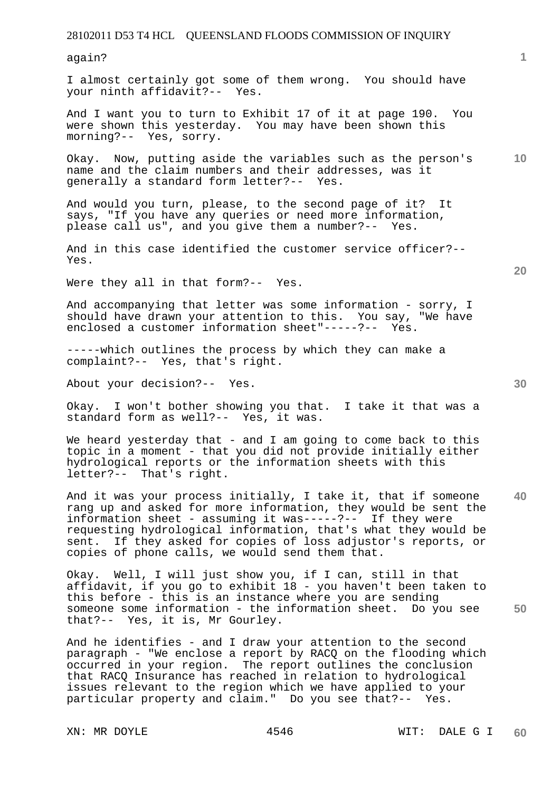again?

I almost certainly got some of them wrong. You should have your ninth affidavit?-- Yes.

And I want you to turn to Exhibit 17 of it at page 190. You were shown this yesterday. You may have been shown this morning?-- Yes, sorry.

**10**  Okay. Now, putting aside the variables such as the person's name and the claim numbers and their addresses, was it generally a standard form letter?-- Yes.

And would you turn, please, to the second page of it? It says, "If you have any queries or need more information, please call us", and you give them a number?-- Yes.

And in this case identified the customer service officer?-- Yes.

Were they all in that form?-- Yes.

And accompanying that letter was some information - sorry, I should have drawn your attention to this. You say, "We have enclosed a customer information sheet"-----?-- Yes.

-----which outlines the process by which they can make a complaint?-- Yes, that's right.

About your decision?-- Yes.

Okay. I won't bother showing you that. I take it that was a standard form as well?-- Yes, it was.

We heard yesterday that - and I am going to come back to this topic in a moment - that you did not provide initially either hydrological reports or the information sheets with this letter?-- That's right.

**40**  And it was your process initially, I take it, that if someone rang up and asked for more information, they would be sent the information sheet - assuming it was-----?-- If they were requesting hydrological information, that's what they would be sent. If they asked for copies of loss adjustor's reports, or copies of phone calls, we would send them that.

**50**  Okay. Well, I will just show you, if I can, still in that affidavit, if you go to exhibit 18 - you haven't been taken to this before - this is an instance where you are sending someone some information - the information sheet. Do you see that?-- Yes, it is, Mr Gourley.

And he identifies - and I draw your attention to the second paragraph - "We enclose a report by RACQ on the flooding which occurred in your region. The report outlines the conclusion that RACQ Insurance has reached in relation to hydrological issues relevant to the region which we have applied to your particular property and claim." Do you see that?-- Yes.

**20**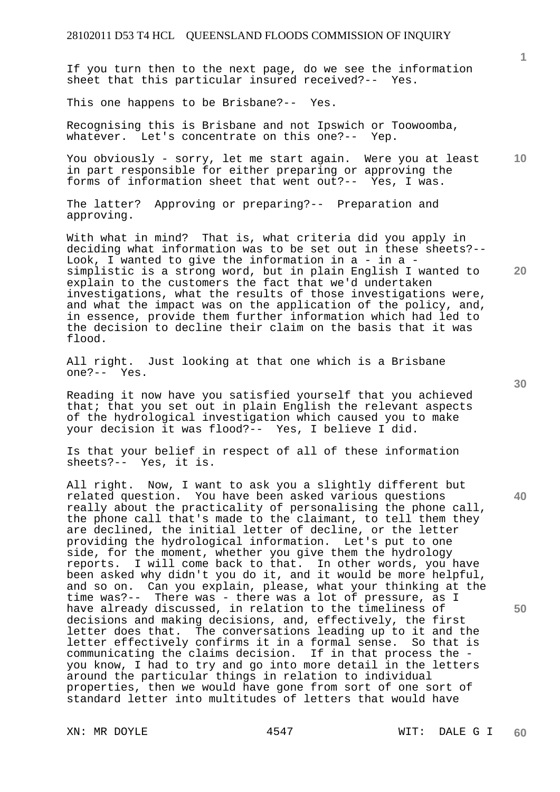If you turn then to the next page, do we see the information sheet that this particular insured received?-- Yes.

This one happens to be Brisbane?-- Yes.

Recognising this is Brisbane and not Ipswich or Toowoomba, whatever. Let's concentrate on this one?-- Yep.

**10**  You obviously - sorry, let me start again. Were you at least in part responsible for either preparing or approving the forms of information sheet that went out?-- Yes, I was.

The latter? Approving or preparing?-- Preparation and approving.

With what in mind? That is, what criteria did you apply in deciding what information was to be set out in these sheets?-- Look, I wanted to give the information in  $a - in a$ simplistic is a strong word, but in plain English I wanted to explain to the customers the fact that we'd undertaken investigations, what the results of those investigations were, and what the impact was on the application of the policy, and, in essence, provide them further information which had led to the decision to decline their claim on the basis that it was flood.

All right. Just looking at that one which is a Brisbane one?-- Yes.

Reading it now have you satisfied yourself that you achieved that; that you set out in plain English the relevant aspects of the hydrological investigation which caused you to make your decision it was flood?-- Yes, I believe I did.

Is that your belief in respect of all of these information sheets?-- Yes, it is.

All right. Now, I want to ask you a slightly different but related question. You have been asked various questions really about the practicality of personalising the phone call, the phone call that's made to the claimant, to tell them they are declined, the initial letter of decline, or the letter providing the hydrological information. Let's put to one side, for the moment, whether you give them the hydrology reports. I will come back to that. In other words, you have been asked why didn't you do it, and it would be more helpful, and so on. Can you explain, please, what your thinking at the time was?-- There was - there was a lot of pressure, as I have already discussed, in relation to the timeliness of decisions and making decisions, and, effectively, the first letter does that. The conversations leading up to it and the letter effectively confirms it in a formal sense. So that is communicating the claims decision. If in that process the you know, I had to try and go into more detail in the letters around the particular things in relation to individual properties, then we would have gone from sort of one sort of standard letter into multitudes of letters that would have

**30** 

**40** 

**50** 

**20**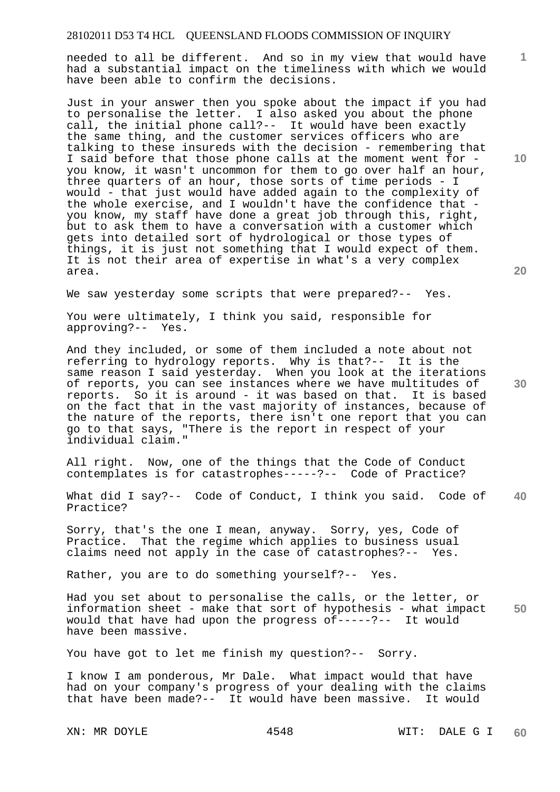needed to all be different. And so in my view that would have had a substantial impact on the timeliness with which we would have been able to confirm the decisions.

Just in your answer then you spoke about the impact if you had to personalise the letter. I also asked you about the phone call, the initial phone call?-- It would have been exactly the same thing, and the customer services officers who are talking to these insureds with the decision - remembering that I said before that those phone calls at the moment went for you know, it wasn't uncommon for them to go over half an hour, three quarters of an hour, those sorts of time periods - I would - that just would have added again to the complexity of the whole exercise, and I wouldn't have the confidence that you know, my staff have done a great job through this, right, but to ask them to have a conversation with a customer which gets into detailed sort of hydrological or those types of things, it is just not something that I would expect of them. It is not their area of expertise in what's a very complex area.

We saw yesterday some scripts that were prepared?-- Yes.

You were ultimately, I think you said, responsible for approving?-- Yes.

And they included, or some of them included a note about not referring to hydrology reports. Why is that?-- It is the same reason I said yesterday. When you look at the iterations of reports, you can see instances where we have multitudes of reports. So it is around - it was based on that. It is based on the fact that in the vast majority of instances, because of the nature of the reports, there isn't one report that you can go to that says, "There is the report in respect of your individual claim."

All right. Now, one of the things that the Code of Conduct contemplates is for catastrophes-----?-- Code of Practice?

**40**  What did I say?-- Code of Conduct, I think you said. Code of Practice?

Sorry, that's the one I mean, anyway. Sorry, yes, Code of Practice. That the regime which applies to business usual claims need not apply in the case of catastrophes?-- Yes.

Rather, you are to do something yourself?-- Yes.

**50**  Had you set about to personalise the calls, or the letter, or information sheet - make that sort of hypothesis - what impact would that have had upon the progress of-----?-- It would have been massive.

You have got to let me finish my question?-- Sorry.

I know I am ponderous, Mr Dale. What impact would that have had on your company's progress of your dealing with the claims that have been made?-- It would have been massive. It would

**20** 

**10** 

**1**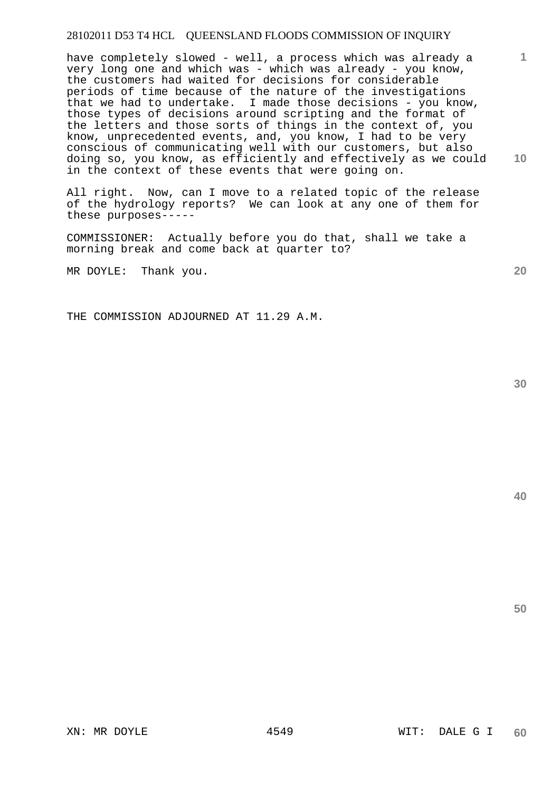have completely slowed - well, a process which was already a very long one and which was - which was already - you know, the customers had waited for decisions for considerable periods of time because of the nature of the investigations that we had to undertake. I made those decisions - you know, those types of decisions around scripting and the format of the letters and those sorts of things in the context of, you know, unprecedented events, and, you know, I had to be very conscious of communicating well with our customers, but also doing so, you know, as efficiently and effectively as we could in the context of these events that were going on.

All right. Now, can I move to a related topic of the release of the hydrology reports? We can look at any one of them for these purposes-----

COMMISSIONER: Actually before you do that, shall we take a morning break and come back at quarter to?

MR DOYLE: Thank you.

THE COMMISSION ADJOURNED AT 11.29 A.M.

**40** 

**50** 

**1**

**20**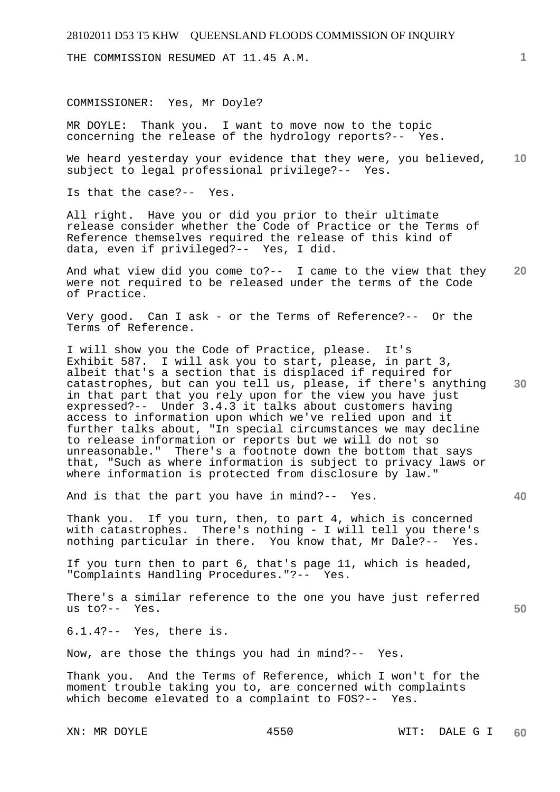THE COMMISSION RESUMED AT 11.45 A.M.

COMMISSIONER: Yes, Mr Doyle?

MR DOYLE: Thank you. I want to move now to the topic concerning the release of the hydrology reports?-- Yes.

**10**  We heard yesterday your evidence that they were, you believed, subject to legal professional privilege?-- Yes.

Is that the case?-- Yes.

All right. Have you or did you prior to their ultimate release consider whether the Code of Practice or the Terms of Reference themselves required the release of this kind of data, even if privileged?-- Yes, I did.

**20**  And what view did you come to?-- I came to the view that they were not required to be released under the terms of the Code of Practice.

Very good. Can I ask - or the Terms of Reference?-- Or the Terms of Reference.

**30**  I will show you the Code of Practice, please. It's Exhibit 587. I will ask you to start, please, in part 3, albeit that's a section that is displaced if required for catastrophes, but can you tell us, please, if there's anything in that part that you rely upon for the view you have just expressed?-- Under 3.4.3 it talks about customers having access to information upon which we've relied upon and it further talks about, "In special circumstances we may decline to release information or reports but we will do not so unreasonable." There's a footnote down the bottom that says that, "Such as where information is subject to privacy laws or where information is protected from disclosure by law.'

And is that the part you have in mind?-- Yes.

Thank you. If you turn, then, to part 4, which is concerned with catastrophes. There's nothing - I will tell you there's nothing particular in there. You know that, Mr Dale?-- Yes.

If you turn then to part 6, that's page 11, which is headed, "Complaints Handling Procedures."?-- Yes.

There's a similar reference to the one you have just referred us to?-- Yes.

6.1.4?-- Yes, there is.

Now, are those the things you had in mind?-- Yes.

Thank you. And the Terms of Reference, which I won't for the moment trouble taking you to, are concerned with complaints which become elevated to a complaint to FOS?-- Yes.

**40**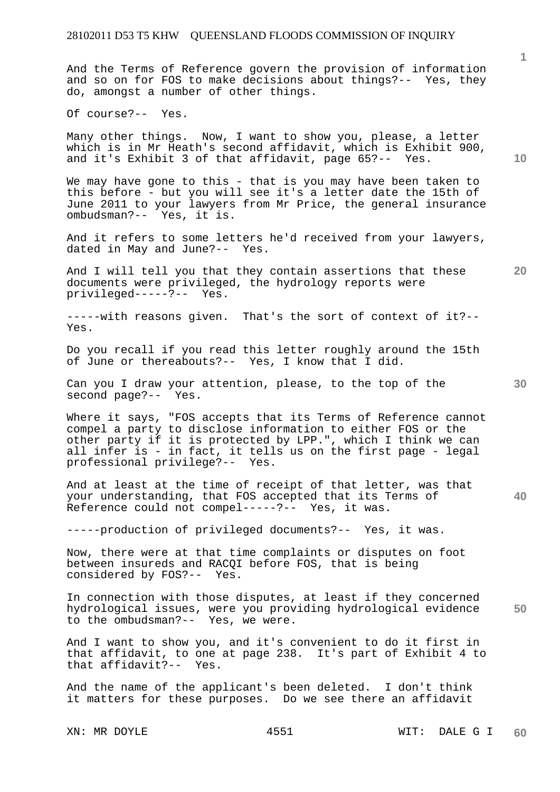And the Terms of Reference govern the provision of information and so on for FOS to make decisions about things?-- Yes, they do, amongst a number of other things.

Of course?-- Yes.

Many other things. Now, I want to show you, please, a letter which is in Mr Heath's second affidavit, which is Exhibit 900, and it's Exhibit 3 of that affidavit, page 65?-- Yes.

We may have gone to this - that is you may have been taken to this before - but you will see it's a letter date the 15th of June 2011 to your lawyers from Mr Price, the general insurance ombudsman?-- Yes, it is.

And it refers to some letters he'd received from your lawyers, dated in May and June?-- Yes.

And I will tell you that they contain assertions that these documents were privileged, the hydrology reports were privileged-----?-- Yes.

-----with reasons given. That's the sort of context of it?-- Yes.

Do you recall if you read this letter roughly around the 15th of June or thereabouts?-- Yes, I know that I did.

Can you I draw your attention, please, to the top of the second page?-- Yes.

Where it says, "FOS accepts that its Terms of Reference cannot compel a party to disclose information to either FOS or the other party if it is protected by LPP.", which I think we can all infer is - in fact, it tells us on the first page - legal<br>professional privilege?-- Yes. professional privilege?--

And at least at the time of receipt of that letter, was that your understanding, that FOS accepted that its Terms of Reference could not compel-----?-- Yes, it was.

-----production of privileged documents?-- Yes, it was.

Now, there were at that time complaints or disputes on foot between insureds and RACQI before FOS, that is being considered by FOS?-- Yes.

**50**  In connection with those disputes, at least if they concerned hydrological issues, were you providing hydrological evidence to the ombudsman?-- Yes, we were.

And I want to show you, and it's convenient to do it first in that affidavit, to one at page 238. It's part of Exhibit 4 to that affidavit?-- Yes.

And the name of the applicant's been deleted. I don't think it matters for these purposes. Do we see there an affidavit

**10** 

**20** 

**1**

**30**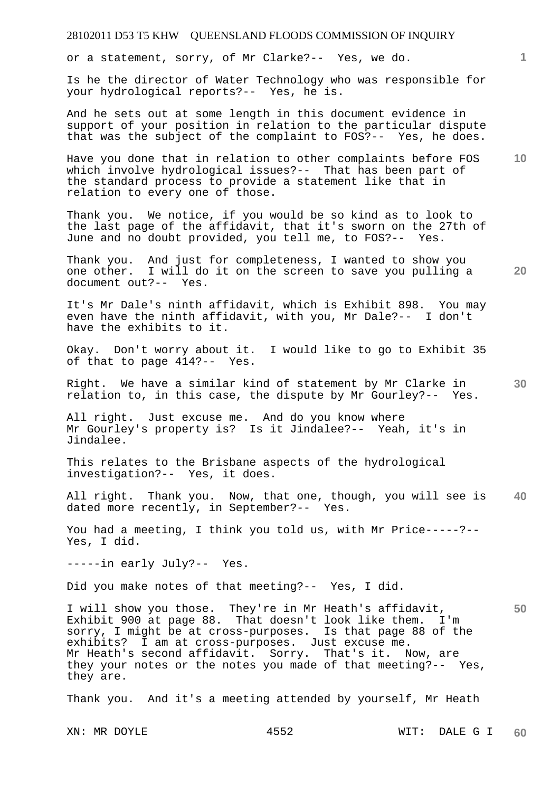or a statement, sorry, of Mr Clarke?-- Yes, we do.

Is he the director of Water Technology who was responsible for your hydrological reports?-- Yes, he is.

And he sets out at some length in this document evidence in support of your position in relation to the particular dispute that was the subject of the complaint to FOS?-- Yes, he does.

**10**  Have you done that in relation to other complaints before FOS which involve hydrological issues?-- That has been part of the standard process to provide a statement like that in relation to every one of those.

Thank you. We notice, if you would be so kind as to look to the last page of the affidavit, that it's sworn on the 27th of June and no doubt provided, you tell me, to FOS?-- Yes.

**20**  Thank you. And just for completeness, I wanted to show you one other. I will do it on the screen to save you pulling a document out?-- Yes.

It's Mr Dale's ninth affidavit, which is Exhibit 898. You may even have the ninth affidavit, with you, Mr Dale?-- I don't have the exhibits to it.

Okay. Don't worry about it. I would like to go to Exhibit 35 of that to page 414?-- Yes.

**30**  Right. We have a similar kind of statement by Mr Clarke in relation to, in this case, the dispute by Mr Gourley?-- Yes.

All right. Just excuse me. And do you know where Mr Gourley's property is? Is it Jindalee?-- Yeah, it's in Jindalee.

This relates to the Brisbane aspects of the hydrological investigation?-- Yes, it does.

**40**  All right. Thank you. Now, that one, though, you will see is dated more recently, in September?-- Yes.

You had a meeting, I think you told us, with Mr Price-----?-- Yes, I did.

-----in early July?-- Yes.

Did you make notes of that meeting?-- Yes, I did.

**50**  I will show you those. They're in Mr Heath's affidavit, Exhibit 900 at page 88. That doesn't look like them. I'm sorry, I might be at cross-purposes. Is that page 88 of the exhibits? I am at cross-purposes. Just excuse me. Mr Heath's second affidavit. Sorry. That's it. Now, are they your notes or the notes you made of that meeting?-- Yes, they are.

Thank you. And it's a meeting attended by yourself, Mr Heath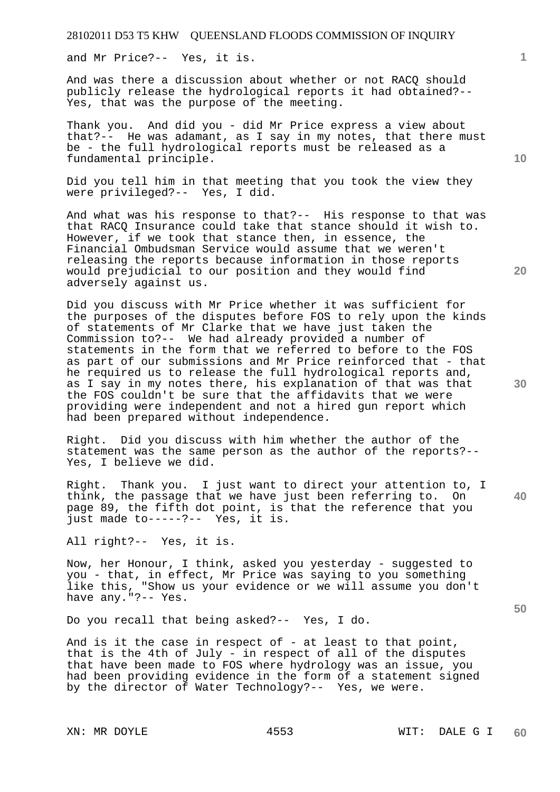and Mr Price?-- Yes, it is.

And was there a discussion about whether or not RACQ should publicly release the hydrological reports it had obtained?-- Yes, that was the purpose of the meeting.

Thank you. And did you - did Mr Price express a view about that?-- He was adamant, as I say in my notes, that there must be - the full hydrological reports must be released as a fundamental principle.

Did you tell him in that meeting that you took the view they were privileged?-- Yes, I did.

And what was his response to that?-- His response to that was that RACQ Insurance could take that stance should it wish to. However, if we took that stance then, in essence, the Financial Ombudsman Service would assume that we weren't releasing the reports because information in those reports would prejudicial to our position and they would find adversely against us.

Did you discuss with Mr Price whether it was sufficient for the purposes of the disputes before FOS to rely upon the kinds of statements of Mr Clarke that we have just taken the Commission to?-- We had already provided a number of statements in the form that we referred to before to the FOS as part of our submissions and Mr Price reinforced that - that he required us to release the full hydrological reports and, as I say in my notes there, his explanation of that was that the FOS couldn't be sure that the affidavits that we were providing were independent and not a hired gun report which had been prepared without independence.

Right. Did you discuss with him whether the author of the statement was the same person as the author of the reports?-- Yes, I believe we did.

Right. Thank you. I just want to direct your attention to, I think, the passage that we have just been referring to. On page 89, the fifth dot point, is that the reference that you just made to-----?-- Yes, it is.

All right?-- Yes, it is.

Now, her Honour, I think, asked you yesterday - suggested to you - that, in effect, Mr Price was saying to you something like this, "Show us your evidence or we will assume you don't have any."?-- Yes.

Do you recall that being asked?-- Yes, I do.

And is it the case in respect of - at least to that point, that is the 4th of July  $-$  in respect of all of the disputes that have been made to FOS where hydrology was an issue, you had been providing evidence in the form of a statement signed by the director of Water Technology?-- Yes, we were.

**10** 

**1**

**20** 

**30** 

**40**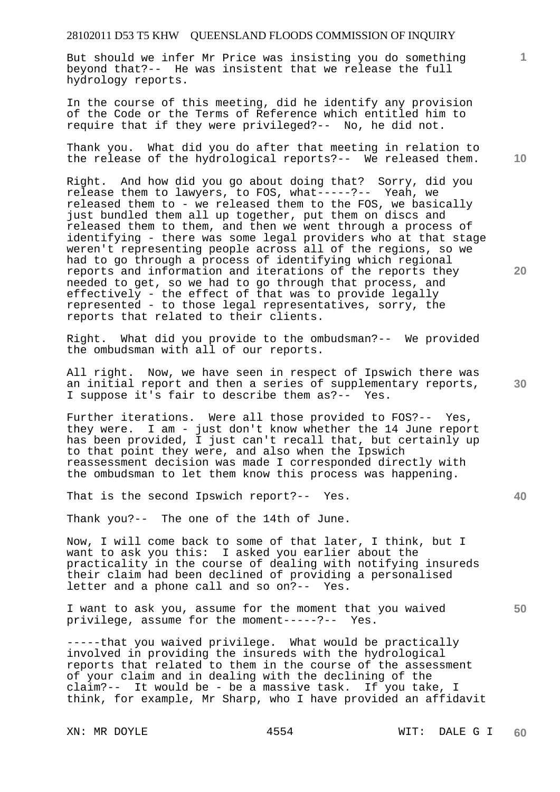But should we infer Mr Price was insisting you do something beyond that?-- He was insistent that we release the full hydrology reports.

In the course of this meeting, did he identify any provision of the Code or the Terms of Reference which entitled him to require that if they were privileged?-- No, he did not.

Thank you. What did you do after that meeting in relation to the release of the hydrological reports?-- We released them.

Right. And how did you go about doing that? Sorry, did you release them to lawyers, to FOS, what-----?-- Yeah, we released them to - we released them to the FOS, we basically just bundled them all up together, put them on discs and released them to them, and then we went through a process of identifying - there was some legal providers who at that stage weren't representing people across all of the regions, so we had to go through a process of identifying which regional reports and information and iterations of the reports they needed to get, so we had to go through that process, and effectively - the effect of that was to provide legally represented - to those legal representatives, sorry, the reports that related to their clients.

Right. What did you provide to the ombudsman?-- We provided the ombudsman with all of our reports.

All right. Now, we have seen in respect of Ipswich there was an initial report and then a series of supplementary reports, I suppose it's fair to describe them as?-- Yes.

Further iterations. Were all those provided to FOS?-- Yes, they were. I am - just don't know whether the 14 June report has been provided, I just can't recall that, but certainly up to that point they were, and also when the Ipswich reassessment decision was made I corresponded directly with the ombudsman to let them know this process was happening.

That is the second Ipswich report?-- Yes.

Thank you?-- The one of the 14th of June.

Now, I will come back to some of that later, I think, but I want to ask you this: I asked you earlier about the practicality in the course of dealing with notifying insureds their claim had been declined of providing a personalised letter and a phone call and so on?-- Yes.

I want to ask you, assume for the moment that you waived privilege, assume for the moment-----?-- Yes.

-----that you waived privilege. What would be practically involved in providing the insureds with the hydrological reports that related to them in the course of the assessment of your claim and in dealing with the declining of the claim?-- It would be - be a massive task. If you take, I think, for example, Mr Sharp, who I have provided an affidavit

**10** 

**1**

**20** 

**50**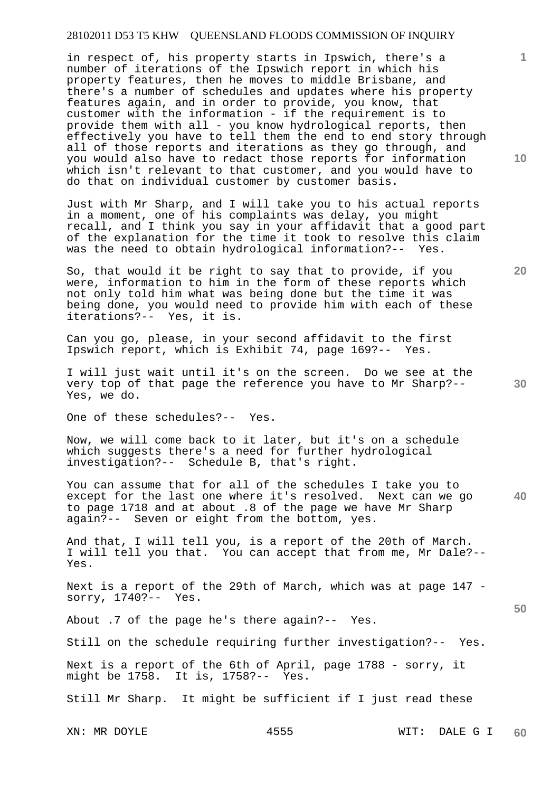in respect of, his property starts in Ipswich, there's a number of iterations of the Ipswich report in which his property features, then he moves to middle Brisbane, and there's a number of schedules and updates where his property features again, and in order to provide, you know, that customer with the information - if the requirement is to provide them with all - you know hydrological reports, then effectively you have to tell them the end to end story through all of those reports and iterations as they go through, and you would also have to redact those reports for information which isn't relevant to that customer, and you would have to do that on individual customer by customer basis.

Just with Mr Sharp, and I will take you to his actual reports in a moment, one of his complaints was delay, you might recall, and I think you say in your affidavit that a good part of the explanation for the time it took to resolve this claim was the need to obtain hydrological information?-- Yes.

So, that would it be right to say that to provide, if you were, information to him in the form of these reports which not only told him what was being done but the time it was being done, you would need to provide him with each of these iterations?-- Yes, it is.

Can you go, please, in your second affidavit to the first Ipswich report, which is Exhibit 74, page 169?-- Yes.

I will just wait until it's on the screen. Do we see at the very top of that page the reference you have to Mr Sharp?-- Yes, we do.

One of these schedules?-- Yes.

Now, we will come back to it later, but it's on a schedule which suggests there's a need for further hydrological investigation?-- Schedule B, that's right.

**40**  You can assume that for all of the schedules I take you to except for the last one where it's resolved. Next can we go to page 1718 and at about .8 of the page we have Mr Sharp again?-- Seven or eight from the bottom, yes.

And that, I will tell you, is a report of the 20th of March. I will tell you that. You can accept that from me, Mr Dale?-- Yes.

Next is a report of the 29th of March, which was at page 147 sorry, 1740?-- Yes.

About .7 of the page he's there again?-- Yes.

Still on the schedule requiring further investigation?-- Yes.

Next is a report of the 6th of April, page 1788 - sorry, it might be 1758. It is, 1758?-- Yes.

Still Mr Sharp. It might be sufficient if I just read these

**10** 

**1**

**20**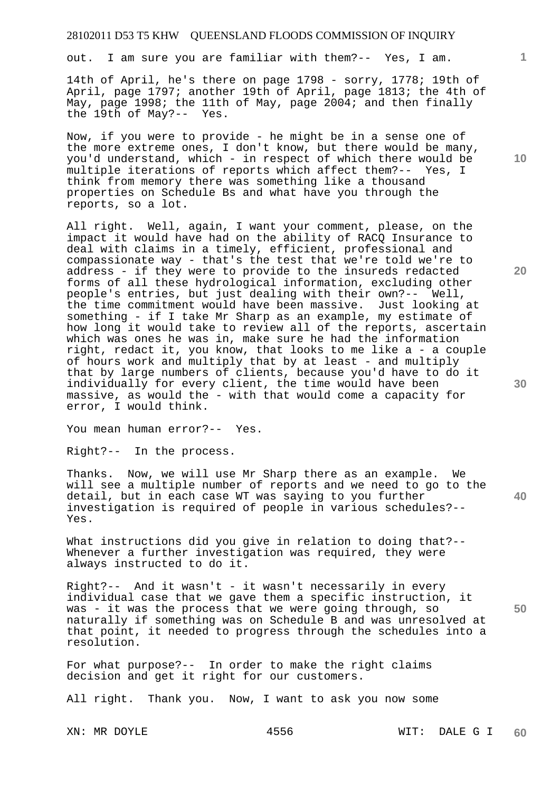out. I am sure you are familiar with them?-- Yes, I am.

14th of April, he's there on page 1798 - sorry, 1778; 19th of April, page 1797; another 19th of April, page 1813; the 4th of May, page 1998; the 11th of May, page 2004; and then finally the 19th of May?-- Yes. the 19th of May? $-$ -

Now, if you were to provide - he might be in a sense one of the more extreme ones, I don't know, but there would be many, you'd understand, which - in respect of which there would be multiple iterations of reports which affect them?-- Yes, I think from memory there was something like a thousand properties on Schedule Bs and what have you through the reports, so a lot.

All right. Well, again, I want your comment, please, on the impact it would have had on the ability of RACQ Insurance to deal with claims in a timely, efficient, professional and compassionate way - that's the test that we're told we're to address - if they were to provide to the insureds redacted forms of all these hydrological information, excluding other people's entries, but just dealing with their own?-- Well, the time commitment would have been massive. Just looking at something - if I take Mr Sharp as an example, my estimate of how long it would take to review all of the reports, ascertain which was ones he was in, make sure he had the information right, redact it, you know, that looks to me like a - a couple of hours work and multiply that by at least - and multiply that by large numbers of clients, because you'd have to do it individually for every client, the time would have been massive, as would the - with that would come a capacity for error, I would think.

You mean human error?-- Yes.

Right?-- In the process.

Thanks. Now, we will use Mr Sharp there as an example. We will see a multiple number of reports and we need to go to the detail, but in each case WT was saying to you further investigation is required of people in various schedules?-- Yes.

What instructions did you give in relation to doing that?-- Whenever a further investigation was required, they were always instructed to do it.

Right?-- And it wasn't - it wasn't necessarily in every individual case that we gave them a specific instruction, it was - it was the process that we were going through, so naturally if something was on Schedule B and was unresolved at that point, it needed to progress through the schedules into a resolution.

For what purpose?-- In order to make the right claims decision and get it right for our customers.

All right. Thank you. Now, I want to ask you now some

**10** 

**1**

**20** 

**40**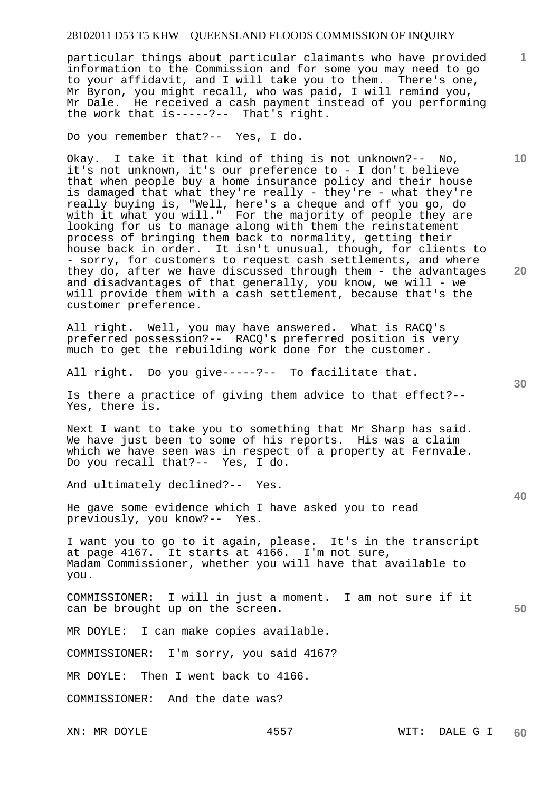particular things about particular claimants who have provided information to the Commission and for some you may need to go to your affidavit, and I will take you to them. There's one, Mr Byron, you might recall, who was paid, I will remind you, Mr Dale. He received a cash payment instead of you performing the work that is-----?-- That's right.

Do you remember that?-- Yes, I do.

Okay. I take it that kind of thing is not unknown?-- No, it's not unknown, it's our preference to - I don't believe that when people buy a home insurance policy and their house is damaged that what they're really - they're - what they're really buying is, "Well, here's a cheque and off you go, do with it what you will." For the majority of people they are looking for us to manage along with them the reinstatement process of bringing them back to normality, getting their house back in order. It isn't unusual, though, for clients to - sorry, for customers to request cash settlements, and where they do, after we have discussed through them - the advantages and disadvantages of that generally, you know, we will - we will provide them with a cash settlement, because that's the customer preference.

All right. Well, you may have answered. What is RACQ's preferred possession?-- RACQ's preferred position is very much to get the rebuilding work done for the customer.

All right. Do you give-----?-- To facilitate that.

Is there a practice of giving them advice to that effect?-- Yes, there is.

Next I want to take you to something that Mr Sharp has said. We have just been to some of his reports. His was a claim which we have seen was in respect of a property at Fernvale. Do you recall that?-- Yes, I do.

And ultimately declined?-- Yes.

He gave some evidence which I have asked you to read previously, you know?-- Yes.

I want you to go to it again, please. It's in the transcript at page 4167. It starts at 4166. I'm not sure, Madam Commissioner, whether you will have that available to you.

COMMISSIONER: I will in just a moment. I am not sure if it can be brought up on the screen.

MR DOYLE: I can make copies available.

COMMISSIONER: I'm sorry, you said 4167?

MR DOYLE: Then I went back to 4166.

COMMISSIONER: And the date was?

**1**

**10** 

**20** 

**30** 

**40**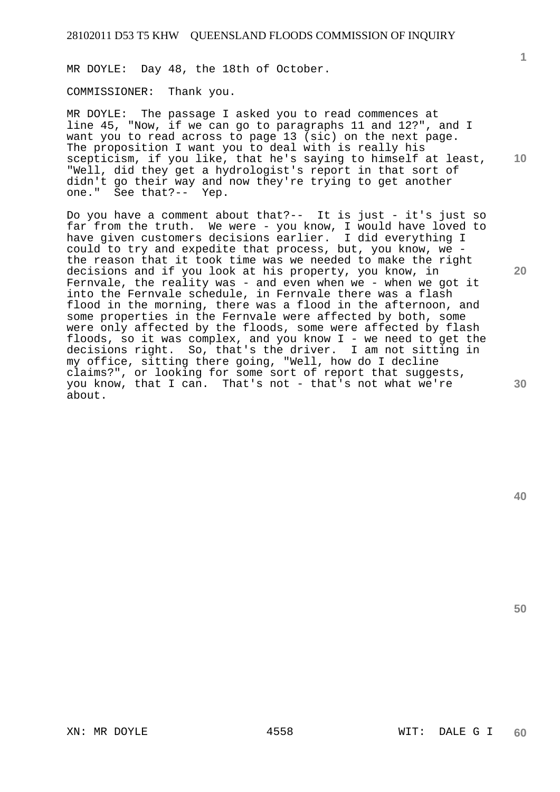MR DOYLE: Day 48, the 18th of October.

COMMISSIONER: Thank you.

**10**  MR DOYLE: The passage I asked you to read commences at line 45, "Now, if we can go to paragraphs 11 and 12?", and I want you to read across to page 13 (sic) on the next page. The proposition I want you to deal with is really his scepticism, if you like, that he's saying to himself at least, "Well, did they get a hydrologist's report in that sort of didn't go their way and now they're trying to get another one." See that?-- Yep.

Do you have a comment about that?-- It is just - it's just so far from the truth. We were - you know, I would have loved to have given customers decisions earlier. I did everything I could to try and expedite that process, but, you know, we the reason that it took time was we needed to make the right decisions and if you look at his property, you know, in Fernvale, the reality was - and even when we - when we got it into the Fernvale schedule, in Fernvale there was a flash flood in the morning, there was a flood in the afternoon, and some properties in the Fernvale were affected by both, some were only affected by the floods, some were affected by flash floods, so it was complex, and you know I - we need to get the decisions right. So, that's the driver. I am not sitting in my office, sitting there going, "Well, how do I decline claims?", or looking for some sort of report that suggests, you know, that I can. That's not - that's not what we're about.

**1**

**20**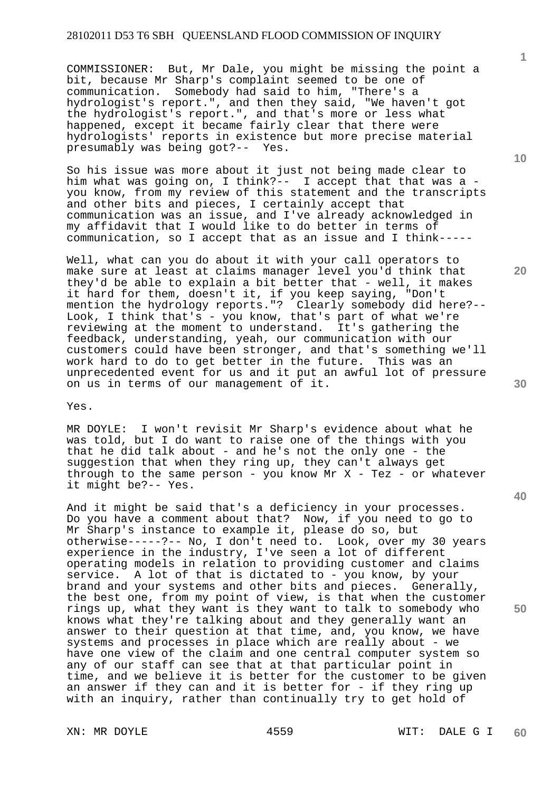COMMISSIONER: But, Mr Dale, you might be missing the point a bit, because Mr Sharp's complaint seemed to be one of communication. Somebody had said to him, "There's a hydrologist's report.", and then they said, "We haven't got the hydrologist's report.", and that's more or less what happened, except it became fairly clear that there were hydrologists' reports in existence but more precise material presumably was being got?-- Yes.

So his issue was more about it just not being made clear to him what was going on, I think?-- I accept that that was a you know, from my review of this statement and the transcripts and other bits and pieces, I certainly accept that communication was an issue, and I've already acknowledged in my affidavit that I would like to do better in terms of communication, so I accept that as an issue and I think-----

Well, what can you do about it with your call operators to make sure at least at claims manager level you'd think that they'd be able to explain a bit better that - well, it makes it hard for them, doesn't it, if you keep saying, "Don't mention the hydrology reports."? Clearly somebody did here?-- Look, I think that's - you know, that's part of what we're reviewing at the moment to understand. It's gathering the feedback, understanding, yeah, our communication with our customers could have been stronger, and that's something we'll work hard to do to get better in the future. This was an unprecedented event for us and it put an awful lot of pressure on us in terms of our management of it.

Yes.

MR DOYLE: I won't revisit Mr Sharp's evidence about what he was told, but I do want to raise one of the things with you that he did talk about - and he's not the only one - the suggestion that when they ring up, they can't always get through to the same person - you know Mr  $X$  - Tez - or whatever it might be?-- Yes.

And it might be said that's a deficiency in your processes. Do you have a comment about that? Now, if you need to go to Mr Sharp's instance to example it, please do so, but otherwise-----?-- No, I don't need to. Look, over my 30 years experience in the industry, I've seen a lot of different operating models in relation to providing customer and claims service. A lot of that is dictated to - you know, by your brand and your systems and other bits and pieces. Generally, the best one, from my point of view, is that when the customer rings up, what they want is they want to talk to somebody who knows what they're talking about and they generally want an answer to their question at that time, and, you know, we have systems and processes in place which are really about - we have one view of the claim and one central computer system so any of our staff can see that at that particular point in time, and we believe it is better for the customer to be given an answer if they can and it is better for - if they ring up with an inquiry, rather than continually try to get hold of

**1**

**20** 

**40**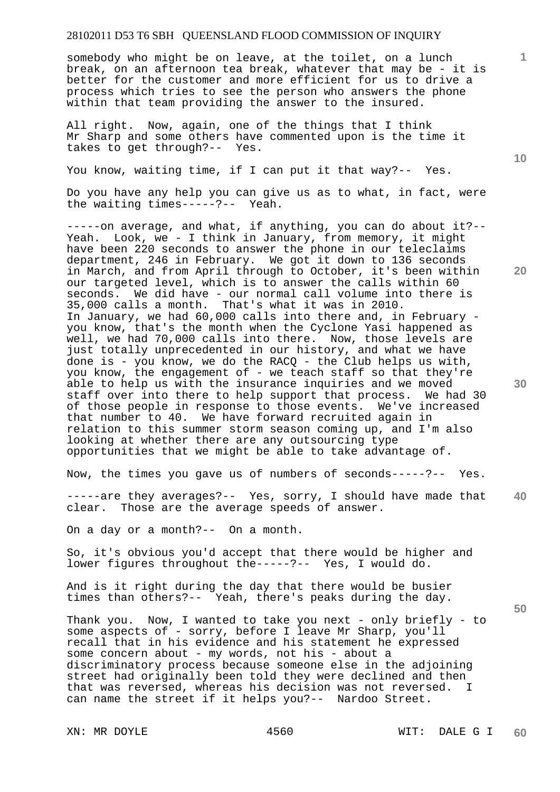somebody who might be on leave, at the toilet, on a lunch break, on an afternoon tea break, whatever that may be - it is better for the customer and more efficient for us to drive a process which tries to see the person who answers the phone within that team providing the answer to the insured.

All right. Now, again, one of the things that I think Mr Sharp and some others have commented upon is the time it takes to get through?-- Yes.

You know, waiting time, if I can put it that way?-- Yes.

Do you have any help you can give us as to what, in fact, were the waiting times-----?-- Yeah.

-----on average, and what, if anything, you can do about it?-- Yeah. Look, we - I think in January, from memory, it might have been 220 seconds to answer the phone in our teleclaims department, 246 in February. We got it down to 136 seconds in March, and from April through to October, it's been within our targeted level, which is to answer the calls within 60 seconds. We did have - our normal call volume into there is 35,000 calls a month. That's what it was in 2010. In January, we had 60,000 calls into there and, in February you know, that's the month when the Cyclone Yasi happened as well, we had 70,000 calls into there. Now, those levels are just totally unprecedented in our history, and what we have done is - you know, we do the RACQ - the Club helps us with, you know, the engagement of - we teach staff so that they're able to help us with the insurance inquiries and we moved staff over into there to help support that process. We had 30 of those people in response to those events. We've increased that number to 40. We have forward recruited again in relation to this summer storm season coming up, and I'm also looking at whether there are any outsourcing type opportunities that we might be able to take advantage of.

Now, the times you gave us of numbers of seconds-----?-- Yes.

**40**  -----are they averages?-- Yes, sorry, I should have made that clear. Those are the average speeds of answer.

On a day or a month?-- On a month.

So, it's obvious you'd accept that there would be higher and lower figures throughout the-----?-- Yes, I would do.

And is it right during the day that there would be busier times than others?-- Yeah, there's peaks during the day.

Thank you. Now, I wanted to take you next - only briefly - to some aspects of - sorry, before I leave Mr Sharp, you'll recall that in his evidence and his statement he expressed some concern about - my words, not his - about a discriminatory process because someone else in the adjoining street had originally been told they were declined and then that was reversed, whereas his decision was not reversed. I can name the street if it helps you?-- Nardoo Street.

**10** 

**1**

**20**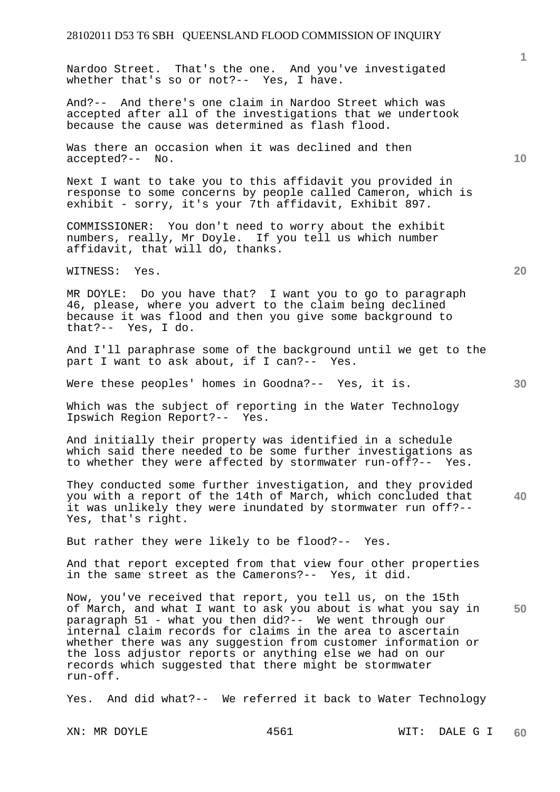Nardoo Street. That's the one. And you've investigated whether that's so or not?-- Yes, I have.

And?-- And there's one claim in Nardoo Street which was accepted after all of the investigations that we undertook because the cause was determined as flash flood.

Was there an occasion when it was declined and then accepted?-- No.

Next I want to take you to this affidavit you provided in response to some concerns by people called Cameron, which is exhibit - sorry, it's your 7th affidavit, Exhibit 897.

COMMISSIONER: You don't need to worry about the exhibit numbers, really, Mr Doyle. If you tell us which number affidavit, that will do, thanks.

WITNESS: Yes.

MR DOYLE: Do you have that? I want you to go to paragraph 46, please, where you advert to the claim being declined because it was flood and then you give some background to that?-- Yes, I do.

And I'll paraphrase some of the background until we get to the part I want to ask about, if I can?-- Yes.

Were these peoples' homes in Goodna?-- Yes, it is.

Which was the subject of reporting in the Water Technology Ipswich Region Report?-- Yes.

And initially their property was identified in a schedule which said there needed to be some further investigations as to whether they were affected by stormwater run-off?-- Yes.

**40**  They conducted some further investigation, and they provided you with a report of the 14th of March, which concluded that it was unlikely they were inundated by stormwater run off?-- Yes, that's right.

But rather they were likely to be flood?-- Yes.

And that report excepted from that view four other properties in the same street as the Camerons?-- Yes, it did.

**50**  Now, you've received that report, you tell us, on the 15th of March, and what I want to ask you about is what you say in paragraph 51 - what you then did?-- We went through our internal claim records for claims in the area to ascertain whether there was any suggestion from customer information or the loss adjustor reports or anything else we had on our records which suggested that there might be stormwater run-off.

Yes. And did what?-- We referred it back to Water Technology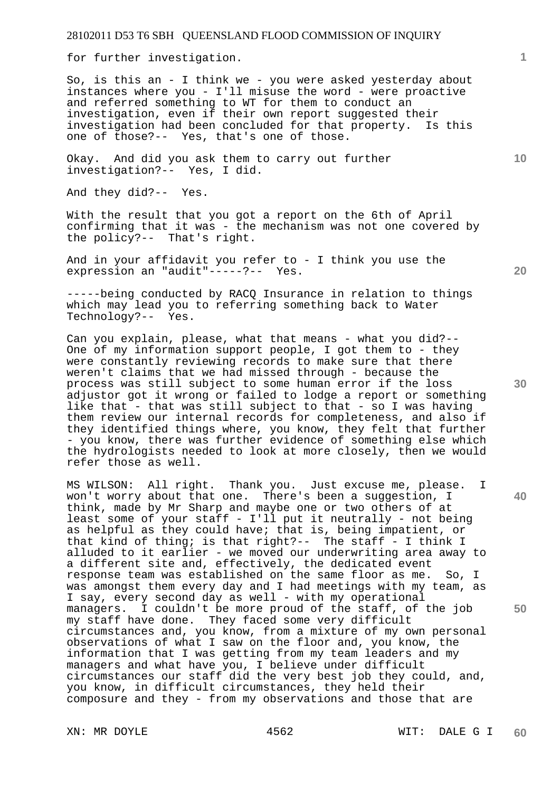for further investigation.

So, is this an - I think we - you were asked yesterday about instances where you - I'll misuse the word - were proactive and referred something to WT for them to conduct an investigation, even if their own report suggested their investigation had been concluded for that property. Is this one of those?-- Yes, that's one of those.

Okay. And did you ask them to carry out further investigation?-- Yes, I did.

And they did?-- Yes.

With the result that you got a report on the 6th of April confirming that it was - the mechanism was not one covered by the policy?-- That's right.

And in your affidavit you refer to - I think you use the expression an "audit"-----?-- Yes.

-----being conducted by RACQ Insurance in relation to things which may lead you to referring something back to Water Technology?-- Yes.

Can you explain, please, what that means - what you did?-- One of my information support people, I got them to - they were constantly reviewing records to make sure that there weren't claims that we had missed through - because the process was still subject to some human error if the loss adjustor got it wrong or failed to lodge a report or something like that - that was still subject to that - so I was having them review our internal records for completeness, and also if they identified things where, you know, they felt that further - you know, there was further evidence of something else which the hydrologists needed to look at more closely, then we would refer those as well.

MS WILSON: All right. Thank you. Just excuse me, please. I won't worry about that one. There's been a suggestion, I think, made by Mr Sharp and maybe one or two others of at least some of your staff - I'll put it neutrally - not being as helpful as they could have; that is, being impatient, or that kind of thing; is that right?-- The staff - I think I alluded to it earlier - we moved our underwriting area away to a different site and, effectively, the dedicated event response team was established on the same floor as me. So, I was amongst them every day and I had meetings with my team, as I say, every second day as well - with my operational managers. I couldn't be more proud of the staff, of the job my staff have done. They faced some very difficult circumstances and, you know, from a mixture of my own personal observations of what I saw on the floor and, you know, the information that I was getting from my team leaders and my managers and what have you, I believe under difficult circumstances our staff did the very best job they could, and, you know, in difficult circumstances, they held their composure and they - from my observations and those that are

**10** 

**1**

**40**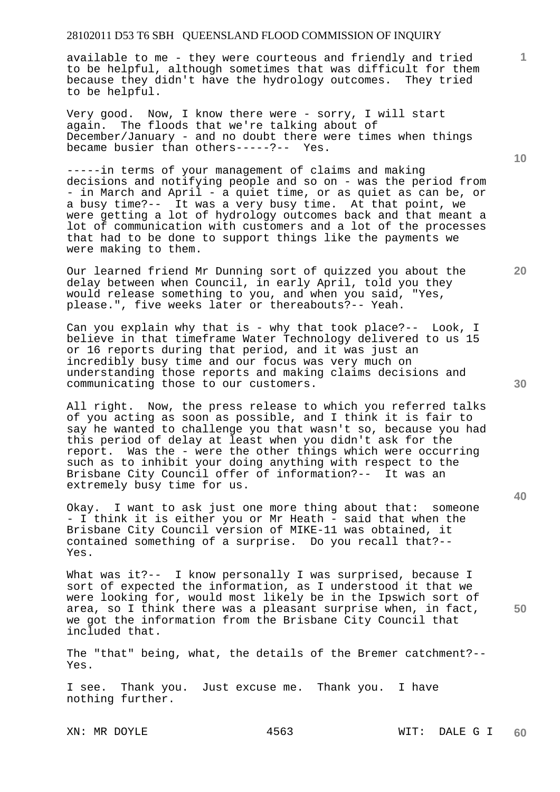available to me - they were courteous and friendly and tried to be helpful, although sometimes that was difficult for them because they didn't have the hydrology outcomes. They tried to be helpful.

Very good. Now, I know there were - sorry, I will start again. The floods that we're talking about of December/January - and no doubt there were times when things became busier than others-----?-- Yes.

-----in terms of your management of claims and making decisions and notifying people and so on - was the period from - in March and April - a quiet time, or as quiet as can be, or a busy time?-- It was a very busy time. At that point, we were getting a lot of hydrology outcomes back and that meant a lot of communication with customers and a lot of the processes that had to be done to support things like the payments we were making to them.

Our learned friend Mr Dunning sort of quizzed you about the delay between when Council, in early April, told you they would release something to you, and when you said, "Yes, please.", five weeks later or thereabouts?-- Yeah.

Can you explain why that is - why that took place?-- Look, I believe in that timeframe Water Technology delivered to us 15 or 16 reports during that period, and it was just an incredibly busy time and our focus was very much on understanding those reports and making claims decisions and communicating those to our customers.

All right. Now, the press release to which you referred talks of you acting as soon as possible, and I think it is fair to say he wanted to challenge you that wasn't so, because you had this period of delay at least when you didn't ask for the report. Was the - were the other things which were occurring such as to inhibit your doing anything with respect to the Brisbane City Council offer of information?-- It was an extremely busy time for us.

Okay. I want to ask just one more thing about that: someone - I think it is either you or Mr Heath - said that when the Brisbane City Council version of MIKE-11 was obtained, it contained something of a surprise. Do you recall that?-- Yes.

What was it?-- I know personally I was surprised, because I sort of expected the information, as I understood it that we were looking for, would most likely be in the Ipswich sort of area, so I think there was a pleasant surprise when, in fact, we got the information from the Brisbane City Council that included that.

The "that" being, what, the details of the Bremer catchment?-- Yes.

I see. Thank you. Just excuse me. Thank you. I have nothing further.

**10** 

**1**

**20** 

**30** 

**40**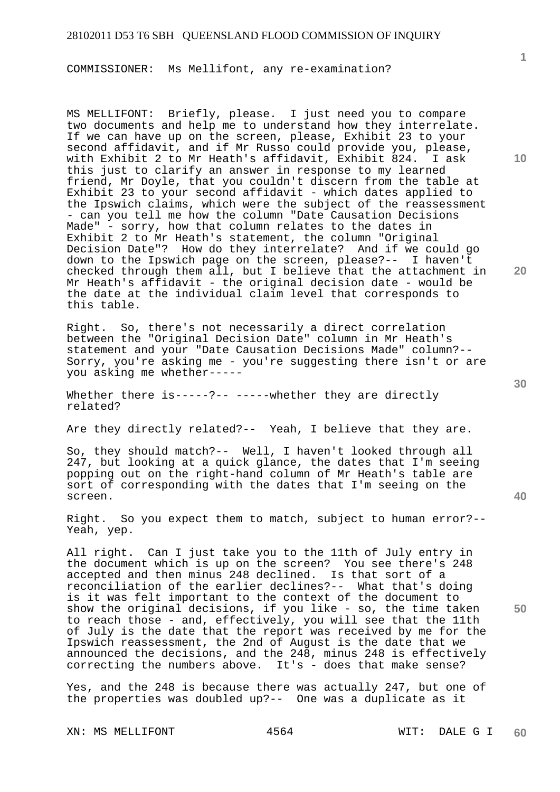COMMISSIONER: Ms Mellifont, any re-examination?

MS MELLIFONT: Briefly, please. I just need you to compare two documents and help me to understand how they interrelate. If we can have up on the screen, please, Exhibit 23 to your second affidavit, and if Mr Russo could provide you, please, with Exhibit 2 to Mr Heath's affidavit, Exhibit 824. I ask this just to clarify an answer in response to my learned friend, Mr Doyle, that you couldn't discern from the table at Exhibit 23 to your second affidavit - which dates applied to the Ipswich claims, which were the subject of the reassessment - can you tell me how the column "Date Causation Decisions Made" - sorry, how that column relates to the dates in Exhibit 2 to Mr Heath's statement, the column "Original Decision Date"? How do they interrelate? And if we could go down to the Ipswich page on the screen, please?-- I haven't checked through them all, but I believe that the attachment in Mr Heath's affidavit - the original decision date - would be the date at the individual claim level that corresponds to this table.

Right. So, there's not necessarily a direct correlation between the "Original Decision Date" column in Mr Heath's statement and your "Date Causation Decisions Made" column?-- Sorry, you're asking me - you're suggesting there isn't or are you asking me whether-----

Whether there is-----?-- -----whether they are directly related?

Are they directly related?-- Yeah, I believe that they are.

So, they should match?-- Well, I haven't looked through all 247, but looking at a quick glance, the dates that I'm seeing popping out on the right-hand column of Mr Heath's table are sort of corresponding with the dates that I'm seeing on the screen.

Right. So you expect them to match, subject to human error?-- Yeah, yep.

All right. Can I just take you to the 11th of July entry in the document which is up on the screen? You see there's 248 accepted and then minus 248 declined. Is that sort of a reconciliation of the earlier declines?-- What that's doing is it was felt important to the context of the document to show the original decisions, if you like - so, the time taken to reach those - and, effectively, you will see that the 11th of July is the date that the report was received by me for the Ipswich reassessment, the 2nd of August is the date that we announced the decisions, and the 248, minus 248 is effectively correcting the numbers above. It's - does that make sense?

Yes, and the 248 is because there was actually 247, but one of the properties was doubled up?-- One was a duplicate as it

XN: MS MELLIFONT 4564 WIT: DALE G I

**10** 

**1**

**20** 

**30**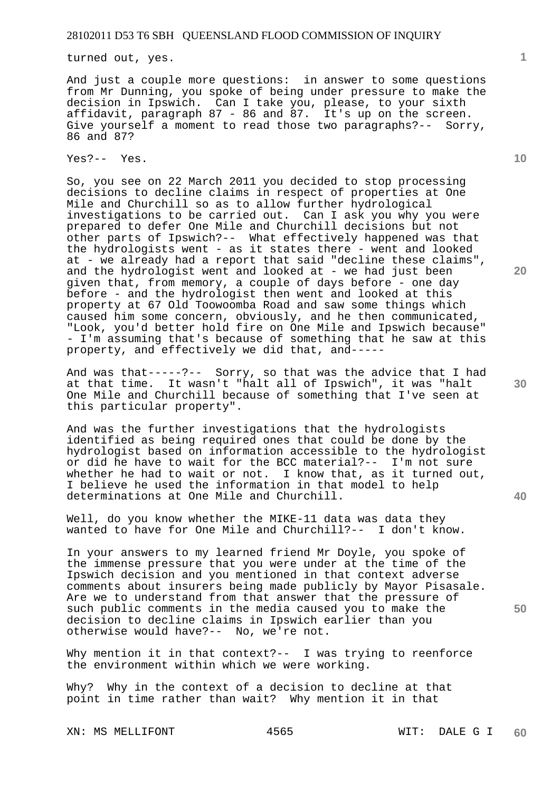turned out, yes.

And just a couple more questions: in answer to some questions from Mr Dunning, you spoke of being under pressure to make the decision in Ipswich. Can I take you, please, to your sixth affidavit, paragraph 87 - 86 and 87. It's up on the screen. Give yourself a moment to read those two paragraphs?-- Sorry, 86 and 87?

Yes?-- Yes.

So, you see on 22 March 2011 you decided to stop processing decisions to decline claims in respect of properties at One Mile and Churchill so as to allow further hydrological investigations to be carried out. Can I ask you why you were prepared to defer One Mile and Churchill decisions but not other parts of Ipswich?-- What effectively happened was that the hydrologists went - as it states there - went and looked at - we already had a report that said "decline these claims", and the hydrologist went and looked at - we had just been given that, from memory, a couple of days before - one day before - and the hydrologist then went and looked at this property at 67 Old Toowoomba Road and saw some things which caused him some concern, obviously, and he then communicated, "Look, you'd better hold fire on One Mile and Ipswich because" - I'm assuming that's because of something that he saw at this property, and effectively we did that, and-----

And was that-----?-- Sorry, so that was the advice that I had at that time. It wasn't "halt all of Ipswich", it was "halt One Mile and Churchill because of something that I've seen at this particular property".

And was the further investigations that the hydrologists identified as being required ones that could be done by the hydrologist based on information accessible to the hydrologist or did he have to wait for the BCC material?-- I'm not sure whether he had to wait or not. I know that, as it turned out, I believe he used the information in that model to help determinations at One Mile and Churchill.

Well, do you know whether the MIKE-11 data was data they wanted to have for One Mile and Churchill?-- I don't know.

In your answers to my learned friend Mr Doyle, you spoke of the immense pressure that you were under at the time of the Ipswich decision and you mentioned in that context adverse comments about insurers being made publicly by Mayor Pisasale. Are we to understand from that answer that the pressure of such public comments in the media caused you to make the decision to decline claims in Ipswich earlier than you otherwise would have?-- No, we're not.

Why mention it in that context?-- I was trying to reenforce the environment within which we were working.

Why? Why in the context of a decision to decline at that point in time rather than wait? Why mention it in that

XN: MS MELLIFONT 4565 WIT: DALE G I

**10** 

**1**

**30** 

**20** 

**40**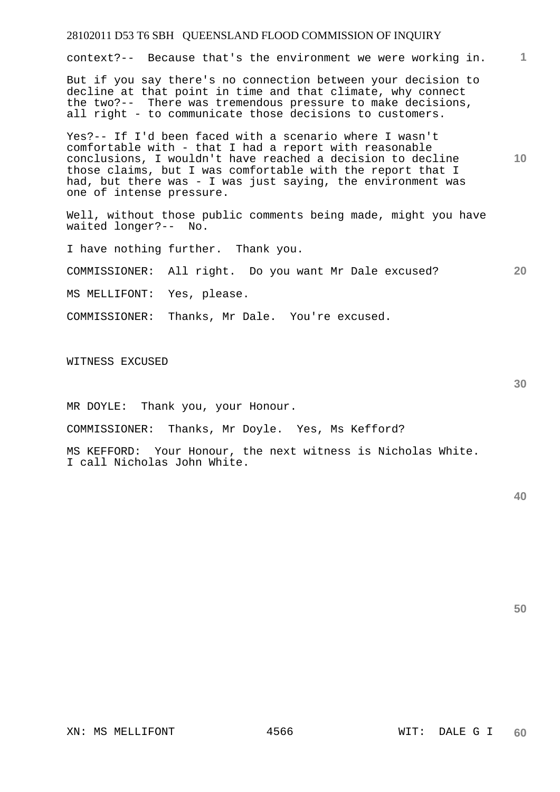# 28102011 D53 T6 SBH QUEENSLAND FLOOD COMMISSION OF INQUIRY **1 10 20**  context?-- Because that's the environment we were working in. But if you say there's no connection between your decision to decline at that point in time and that climate, why connect the two?-- There was tremendous pressure to make decisions, all right - to communicate those decisions to customers. Yes?-- If I'd been faced with a scenario where I wasn't comfortable with - that I had a report with reasonable conclusions, I wouldn't have reached a decision to decline those claims, but I was comfortable with the report that I had, but there was - I was just saying, the environment was one of intense pressure. Well, without those public comments being made, might you have waited longer?-- No. I have nothing further. Thank you. COMMISSIONER: All right. Do you want Mr Dale excused? MS MELLIFONT: Yes, please. COMMISSIONER: Thanks, Mr Dale. You're excused. WITNESS EXCUSED

MR DOYLE: Thank you, your Honour.

COMMISSIONER: Thanks, Mr Doyle. Yes, Ms Kefford?

MS KEFFORD: Your Honour, the next witness is Nicholas White. I call Nicholas John White.

**50**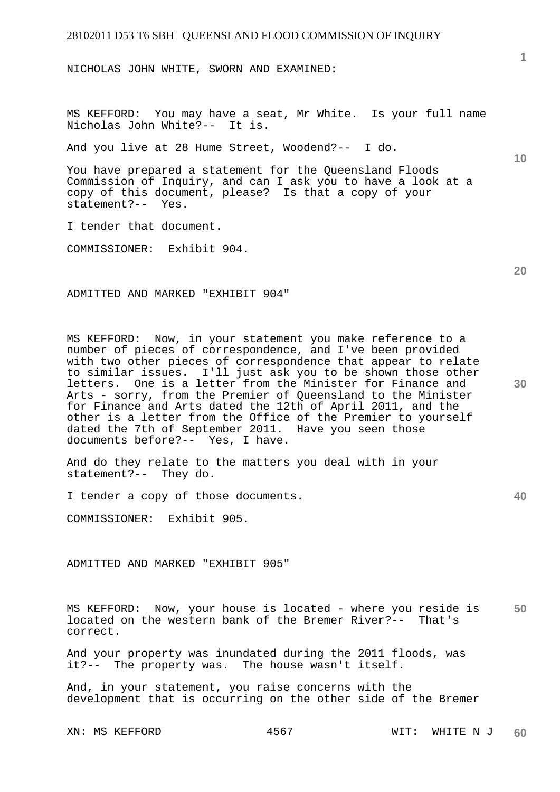NICHOLAS JOHN WHITE, SWORN AND EXAMINED:

MS KEFFORD: You may have a seat, Mr White. Is your full name Nicholas John White?-- It is.

And you live at 28 Hume Street, Woodend?-- I do.

You have prepared a statement for the Queensland Floods Commission of Inquiry, and can I ask you to have a look at a copy of this document, please? Is that a copy of your statement?-- Yes.

I tender that document.

COMMISSIONER: Exhibit 904.

ADMITTED AND MARKED "EXHIBIT 904"

MS KEFFORD: Now, in your statement you make reference to a number of pieces of correspondence, and I've been provided with two other pieces of correspondence that appear to relate to similar issues. I'll just ask you to be shown those other letters. One is a letter from the Minister for Finance and Arts - sorry, from the Premier of Queensland to the Minister for Finance and Arts dated the 12th of April 2011, and the other is a letter from the Office of the Premier to yourself dated the 7th of September 2011. Have you seen those documents before?-- Yes, I have.

And do they relate to the matters you deal with in your statement?-- They do.

I tender a copy of those documents.

COMMISSIONER: Exhibit 905.

ADMITTED AND MARKED "EXHIBIT 905"

**50**  MS KEFFORD: Now, your house is located - where you reside is located on the western bank of the Bremer River?-- That's correct.

And your property was inundated during the 2011 floods, was it?-- The property was. The house wasn't itself.

And, in your statement, you raise concerns with the development that is occurring on the other side of the Bremer

**20** 

**40** 

**10**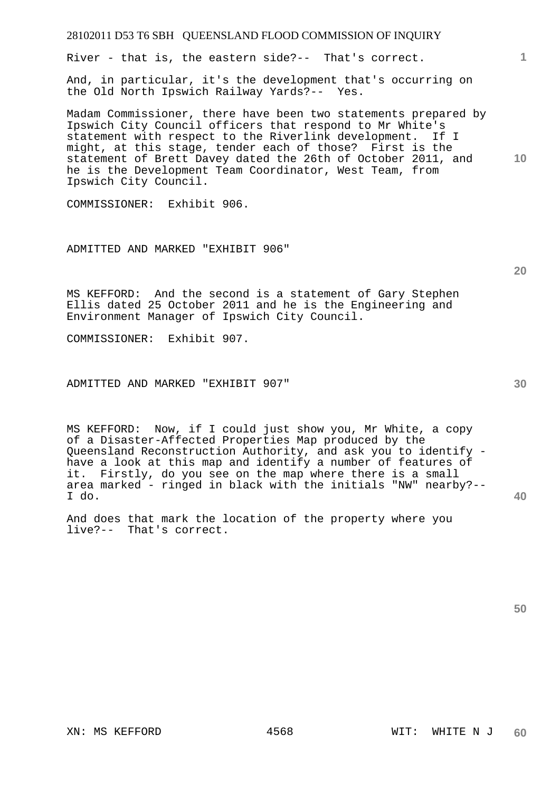River - that is, the eastern side?-- That's correct.

And, in particular, it's the development that's occurring on the Old North Ipswich Railway Yards?-- Yes.

Madam Commissioner, there have been two statements prepared by Ipswich City Council officers that respond to Mr White's statement with respect to the Riverlink development. If I might, at this stage, tender each of those? First is the statement of Brett Davey dated the 26th of October 2011, and he is the Development Team Coordinator, West Team, from Ipswich City Council.

COMMISSIONER: Exhibit 906.

ADMITTED AND MARKED "EXHIBIT 906"

**20** 

**30** 

**40** 

**1**

**10** 

MS KEFFORD: And the second is a statement of Gary Stephen Ellis dated 25 October 2011 and he is the Engineering and Environment Manager of Ipswich City Council.

COMMISSIONER: Exhibit 907.

ADMITTED AND MARKED "EXHIBIT 907"

MS KEFFORD: Now, if I could just show you, Mr White, a copy of a Disaster-Affected Properties Map produced by the Queensland Reconstruction Authority, and ask you to identify have a look at this map and identify a number of features of it. Firstly, do you see on the map where there is a small area marked - ringed in black with the initials "NW" nearby?-- I do.

And does that mark the location of the property where you live?-- That's correct.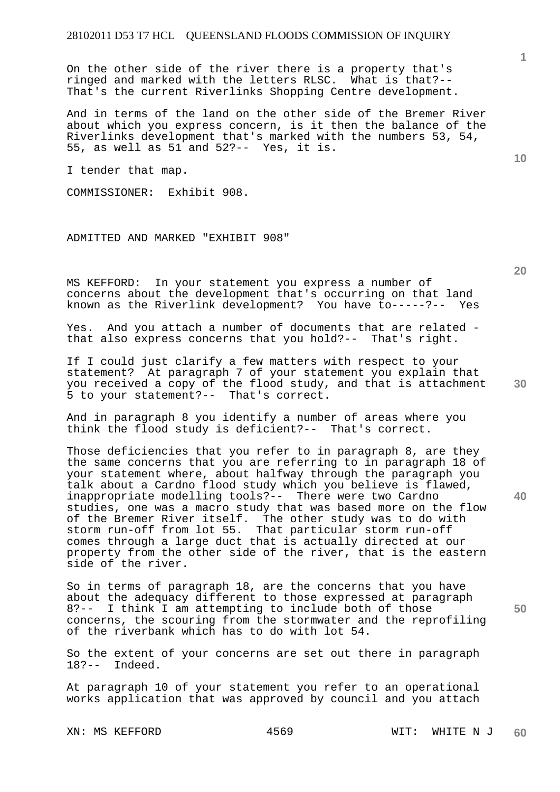On the other side of the river there is a property that's ringed and marked with the letters RLSC. What is that?-- That's the current Riverlinks Shopping Centre development.

And in terms of the land on the other side of the Bremer River about which you express concern, is it then the balance of the Riverlinks development that's marked with the numbers 53, 54, 55, as well as 51 and 52?-- Yes, it is.

I tender that map.

COMMISSIONER: Exhibit 908.

ADMITTED AND MARKED "EXHIBIT 908"

MS KEFFORD: In your statement you express a number of concerns about the development that's occurring on that land known as the Riverlink development? You have to-----?-- Yes

Yes. And you attach a number of documents that are related that also express concerns that you hold?-- That's right.

If I could just clarify a few matters with respect to your statement? At paragraph 7 of your statement you explain that you received a copy of the flood study, and that is attachment 5 to your statement?-- That's correct.

And in paragraph 8 you identify a number of areas where you think the flood study is deficient?-- That's correct.

Those deficiencies that you refer to in paragraph 8, are they the same concerns that you are referring to in paragraph 18 of your statement where, about halfway through the paragraph you talk about a Cardno flood study which you believe is flawed, inappropriate modelling tools?-- There were two Cardno studies, one was a macro study that was based more on the flow of the Bremer River itself. The other study was to do with storm run-off from lot 55. That particular storm run-off comes through a large duct that is actually directed at our property from the other side of the river, that is the eastern side of the river.

So in terms of paragraph 18, are the concerns that you have about the adequacy different to those expressed at paragraph 8?-- I think I am attempting to include both of those concerns, the scouring from the stormwater and the reprofiling of the riverbank which has to do with lot 54.

So the extent of your concerns are set out there in paragraph 18?-- Indeed.

At paragraph 10 of your statement you refer to an operational works application that was approved by council and you attach

**20** 

**10** 

**1**

**30** 

**40**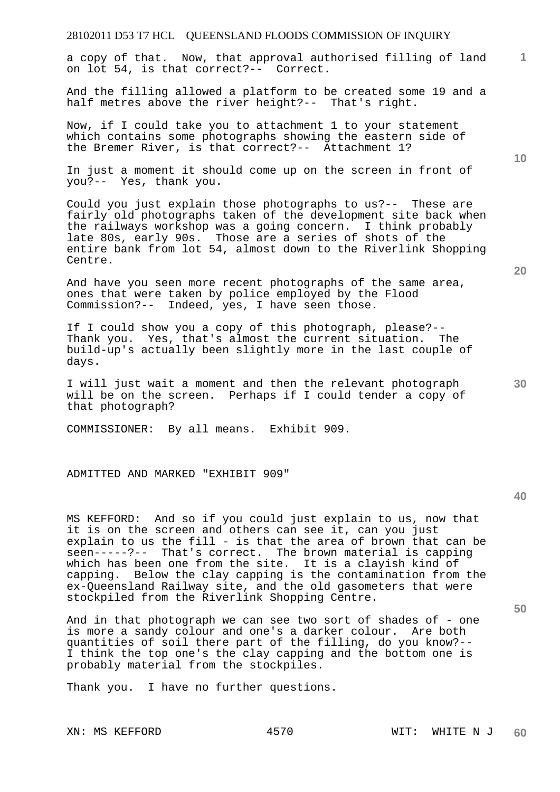a copy of that. Now, that approval authorised filling of land on lot 54, is that correct?-- Correct.

And the filling allowed a platform to be created some 19 and a half metres above the river height?-- That's right.

Now, if I could take you to attachment 1 to your statement which contains some photographs showing the eastern side of the Bremer River, is that correct?-- Attachment 1?

In just a moment it should come up on the screen in front of you?-- Yes, thank you.

Could you just explain those photographs to us?-- These are fairly old photographs taken of the development site back when the railways workshop was a going concern. I think probably late 80s, early 90s. Those are a series of shots of the entire bank from lot 54, almost down to the Riverlink Shopping Centre.

And have you seen more recent photographs of the same area, ones that were taken by police employed by the Flood Commission?-- Indeed, yes, I have seen those.

If I could show you a copy of this photograph, please?-- Thank you. Yes, that's almost the current situation. The build-up's actually been slightly more in the last couple of days.

I will just wait a moment and then the relevant photograph will be on the screen. Perhaps if I could tender a copy of that photograph?

COMMISSIONER: By all means. Exhibit 909.

ADMITTED AND MARKED "EXHIBIT 909"

**40** 

**50** 

MS KEFFORD: And so if you could just explain to us, now that it is on the screen and others can see it, can you just explain to us the fill - is that the area of brown that can be seen-----?-- That's correct. The brown material is capping which has been one from the site. It is a clayish kind of capping. Below the clay capping is the contamination from the ex-Queensland Railway site, and the old gasometers that were stockpiled from the Riverlink Shopping Centre.

And in that photograph we can see two sort of shades of - one is more a sandy colour and one's a darker colour. Are both quantities of soil there part of the filling, do you know?-- I think the top one's the clay capping and the bottom one is probably material from the stockpiles.

Thank you. I have no further questions.

**10** 

**20** 

**30**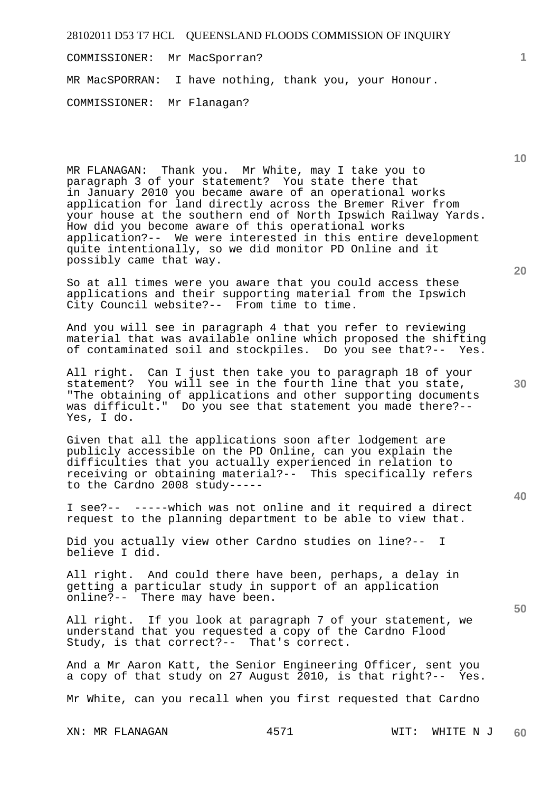COMMISSIONER: Mr MacSporran?

MR MacSPORRAN: I have nothing, thank you, your Honour.

COMMISSIONER: Mr Flanagan?

MR FLANAGAN: Thank you. Mr White, may I take you to paragraph 3 of your statement? You state there that in January 2010 you became aware of an operational works application for land directly across the Bremer River from your house at the southern end of North Ipswich Railway Yards. How did you become aware of this operational works application?-- We were interested in this entire development quite intentionally, so we did monitor PD Online and it possibly came that way.

So at all times were you aware that you could access these applications and their supporting material from the Ipswich City Council website?-- From time to time.

And you will see in paragraph 4 that you refer to reviewing material that was available online which proposed the shifting of contaminated soil and stockpiles. Do you see that?-- Yes.

All right. Can I just then take you to paragraph 18 of your statement? You will see in the fourth line that you state, "The obtaining of applications and other supporting documents was difficult." Do you see that statement you made there?-- Yes, I do.

Given that all the applications soon after lodgement are publicly accessible on the PD Online, can you explain the difficulties that you actually experienced in relation to receiving or obtaining material?-- This specifically refers to the Cardno 2008 study-----

I see?-- -----which was not online and it required a direct request to the planning department to be able to view that.

Did you actually view other Cardno studies on line?-- I believe I did.

All right. And could there have been, perhaps, a delay in getting a particular study in support of an application online?-- There may have been.

All right. If you look at paragraph 7 of your statement, we understand that you requested a copy of the Cardno Flood Study, is that correct?-- That's correct.

And a Mr Aaron Katt, the Senior Engineering Officer, sent you a copy of that study on 27 August 2010, is that right?-- Yes.

Mr White, can you recall when you first requested that Cardno

**20** 

**10** 

**1**

**40**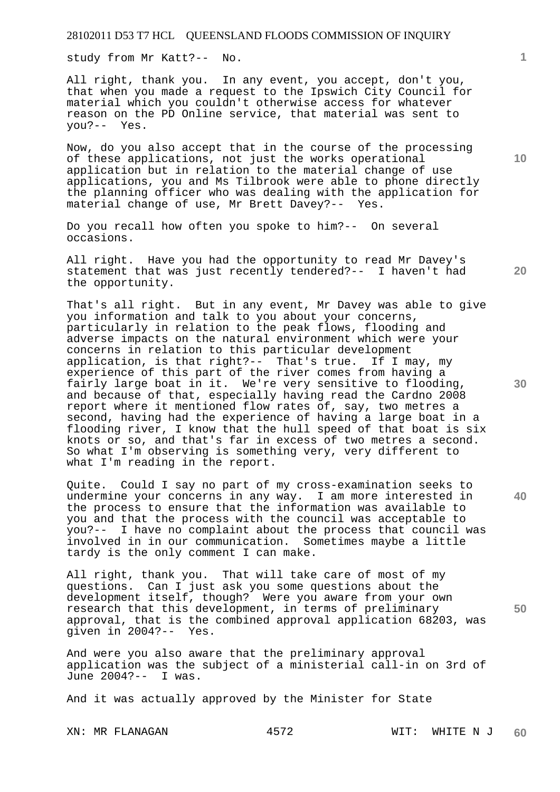study from Mr Katt?-- No.

All right, thank you. In any event, you accept, don't you, that when you made a request to the Ipswich City Council for material which you couldn't otherwise access for whatever reason on the PD Online service, that material was sent to you?-- Yes.

Now, do you also accept that in the course of the processing of these applications, not just the works operational application but in relation to the material change of use applications, you and Ms Tilbrook were able to phone directly the planning officer who was dealing with the application for material change of use, Mr Brett Davey?-- Yes.

Do you recall how often you spoke to him?-- On several occasions.

All right. Have you had the opportunity to read Mr Davey's statement that was just recently tendered?-- I haven't had the opportunity.

That's all right. But in any event, Mr Davey was able to give you information and talk to you about your concerns, particularly in relation to the peak flows, flooding and adverse impacts on the natural environment which were your concerns in relation to this particular development application, is that right?-- That's true. If I may, my experience of this part of the river comes from having a fairly large boat in it. We're very sensitive to flooding, and because of that, especially having read the Cardno 2008 report where it mentioned flow rates of, say, two metres a second, having had the experience of having a large boat in a flooding river, I know that the hull speed of that boat is six knots or so, and that's far in excess of two metres a second. So what I'm observing is something very, very different to what I'm reading in the report.

Quite. Could I say no part of my cross-examination seeks to undermine your concerns in any way. I am more interested in the process to ensure that the information was available to you and that the process with the council was acceptable to you?-- I have no complaint about the process that council was involved in in our communication. Sometimes maybe a little tardy is the only comment I can make.

All right, thank you. That will take care of most of my questions. Can I just ask you some questions about the development itself, though? Were you aware from your own research that this development, in terms of preliminary approval, that is the combined approval application 68203, was given in 2004?-- Yes.

And were you also aware that the preliminary approval application was the subject of a ministerial call-in on 3rd of June 2004?-- I was.

And it was actually approved by the Minister for State

**10** 

**1**

**30** 

**20** 

**40**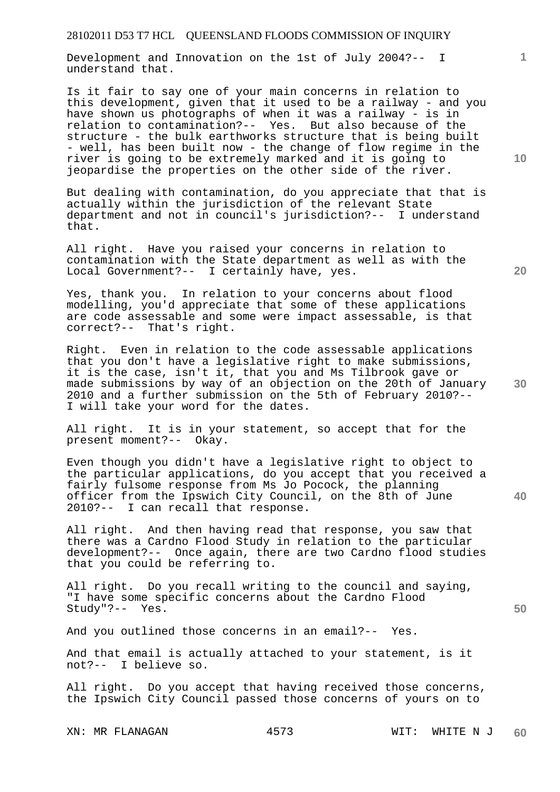Development and Innovation on the 1st of July 2004?-- I understand that.

Is it fair to say one of your main concerns in relation to this development, given that it used to be a railway - and you have shown us photographs of when it was a railway - is in relation to contamination?-- Yes. But also because of the structure - the bulk earthworks structure that is being built - well, has been built now - the change of flow regime in the river is going to be extremely marked and it is going to jeopardise the properties on the other side of the river.

But dealing with contamination, do you appreciate that that is actually within the jurisdiction of the relevant State department and not in council's jurisdiction?-- I understand that.

All right. Have you raised your concerns in relation to contamination with the State department as well as with the Local Government?-- I certainly have, yes.

Yes, thank you. In relation to your concerns about flood modelling, you'd appreciate that some of these applications are code assessable and some were impact assessable, is that correct?-- That's right.

Right. Even in relation to the code assessable applications that you don't have a legislative right to make submissions, it is the case, isn't it, that you and Ms Tilbrook gave or made submissions by way of an objection on the 20th of January 2010 and a further submission on the 5th of February 2010?-- I will take your word for the dates.

All right. It is in your statement, so accept that for the present moment?-- Okay.

Even though you didn't have a legislative right to object to the particular applications, do you accept that you received a fairly fulsome response from Ms Jo Pocock, the planning officer from the Ipswich City Council, on the 8th of June 2010?-- I can recall that response.

All right. And then having read that response, you saw that there was a Cardno Flood Study in relation to the particular development?-- Once again, there are two Cardno flood studies that you could be referring to.

All right. Do you recall writing to the council and saying, "I have some specific concerns about the Cardno Flood Study"?-- Yes.

And you outlined those concerns in an email?-- Yes.

And that email is actually attached to your statement, is it not?-- I believe so.

All right. Do you accept that having received those concerns, the Ipswich City Council passed those concerns of yours on to

**20** 

**10** 

**1**



**40**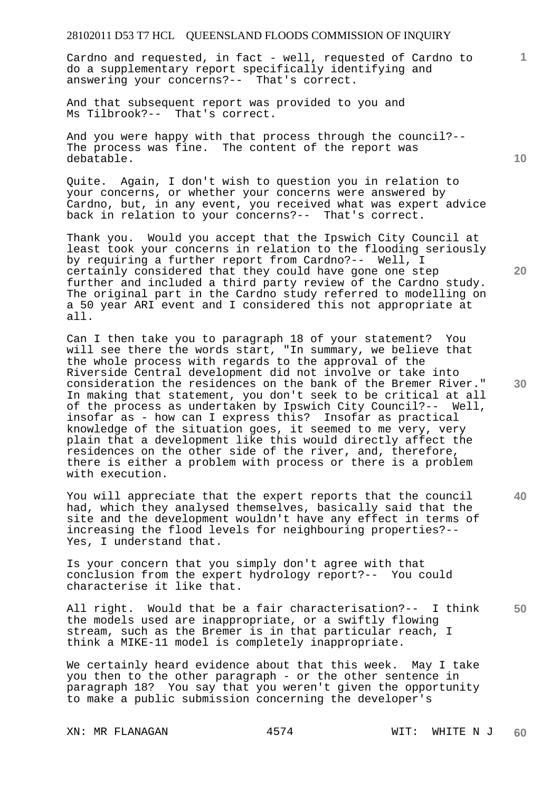Cardno and requested, in fact - well, requested of Cardno to do a supplementary report specifically identifying and answering your concerns?-- That's correct.

And that subsequent report was provided to you and Ms Tilbrook?-- That's correct.

And you were happy with that process through the council?-- The process was fine. The content of the report was debatable.

Quite. Again, I don't wish to question you in relation to your concerns, or whether your concerns were answered by Cardno, but, in any event, you received what was expert advice back in relation to your concerns?-- That's correct.

Thank you. Would you accept that the Ipswich City Council at least took your concerns in relation to the flooding seriously by requiring a further report from Cardno?-- Well, I certainly considered that they could have gone one step further and included a third party review of the Cardno study. The original part in the Cardno study referred to modelling on a 50 year ARI event and I considered this not appropriate at all.

**30**  Can I then take you to paragraph 18 of your statement? You will see there the words start, "In summary, we believe that the whole process with regards to the approval of the Riverside Central development did not involve or take into consideration the residences on the bank of the Bremer River." In making that statement, you don't seek to be critical at all of the process as undertaken by Ipswich City Council?-- Well, insofar as - how can I express this? Insofar as practical knowledge of the situation goes, it seemed to me very, very plain that a development like this would directly affect the residences on the other side of the river, and, therefore, there is either a problem with process or there is a problem with execution.

You will appreciate that the expert reports that the council had, which they analysed themselves, basically said that the site and the development wouldn't have any effect in terms of increasing the flood levels for neighbouring properties?-- Yes, I understand that.

Is your concern that you simply don't agree with that conclusion from the expert hydrology report?-- You could characterise it like that.

**50**  All right. Would that be a fair characterisation?-- I think the models used are inappropriate, or a swiftly flowing stream, such as the Bremer is in that particular reach, I think a MIKE-11 model is completely inappropriate.

We certainly heard evidence about that this week. May I take you then to the other paragraph - or the other sentence in paragraph 18? You say that you weren't given the opportunity to make a public submission concerning the developer's

**10** 

**1**

**20**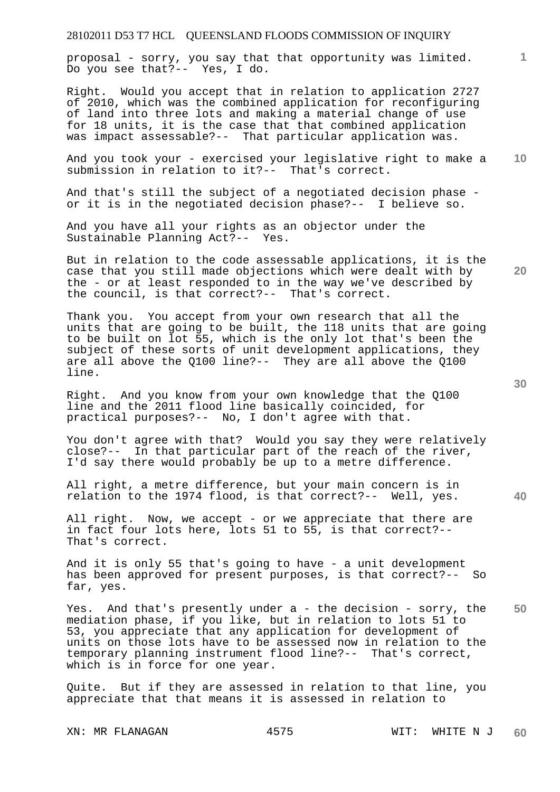proposal - sorry, you say that that opportunity was limited. Do you see that?-- Yes, I do.

Right. Would you accept that in relation to application 2727 of 2010, which was the combined application for reconfiguring of land into three lots and making a material change of use for 18 units, it is the case that that combined application was impact assessable?-- That particular application was.

**10**  And you took your - exercised your legislative right to make a submission in relation to it?-- That's correct.

And that's still the subject of a negotiated decision phase or it is in the negotiated decision phase?-- I believe so.

And you have all your rights as an objector under the Sustainable Planning Act?-- Yes.

But in relation to the code assessable applications, it is the case that you still made objections which were dealt with by the - or at least responded to in the way we've described by the council, is that correct?-- That's correct.

Thank you. You accept from your own research that all the units that are going to be built, the 118 units that are going to be built on lot 55, which is the only lot that's been the subject of these sorts of unit development applications, they are all above the Q100 line?-- They are all above the Q100 line.

Right. And you know from your own knowledge that the Q100 line and the 2011 flood line basically coincided, for practical purposes?-- No, I don't agree with that.

You don't agree with that? Would you say they were relatively close?-- In that particular part of the reach of the river, I'd say there would probably be up to a metre difference.

All right, a metre difference, but your main concern is in relation to the 1974 flood, is that correct?-- Well, yes.

All right. Now, we accept - or we appreciate that there are in fact four lots here, lots 51 to 55, is that correct?-- That's correct.

And it is only 55 that's going to have - a unit development has been approved for present purposes, is that correct?-- So far, yes.

**50**  Yes. And that's presently under a - the decision - sorry, the mediation phase, if you like, but in relation to lots 51 to 53, you appreciate that any application for development of units on those lots have to be assessed now in relation to the temporary planning instrument flood line?-- That's correct, which is in force for one year.

Quite. But if they are assessed in relation to that line, you appreciate that that means it is assessed in relation to

**20** 

**40** 

**30**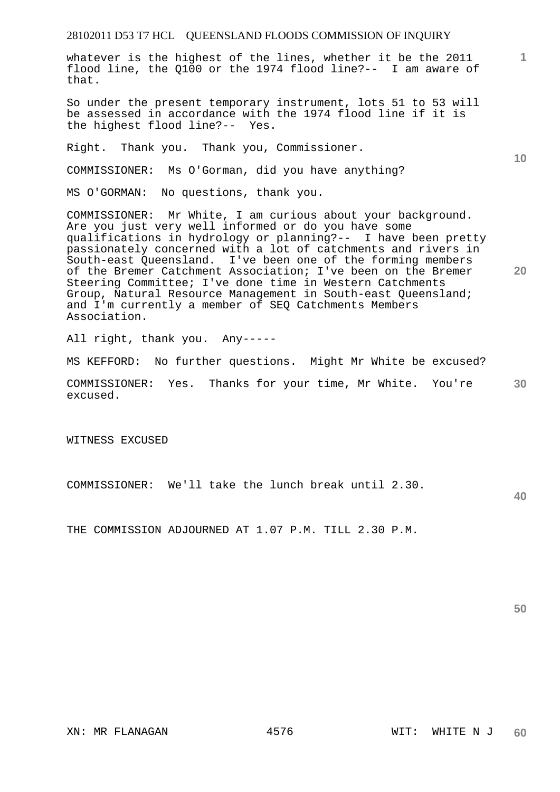whatever is the highest of the lines, whether it be the 2011 flood line, the Q100 or the 1974 flood line?-- I am aware of that.

So under the present temporary instrument, lots 51 to 53 will be assessed in accordance with the 1974 flood line if it is the highest flood line?-- Yes.

Right. Thank you. Thank you, Commissioner.

COMMISSIONER: Ms O'Gorman, did you have anything?

MS O'GORMAN: No questions, thank you.

COMMISSIONER: Mr White, I am curious about your background. Are you just very well informed or do you have some qualifications in hydrology or planning?-- I have been pretty passionately concerned with a lot of catchments and rivers in South-east Queensland. I've been one of the forming members of the Bremer Catchment Association; I've been on the Bremer Steering Committee; I've done time in Western Catchments Group, Natural Resource Management in South-east Queensland; and I'm currently a member of SEQ Catchments Members Association.

All right, thank you. Any-----

MS KEFFORD: No further questions. Might Mr White be excused?

**30**  COMMISSIONER: Yes. Thanks for your time, Mr White. You're excused.

WITNESS EXCUSED

COMMISSIONER: We'll take the lunch break until 2.30.

**40** 

**1**

**10** 

**20** 

THE COMMISSION ADJOURNED AT 1.07 P.M. TILL 2.30 P.M.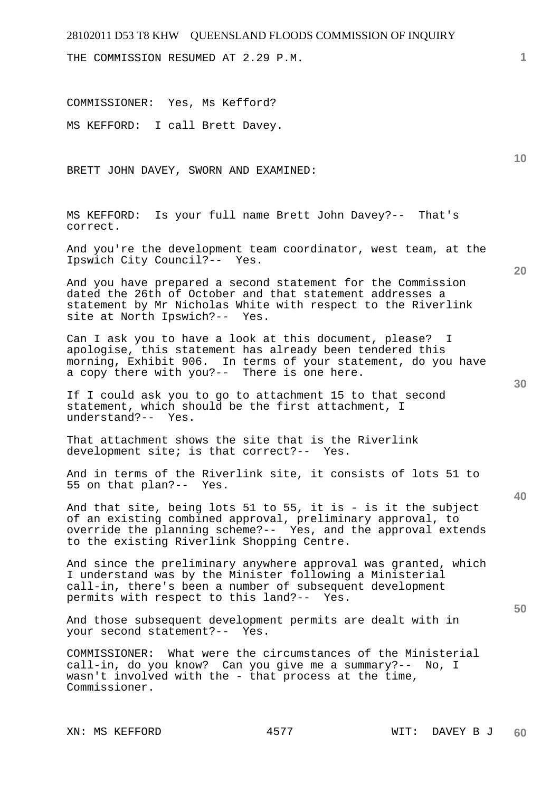THE COMMISSION RESUMED AT 2.29 P.M.

COMMISSIONER: Yes, Ms Kefford?

MS KEFFORD: I call Brett Davey.

BRETT JOHN DAVEY, SWORN AND EXAMINED:

MS KEFFORD: Is your full name Brett John Davey?-- That's correct.

And you're the development team coordinator, west team, at the Ipswich City Council?-- Yes.

And you have prepared a second statement for the Commission dated the 26th of October and that statement addresses a statement by Mr Nicholas White with respect to the Riverlink site at North Ipswich?-- Yes.

Can I ask you to have a look at this document, please? I apologise, this statement has already been tendered this morning, Exhibit 906. In terms of your statement, do you have a copy there with you?-- There is one here.

If I could ask you to go to attachment 15 to that second statement, which should be the first attachment, I understand?-- Yes.

That attachment shows the site that is the Riverlink development site; is that correct?-- Yes.

And in terms of the Riverlink site, it consists of lots 51 to 55 on that plan?-- Yes.

And that site, being lots 51 to 55, it is - is it the subject of an existing combined approval, preliminary approval, to override the planning scheme?-- Yes, and the approval extends to the existing Riverlink Shopping Centre.

And since the preliminary anywhere approval was granted, which I understand was by the Minister following a Ministerial call-in, there's been a number of subsequent development permits with respect to this land?-- Yes.

And those subsequent development permits are dealt with in your second statement?-- Yes.

COMMISSIONER: What were the circumstances of the Ministerial call-in, do you know? Can you give me a summary?-- No, I wasn't involved with the - that process at the time, Commissioner.

**20** 

**10** 

**1**

**40**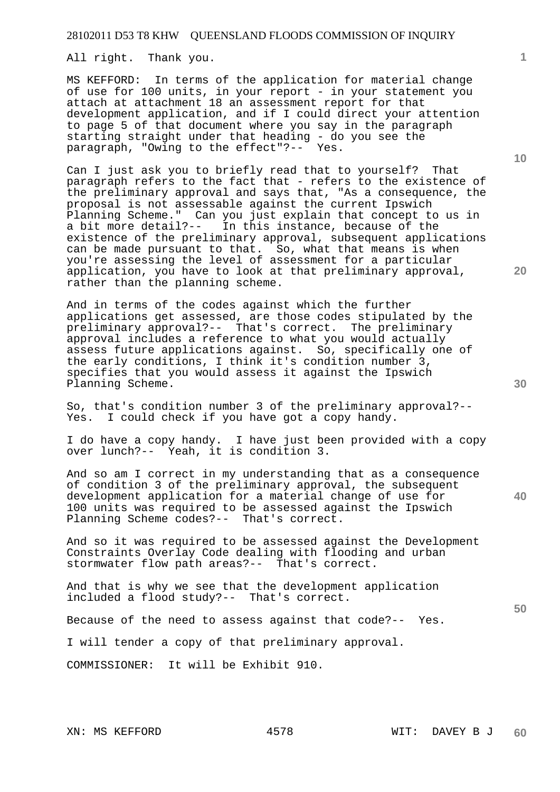All right. Thank you.

MS KEFFORD: In terms of the application for material change of use for 100 units, in your report - in your statement you attach at attachment 18 an assessment report for that development application, and if I could direct your attention to page 5 of that document where you say in the paragraph starting straight under that heading - do you see the paragraph, "Owing to the effect"?-- Yes.

Can I just ask you to briefly read that to yourself? That paragraph refers to the fact that - refers to the existence of the preliminary approval and says that, "As a consequence, the proposal is not assessable against the current Ipswich Planning Scheme." Can you just explain that concept to us in a bit more detail?-- In this instance, because of the existence of the preliminary approval, subsequent applications can be made pursuant to that. So, what that means is when you're assessing the level of assessment for a particular application, you have to look at that preliminary approval, rather than the planning scheme.

And in terms of the codes against which the further applications get assessed, are those codes stipulated by the preliminary approval?-- That's correct. The preliminary approval includes a reference to what you would actually assess future applications against. So, specifically one of the early conditions, I think it's condition number 3, specifies that you would assess it against the Ipswich Planning Scheme.

So, that's condition number 3 of the preliminary approval?-- Yes. I could check if you have got a copy handy.

I do have a copy handy. I have just been provided with a copy over lunch?-- Yeah, it is condition 3.

And so am I correct in my understanding that as a consequence of condition 3 of the preliminary approval, the subsequent development application for a material change of use for 100 units was required to be assessed against the Ipswich Planning Scheme codes?-- That's correct.

And so it was required to be assessed against the Development Constraints Overlay Code dealing with flooding and urban stormwater flow path areas?-- That's correct.

And that is why we see that the development application included a flood study?-- That's correct.

Because of the need to assess against that code?-- Yes.

I will tender a copy of that preliminary approval.

COMMISSIONER: It will be Exhibit 910.

**10** 

**20** 

**30** 

**40**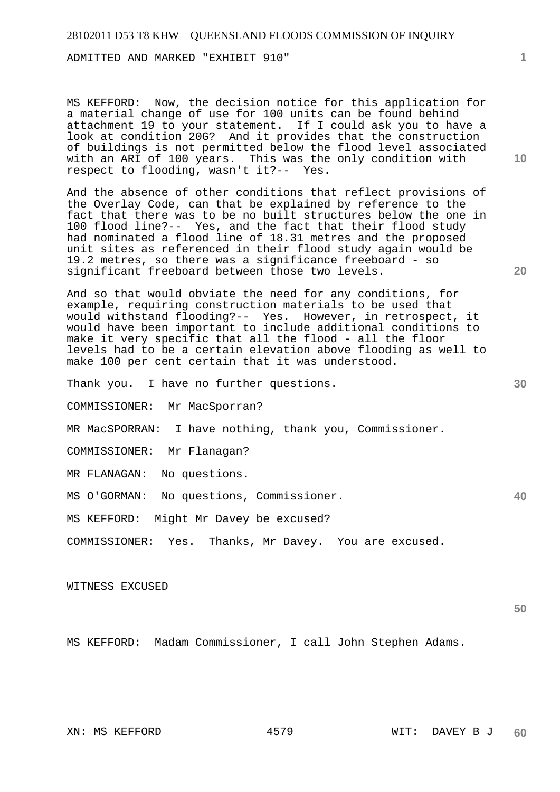ADMITTED AND MARKED "EXHIBIT 910"

MS KEFFORD: Now, the decision notice for this application for a material change of use for 100 units can be found behind attachment 19 to your statement. If I could ask you to have a look at condition 20G? And it provides that the construction of buildings is not permitted below the flood level associated with an ARI of 100 years. This was the only condition with respect to flooding, wasn't it?-- Yes.

And the absence of other conditions that reflect provisions of the Overlay Code, can that be explained by reference to the fact that there was to be no built structures below the one in 100 flood line?-- Yes, and the fact that their flood study had nominated a flood line of 18.31 metres and the proposed unit sites as referenced in their flood study again would be 19.2 metres, so there was a significance freeboard - so significant freeboard between those two levels.

And so that would obviate the need for any conditions, for example, requiring construction materials to be used that would withstand flooding?-- Yes. However, in retrospect, it would have been important to include additional conditions to make it very specific that all the flood - all the floor levels had to be a certain elevation above flooding as well to make 100 per cent certain that it was understood.

Thank you. I have no further questions.

COMMISSIONER: Mr MacSporran?

MR MacSPORRAN: I have nothing, thank you, Commissioner.

COMMISSIONER: Mr Flanagan?

MR FLANAGAN: No questions.

MS O'GORMAN: No questions, Commissioner.

MS KEFFORD: Might Mr Davey be excused?

COMMISSIONER: Yes. Thanks, Mr Davey. You are excused.

WITNESS EXCUSED

**50** 

**1**

**10** 

**20** 

**30** 

**40** 

MS KEFFORD: Madam Commissioner, I call John Stephen Adams.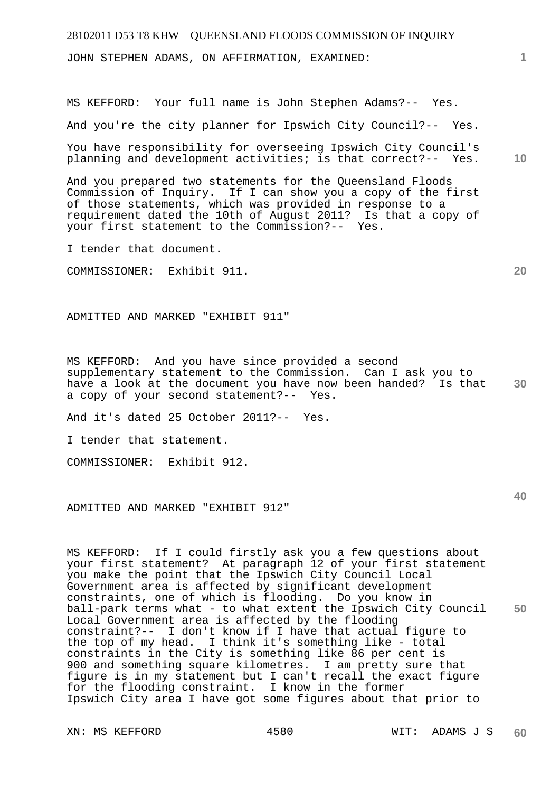# 28102011 D53 T8 KHW QUEENSLAND FLOODS COMMISSION OF INQUIRY **1 10 20**  JOHN STEPHEN ADAMS, ON AFFIRMATION, EXAMINED: MS KEFFORD: Your full name is John Stephen Adams?-- Yes. And you're the city planner for Ipswich City Council?-- Yes. You have responsibility for overseeing Ipswich City Council's planning and development activities; is that correct?-- Yes. And you prepared two statements for the Queensland Floods Commission of Inquiry. If I can show you a copy of the first of those statements, which was provided in response to a requirement dated the 10th of August 2011? Is that a copy of your first statement to the Commission?-- Yes. I tender that document. COMMISSIONER: Exhibit 911. ADMITTED AND MARKED "EXHIBIT 911"

**30**  MS KEFFORD: And you have since provided a second supplementary statement to the Commission. Can I ask you to have a look at the document you have now been handed? Is that a copy of your second statement?-- Yes.

And it's dated 25 October 2011?-- Yes.

I tender that statement.

COMMISSIONER: Exhibit 912.

ADMITTED AND MARKED "EXHIBIT 912"

**50**  MS KEFFORD: If I could firstly ask you a few questions about your first statement? At paragraph 12 of your first statement you make the point that the Ipswich City Council Local Government area is affected by significant development constraints, one of which is flooding. Do you know in ball-park terms what - to what extent the Ipswich City Council Local Government area is affected by the flooding constraint?-- I don't know if I have that actual figure to the top of my head. I think it's something like - total constraints in the City is something like 86 per cent is 900 and something square kilometres. I am pretty sure that figure is in my statement but I can't recall the exact figure for the flooding constraint. I know in the former Ipswich City area I have got some figures about that prior to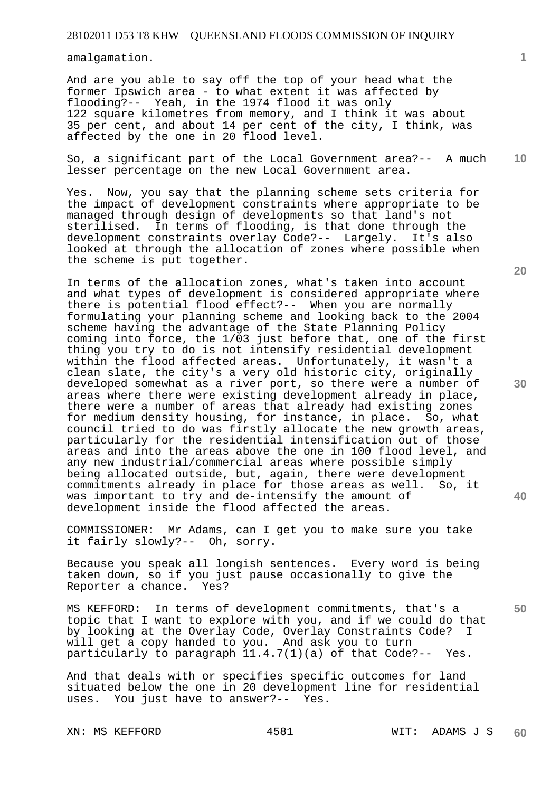amalgamation.

And are you able to say off the top of your head what the former Ipswich area - to what extent it was affected by flooding?-- Yeah, in the 1974 flood it was only 122 square kilometres from memory, and I think it was about 35 per cent, and about 14 per cent of the city, I think, was affected by the one in 20 flood level.

**10**  So, a significant part of the Local Government area?-- A much lesser percentage on the new Local Government area.

Yes. Now, you say that the planning scheme sets criteria for the impact of development constraints where appropriate to be managed through design of developments so that land's not sterilised. In terms of flooding, is that done through the development constraints overlay Code?-- Largely. It's also looked at through the allocation of zones where possible when the scheme is put together.

In terms of the allocation zones, what's taken into account and what types of development is considered appropriate where there is potential flood effect?-- When you are normally formulating your planning scheme and looking back to the 2004 scheme having the advantage of the State Planning Policy coming into force, the 1/03 just before that, one of the first thing you try to do is not intensify residential development within the flood affected areas. Unfortunately, it wasn't a clean slate, the city's a very old historic city, originally developed somewhat as a river port, so there were a number of areas where there were existing development already in place, there were a number of areas that already had existing zones for medium density housing, for instance, in place. So, what council tried to do was firstly allocate the new growth areas, particularly for the residential intensification out of those areas and into the areas above the one in 100 flood level, and any new industrial/commercial areas where possible simply being allocated outside, but, again, there were development commitments already in place for those areas as well. So, it was important to try and de-intensify the amount of development inside the flood affected the areas.

COMMISSIONER: Mr Adams, can I get you to make sure you take it fairly slowly?-- Oh, sorry.

Because you speak all longish sentences. Every word is being taken down, so if you just pause occasionally to give the Reporter a chance. Yes?

MS KEFFORD: In terms of development commitments, that's a topic that I want to explore with you, and if we could do that by looking at the Overlay Code, Overlay Constraints Code? I will get a copy handed to you. And ask you to turn particularly to paragraph 11.4.7(1)(a) of that Code?-- Yes.

And that deals with or specifies specific outcomes for land situated below the one in 20 development line for residential uses. You just have to answer?-- Yes.

XN: MS KEFFORD 4581 WIT: ADAMS J S

**1**

**50**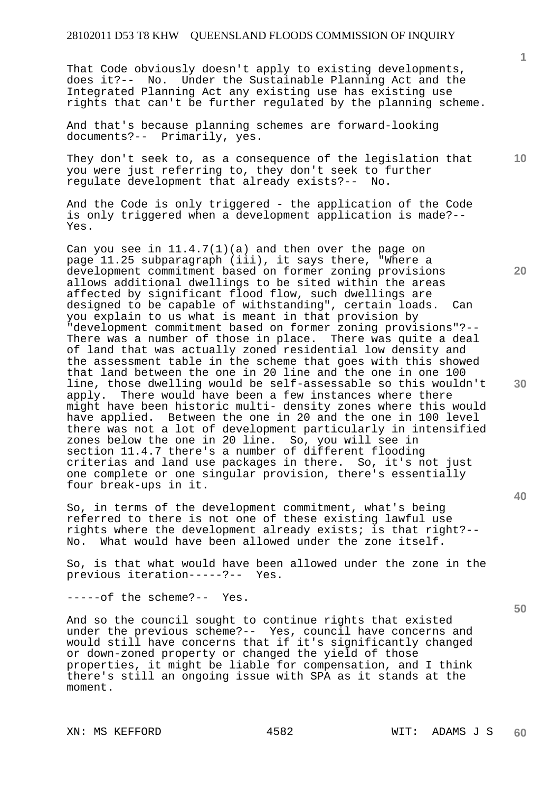That Code obviously doesn't apply to existing developments, does it?-- No. Under the Sustainable Planning Act and the Integrated Planning Act any existing use has existing use rights that can't be further regulated by the planning scheme.

And that's because planning schemes are forward-looking documents?-- Primarily, yes.

**10**  They don't seek to, as a consequence of the legislation that you were just referring to, they don't seek to further regulate development that already exists?-- No.

And the Code is only triggered - the application of the Code is only triggered when a development application is made?-- Yes.

Can you see in  $11.4.7(1)(a)$  and then over the page on page 11.25 subparagraph (iii), it says there, "Where a development commitment based on former zoning provisions allows additional dwellings to be sited within the areas affected by significant flood flow, such dwellings are designed to be capable of withstanding", certain loads. Can you explain to us what is meant in that provision by "development commitment based on former zoning provisions"?-- There was a number of those in place. There was quite a deal of land that was actually zoned residential low density and the assessment table in the scheme that goes with this showed that land between the one in 20 line and the one in one 100 line, those dwelling would be self-assessable so this wouldn't apply. There would have been a few instances where there might have been historic multi- density zones where this would have applied. Between the one in 20 and the one in 100 level there was not a lot of development particularly in intensified zones below the one in 20 line. So, you will see in section 11.4.7 there's a number of different flooding criterias and land use packages in there. So, it's not just one complete or one singular provision, there's essentially four break-ups in it.

So, in terms of the development commitment, what's being referred to there is not one of these existing lawful use rights where the development already exists; is that right?-- No. What would have been allowed under the zone itself.

So, is that what would have been allowed under the zone in the previous iteration-----?-- Yes.

-----of the scheme?-- Yes.

And so the council sought to continue rights that existed under the previous scheme?-- Yes, council have concerns and would still have concerns that if it's significantly changed or down-zoned property or changed the yield of those properties, it might be liable for compensation, and I think there's still an ongoing issue with SPA as it stands at the moment.

XN: MS KEFFORD 4582 WIT: ADAMS J S

**20** 

**30** 

**40**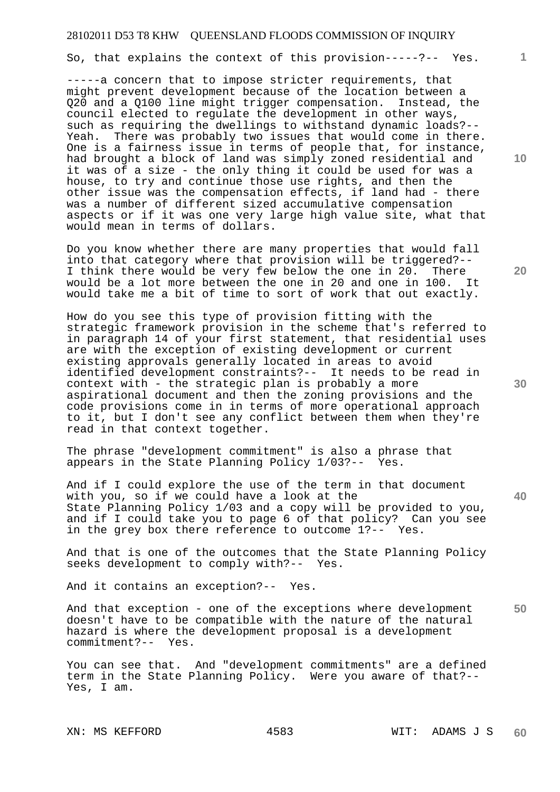So, that explains the context of this provision-----?-- Yes.

-----a concern that to impose stricter requirements, that might prevent development because of the location between a Q20 and a Q100 line might trigger compensation. Instead, the council elected to regulate the development in other ways, such as requiring the dwellings to withstand dynamic loads?-- Yeah. There was probably two issues that would come in there. One is a fairness issue in terms of people that, for instance, had brought a block of land was simply zoned residential and it was of a size - the only thing it could be used for was a house, to try and continue those use rights, and then the other issue was the compensation effects, if land had - there was a number of different sized accumulative compensation aspects or if it was one very large high value site, what that would mean in terms of dollars.

Do you know whether there are many properties that would fall into that category where that provision will be triggered?-- I think there would be very few below the one in 20. There would be a lot more between the one in 20 and one in 100. It would take me a bit of time to sort of work that out exactly.

How do you see this type of provision fitting with the strategic framework provision in the scheme that's referred to in paragraph 14 of your first statement, that residential uses are with the exception of existing development or current existing approvals generally located in areas to avoid identified development constraints?-- It needs to be read in context with - the strategic plan is probably a more aspirational document and then the zoning provisions and the code provisions come in in terms of more operational approach to it, but I don't see any conflict between them when they're read in that context together.

The phrase "development commitment" is also a phrase that appears in the State Planning Policy 1/03?-- Yes.

And if I could explore the use of the term in that document with you, so if we could have a look at the State Planning Policy 1/03 and a copy will be provided to you, and if I could take you to page 6 of that policy? Can you see in the grey box there reference to outcome 1?-- Yes.

And that is one of the outcomes that the State Planning Policy seeks development to comply with?-- Yes.

And it contains an exception?-- Yes.

**50**  And that exception - one of the exceptions where development doesn't have to be compatible with the nature of the natural hazard is where the development proposal is a development commitment?-- Yes.

You can see that. And "development commitments" are a defined term in the State Planning Policy. Were you aware of that?-- Yes, I am.

**10** 

**1**

**30** 

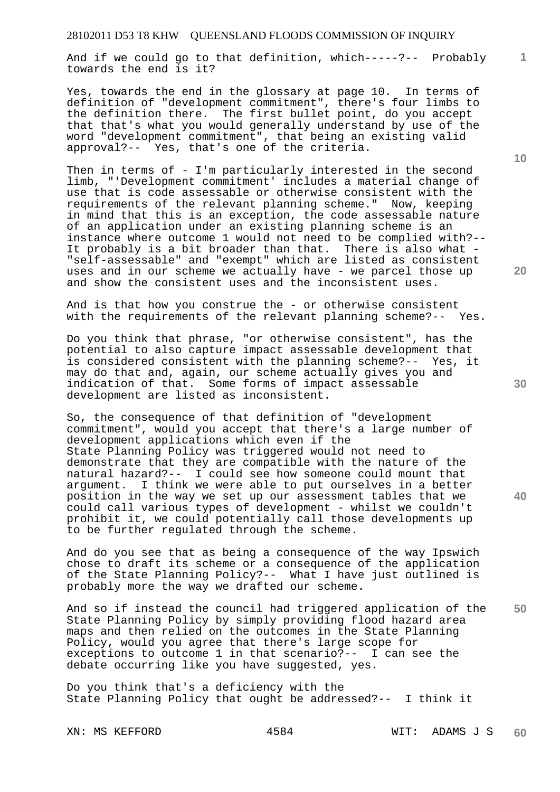And if we could go to that definition, which-----?-- Probably towards the end is it?

Yes, towards the end in the glossary at page 10. In terms of definition of "development commitment", there's four limbs to the definition there. The first bullet point, do you accept that that's what you would generally understand by use of the word "development commitment", that being an existing valid approval?-- Yes, that's one of the criteria.

Then in terms of - I'm particularly interested in the second limb, "'Development commitment' includes a material change of use that is code assessable or otherwise consistent with the requirements of the relevant planning scheme." Now, keeping in mind that this is an exception, the code assessable nature of an application under an existing planning scheme is an instance where outcome 1 would not need to be complied with?-- It probably is a bit broader than that. There is also what - "self-assessable" and "exempt" which are listed as consistent uses and in our scheme we actually have - we parcel those up and show the consistent uses and the inconsistent uses.

And is that how you construe the - or otherwise consistent with the requirements of the relevant planning scheme?-- Yes.

Do you think that phrase, "or otherwise consistent", has the potential to also capture impact assessable development that is considered consistent with the planning scheme?-- Yes, it may do that and, again, our scheme actually gives you and indication of that. Some forms of impact assessable development are listed as inconsistent.

So, the consequence of that definition of "development commitment", would you accept that there's a large number of development applications which even if the State Planning Policy was triggered would not need to demonstrate that they are compatible with the nature of the natural hazard?-- I could see how someone could mount that argument. I think we were able to put ourselves in a better position in the way we set up our assessment tables that we could call various types of development - whilst we couldn't prohibit it, we could potentially call those developments up to be further regulated through the scheme.

And do you see that as being a consequence of the way Ipswich chose to draft its scheme or a consequence of the application of the State Planning Policy?-- What I have just outlined is probably more the way we drafted our scheme.

**50**  And so if instead the council had triggered application of the State Planning Policy by simply providing flood hazard area maps and then relied on the outcomes in the State Planning Policy, would you agree that there's large scope for exceptions to outcome 1 in that scenario?-- I can see the debate occurring like you have suggested, yes.

Do you think that's a deficiency with the State Planning Policy that ought be addressed?-- I think it

**10** 

**1**

**30** 

**20**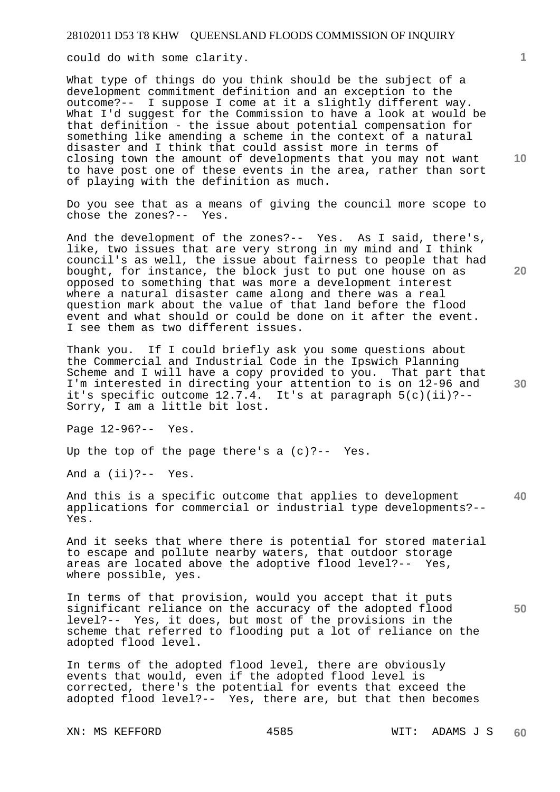could do with some clarity.

What type of things do you think should be the subject of a development commitment definition and an exception to the outcome?-- I suppose I come at it a slightly different way. What I'd suggest for the Commission to have a look at would be that definition - the issue about potential compensation for something like amending a scheme in the context of a natural disaster and I think that could assist more in terms of closing town the amount of developments that you may not want to have post one of these events in the area, rather than sort of playing with the definition as much.

Do you see that as a means of giving the council more scope to chose the zones?-- Yes.

And the development of the zones?-- Yes. As I said, there's, like, two issues that are very strong in my mind and I think council's as well, the issue about fairness to people that had bought, for instance, the block just to put one house on as opposed to something that was more a development interest where a natural disaster came along and there was a real question mark about the value of that land before the flood event and what should or could be done on it after the event. I see them as two different issues.

Thank you. If I could briefly ask you some questions about the Commercial and Industrial Code in the Ipswich Planning Scheme and I will have a copy provided to you. That part that I'm interested in directing your attention to is on 12-96 and it's specific outcome 12.7.4. It's at paragraph 5(c)(ii)?-- Sorry, I am a little bit lost.

Page 12-96?-- Yes.

Up the top of the page there's a (c)?-- Yes.

And a (ii)?-- Yes.

**40**  And this is a specific outcome that applies to development applications for commercial or industrial type developments?-- Yes.

And it seeks that where there is potential for stored material to escape and pollute nearby waters, that outdoor storage areas are located above the adoptive flood level?-- Yes, where possible, yes.

In terms of that provision, would you accept that it puts significant reliance on the accuracy of the adopted flood level?-- Yes, it does, but most of the provisions in the scheme that referred to flooding put a lot of reliance on the adopted flood level.

In terms of the adopted flood level, there are obviously events that would, even if the adopted flood level is corrected, there's the potential for events that exceed the adopted flood level?-- Yes, there are, but that then becomes

XN: MS KEFFORD 4585 WIT: ADAMS J S

**10** 

**1**

**20**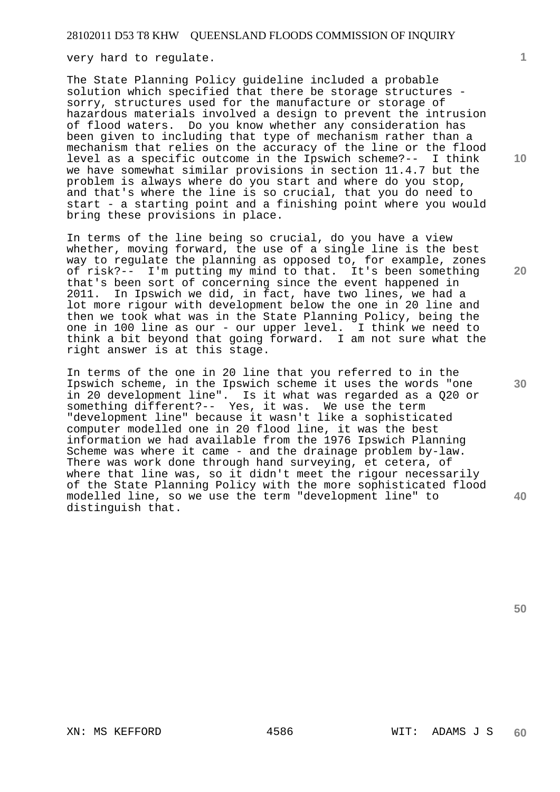very hard to regulate.

The State Planning Policy guideline included a probable solution which specified that there be storage structures sorry, structures used for the manufacture or storage of hazardous materials involved a design to prevent the intrusion of flood waters. Do you know whether any consideration has been given to including that type of mechanism rather than a mechanism that relies on the accuracy of the line or the flood level as a specific outcome in the Ipswich scheme?-- I think we have somewhat similar provisions in section 11.4.7 but the problem is always where do you start and where do you stop, and that's where the line is so crucial, that you do need to start - a starting point and a finishing point where you would bring these provisions in place.

In terms of the line being so crucial, do you have a view whether, moving forward, the use of a single line is the best way to regulate the planning as opposed to, for example, zones of risk?-- I'm putting my mind to that. It's been something that's been sort of concerning since the event happened in 2011. In Ipswich we did, in fact, have two lines, we had a lot more rigour with development below the one in 20 line and then we took what was in the State Planning Policy, being the one in 100 line as our - our upper level. I think we need to think a bit beyond that going forward. I am not sure what the right answer is at this stage.

In terms of the one in 20 line that you referred to in the Ipswich scheme, in the Ipswich scheme it uses the words "one in 20 development line". Is it what was regarded as a Q20 or something different?-- Yes, it was. We use the term "development line" because it wasn't like a sophisticated computer modelled one in 20 flood line, it was the best information we had available from the 1976 Ipswich Planning Scheme was where it came - and the drainage problem by-law. There was work done through hand surveying, et cetera, of where that line was, so it didn't meet the rigour necessarily of the State Planning Policy with the more sophisticated flood modelled line, so we use the term "development line" to distinguish that.

**20** 

**10** 

**1**

**30** 

**50**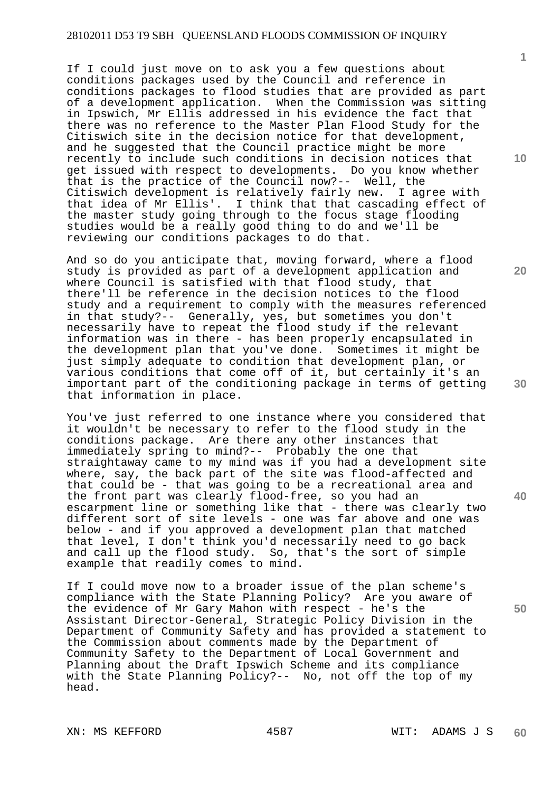If I could just move on to ask you a few questions about conditions packages used by the Council and reference in conditions packages to flood studies that are provided as part of a development application. When the Commission was sitting in Ipswich, Mr Ellis addressed in his evidence the fact that there was no reference to the Master Plan Flood Study for the Citiswich site in the decision notice for that development, and he suggested that the Council practice might be more recently to include such conditions in decision notices that get issued with respect to developments. Do you know whether that is the practice of the Council now?-- Well, the Citiswich development is relatively fairly new. I agree with that idea of Mr Ellis'. I think that that cascading effect of the master study going through to the focus stage flooding studies would be a really good thing to do and we'll be reviewing our conditions packages to do that.

And so do you anticipate that, moving forward, where a flood study is provided as part of a development application and where Council is satisfied with that flood study, that there'll be reference in the decision notices to the flood study and a requirement to comply with the measures referenced in that study?-- Generally, yes, but sometimes you don't necessarily have to repeat the flood study if the relevant information was in there - has been properly encapsulated in the development plan that you've done. Sometimes it might be just simply adequate to condition that development plan, or various conditions that come off of it, but certainly it's an important part of the conditioning package in terms of getting that information in place.

You've just referred to one instance where you considered that it wouldn't be necessary to refer to the flood study in the conditions package. Are there any other instances that immediately spring to mind?-- Probably the one that straightaway came to my mind was if you had a development site where, say, the back part of the site was flood-affected and that could be - that was going to be a recreational area and the front part was clearly flood-free, so you had an escarpment line or something like that - there was clearly two different sort of site levels - one was far above and one was below - and if you approved a development plan that matched that level, I don't think you'd necessarily need to go back and call up the flood study. So, that's the sort of simple example that readily comes to mind.

If I could move now to a broader issue of the plan scheme's compliance with the State Planning Policy? Are you aware of the evidence of Mr Gary Mahon with respect - he's the Assistant Director-General, Strategic Policy Division in the Department of Community Safety and has provided a statement to the Commission about comments made by the Department of Community Safety to the Department of Local Government and Planning about the Draft Ipswich Scheme and its compliance with the State Planning Policy?-- No, not off the top of my head.

**10** 

**1**

**20** 



**40**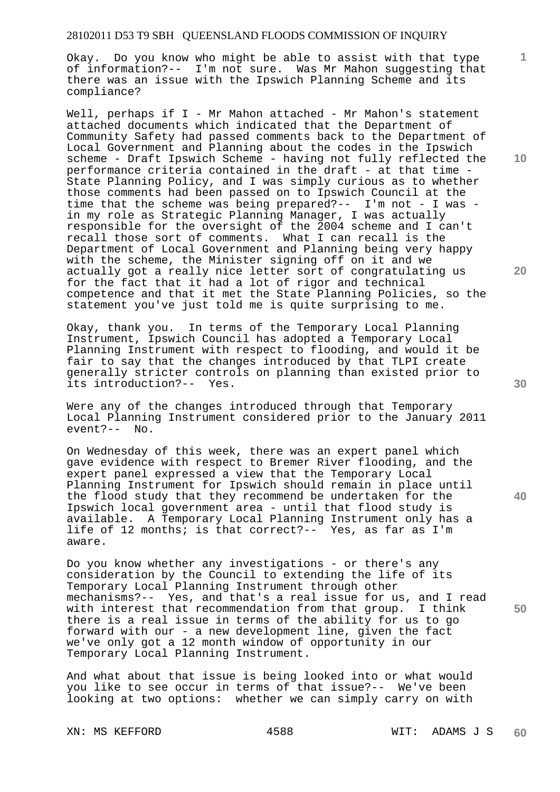Okay. Do you know who might be able to assist with that type of information?-- I'm not sure. Was Mr Mahon suggesting that there was an issue with the Ipswich Planning Scheme and its compliance?

Well, perhaps if I - Mr Mahon attached - Mr Mahon's statement attached documents which indicated that the Department of Community Safety had passed comments back to the Department of Local Government and Planning about the codes in the Ipswich scheme - Draft Ipswich Scheme - having not fully reflected the performance criteria contained in the draft - at that time - State Planning Policy, and I was simply curious as to whether those comments had been passed on to Ipswich Council at the time that the scheme was being prepared?-- I'm not - I was in my role as Strategic Planning Manager, I was actually responsible for the oversight of the 2004 scheme and I can't recall those sort of comments. What I can recall is the Department of Local Government and Planning being very happy with the scheme, the Minister signing off on it and we actually got a really nice letter sort of congratulating us for the fact that it had a lot of rigor and technical competence and that it met the State Planning Policies, so the statement you've just told me is quite surprising to me.

Okay, thank you. In terms of the Temporary Local Planning Instrument, Ipswich Council has adopted a Temporary Local Planning Instrument with respect to flooding, and would it be fair to say that the changes introduced by that TLPI create generally stricter controls on planning than existed prior to its introduction?-- Yes.

Were any of the changes introduced through that Temporary Local Planning Instrument considered prior to the January 2011 event?-- No.

On Wednesday of this week, there was an expert panel which gave evidence with respect to Bremer River flooding, and the expert panel expressed a view that the Temporary Local Planning Instrument for Ipswich should remain in place until the flood study that they recommend be undertaken for the Ipswich local government area - until that flood study is available. A Temporary Local Planning Instrument only has a life of 12 months; is that correct?-- Yes, as far as I'm aware.

Do you know whether any investigations - or there's any consideration by the Council to extending the life of its Temporary Local Planning Instrument through other mechanisms?-- Yes, and that's a real issue for us, and I read with interest that recommendation from that group. I think there is a real issue in terms of the ability for us to go forward with our - a new development line, given the fact we've only got a 12 month window of opportunity in our Temporary Local Planning Instrument.

And what about that issue is being looked into or what would you like to see occur in terms of that issue?-- We've been looking at two options: whether we can simply carry on with

**10** 

**1**

**20** 

**30** 

**40**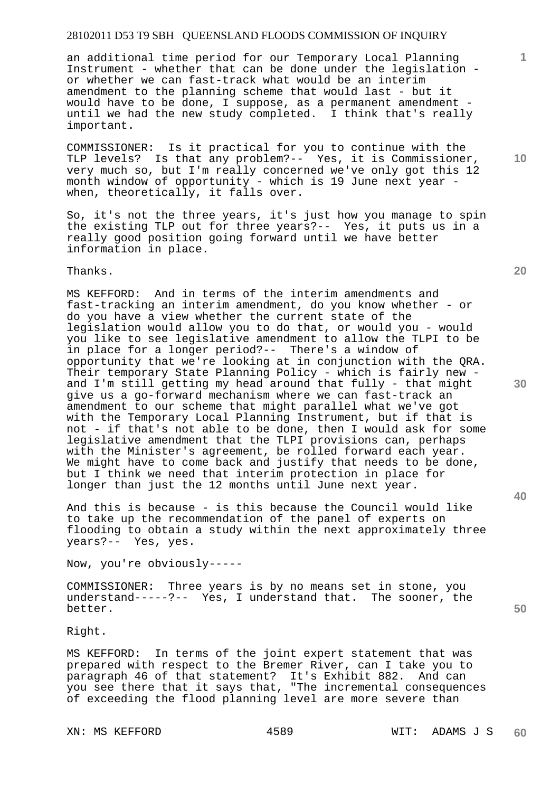an additional time period for our Temporary Local Planning Instrument - whether that can be done under the legislation or whether we can fast-track what would be an interim amendment to the planning scheme that would last - but it would have to be done, I suppose, as a permanent amendment until we had the new study completed. I think that's really important.

COMMISSIONER: Is it practical for you to continue with the TLP levels? Is that any problem?-- Yes, it is Commissioner, very much so, but I'm really concerned we've only got this 12 month window of opportunity - which is 19 June next year when, theoretically, it falls over.

So, it's not the three years, it's just how you manage to spin the existing TLP out for three years?-- Yes, it puts us in a really good position going forward until we have better information in place.

Thanks.

MS KEFFORD: And in terms of the interim amendments and fast-tracking an interim amendment, do you know whether - or do you have a view whether the current state of the legislation would allow you to do that, or would you - would you like to see legislative amendment to allow the TLPI to be in place for a longer period?-- There's a window of opportunity that we're looking at in conjunction with the QRA. Their temporary State Planning Policy - which is fairly new and I'm still getting my head around that fully - that might give us a go-forward mechanism where we can fast-track an amendment to our scheme that might parallel what we've got with the Temporary Local Planning Instrument, but if that is not - if that's not able to be done, then I would ask for some legislative amendment that the TLPI provisions can, perhaps with the Minister's agreement, be rolled forward each year. We might have to come back and justify that needs to be done, but I think we need that interim protection in place for longer than just the 12 months until June next year.

And this is because - is this because the Council would like to take up the recommendation of the panel of experts on flooding to obtain a study within the next approximately three years?-- Yes, yes.

Now, you're obviously-----

COMMISSIONER: Three years is by no means set in stone, you understand-----?-- Yes, I understand that. The sooner, the better.

Right.

MS KEFFORD: In terms of the joint expert statement that was prepared with respect to the Bremer River, can I take you to paragraph 46 of that statement? It's Exhibit 882. And can you see there that it says that, "The incremental consequences of exceeding the flood planning level are more severe than

**20** 

**10** 

**1**

**40** 

**30**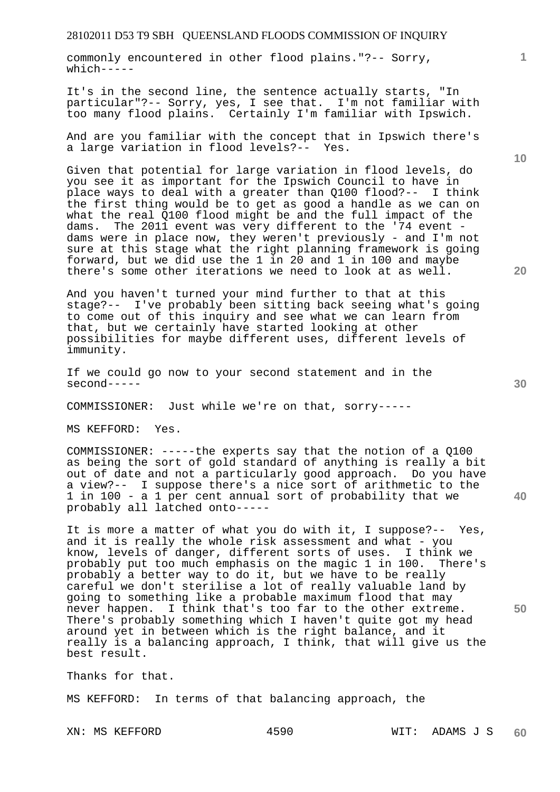commonly encountered in other flood plains."?-- Sorry,  $which---$ 

It's in the second line, the sentence actually starts, "In particular"?-- Sorry, yes, I see that. I'm not familiar with too many flood plains. Certainly I'm familiar with Ipswich.

And are you familiar with the concept that in Ipswich there's a large variation in flood levels?-- Yes.

Given that potential for large variation in flood levels, do you see it as important for the Ipswich Council to have in place ways to deal with a greater than Q100 flood?-- I think the first thing would be to get as good a handle as we can on what the real Q100 flood might be and the full impact of the dams. The 2011 event was very different to the '74 event dams were in place now, they weren't previously - and I'm not sure at this stage what the right planning framework is going forward, but we did use the 1 in 20 and 1 in 100 and maybe there's some other iterations we need to look at as well.

And you haven't turned your mind further to that at this stage?-- I've probably been sitting back seeing what's going to come out of this inquiry and see what we can learn from that, but we certainly have started looking at other possibilities for maybe different uses, different levels of immunity.

If we could go now to your second statement and in the second-----

COMMISSIONER: Just while we're on that, sorry-----

MS KEFFORD: Yes.

COMMISSIONER: -----the experts say that the notion of a Q100 as being the sort of gold standard of anything is really a bit out of date and not a particularly good approach. Do you have a view?-- I suppose there's a nice sort of arithmetic to the 1 in 100 - a 1 per cent annual sort of probability that we probably all latched onto-----

It is more a matter of what you do with it, I suppose?-- Yes, and it is really the whole risk assessment and what - you know, levels of danger, different sorts of uses. I think we probably put too much emphasis on the magic 1 in 100. There's probably a better way to do it, but we have to be really careful we don't sterilise a lot of really valuable land by going to something like a probable maximum flood that may never happen. I think that's too far to the other extreme. There's probably something which I haven't quite got my head around yet in between which is the right balance, and it really is a balancing approach, I think, that will give us the best result.

Thanks for that.

MS KEFFORD: In terms of that balancing approach, the

**10** 

**1**

**20** 

**30**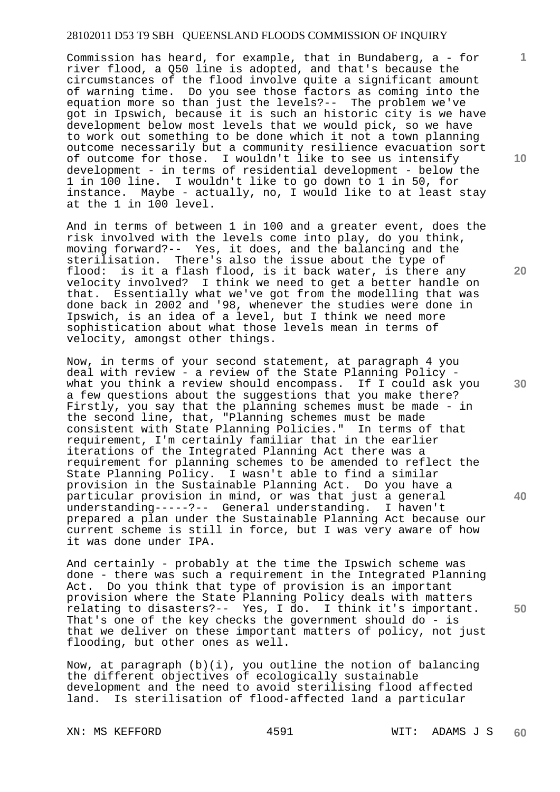Commission has heard, for example, that in Bundaberg, a - for river flood, a Q50 line is adopted, and that's because the circumstances of the flood involve quite a significant amount of warning time. Do you see those factors as coming into the equation more so than just the levels?-- The problem we've got in Ipswich, because it is such an historic city is we have development below most levels that we would pick, so we have to work out something to be done which it not a town planning outcome necessarily but a community resilience evacuation sort of outcome for those. I wouldn't like to see us intensify development - in terms of residential development - below the 1 in 100 line. I wouldn't like to go down to 1 in 50, for instance. Maybe - actually, no, I would like to at least stay at the 1 in 100 level.

And in terms of between 1 in 100 and a greater event, does the risk involved with the levels come into play, do you think, moving forward?-- Yes, it does, and the balancing and the sterilisation. There's also the issue about the type of flood: is it a flash flood, is it back water, is there any velocity involved? I think we need to get a better handle on that. Essentially what we've got from the modelling that was done back in 2002 and '98, whenever the studies were done in Ipswich, is an idea of a level, but I think we need more sophistication about what those levels mean in terms of velocity, amongst other things.

Now, in terms of your second statement, at paragraph 4 you deal with review - a review of the State Planning Policy what you think a review should encompass. If I could ask you a few questions about the suggestions that you make there? Firstly, you say that the planning schemes must be made - in the second line, that, "Planning schemes must be made consistent with State Planning Policies." In terms of that requirement, I'm certainly familiar that in the earlier iterations of the Integrated Planning Act there was a requirement for planning schemes to be amended to reflect the State Planning Policy. I wasn't able to find a similar provision in the Sustainable Planning Act. Do you have a particular provision in mind, or was that just a general understanding-----?-- General understanding. I haven't prepared a plan under the Sustainable Planning Act because our current scheme is still in force, but I was very aware of how it was done under IPA.

And certainly - probably at the time the Ipswich scheme was done - there was such a requirement in the Integrated Planning Act. Do you think that type of provision is an important provision where the State Planning Policy deals with matters relating to disasters?-- Yes, I do. I think it's important. That's one of the key checks the government should do - is that we deliver on these important matters of policy, not just flooding, but other ones as well.

Now, at paragraph (b)(i), you outline the notion of balancing the different objectives of ecologically sustainable development and the need to avoid sterilising flood affected land. Is sterilisation of flood-affected land a particular

**10** 

**1**

**20** 

**30** 

**40**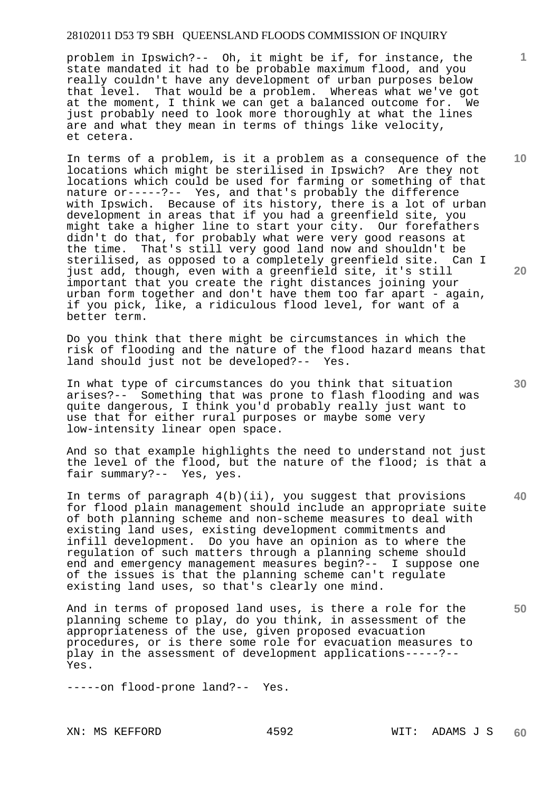problem in Ipswich?-- Oh, it might be if, for instance, the state mandated it had to be probable maximum flood, and you really couldn't have any development of urban purposes below that level. That would be a problem. Whereas what we've got at the moment, I think we can get a balanced outcome for. We just probably need to look more thoroughly at what the lines are and what they mean in terms of things like velocity, et cetera.

In terms of a problem, is it a problem as a consequence of the locations which might be sterilised in Ipswich? Are they not locations which could be used for farming or something of that nature or-----?-- Yes, and that's probably the difference with Ipswich. Because of its history, there is a lot of urban development in areas that if you had a greenfield site, you might take a higher line to start your city. Our forefathers didn't do that, for probably what were very good reasons at the time. That's still very good land now and shouldn't be sterilised, as opposed to a completely greenfield site. Can I just add, though, even with a greenfield site, it's still important that you create the right distances joining your urban form together and don't have them too far apart - again, if you pick, like, a ridiculous flood level, for want of a better term.

Do you think that there might be circumstances in which the risk of flooding and the nature of the flood hazard means that land should just not be developed?-- Yes.

In what type of circumstances do you think that situation arises?-- Something that was prone to flash flooding and was quite dangerous, I think you'd probably really just want to use that for either rural purposes or maybe some very low-intensity linear open space.

And so that example highlights the need to understand not just the level of the flood, but the nature of the flood; is that a fair summary?-- Yes, yes.

In terms of paragraph 4(b)(ii), you suggest that provisions for flood plain management should include an appropriate suite of both planning scheme and non-scheme measures to deal with existing land uses, existing development commitments and infill development. Do you have an opinion as to where the regulation of such matters through a planning scheme should end and emergency management measures begin?-- I suppose one of the issues is that the planning scheme can't regulate existing land uses, so that's clearly one mind.

And in terms of proposed land uses, is there a role for the planning scheme to play, do you think, in assessment of the appropriateness of the use, given proposed evacuation procedures, or is there some role for evacuation measures to play in the assessment of development applications-----?-- Yes.

-----on flood-prone land?-- Yes.

**20** 

**10** 

**1**

**40** 

**50**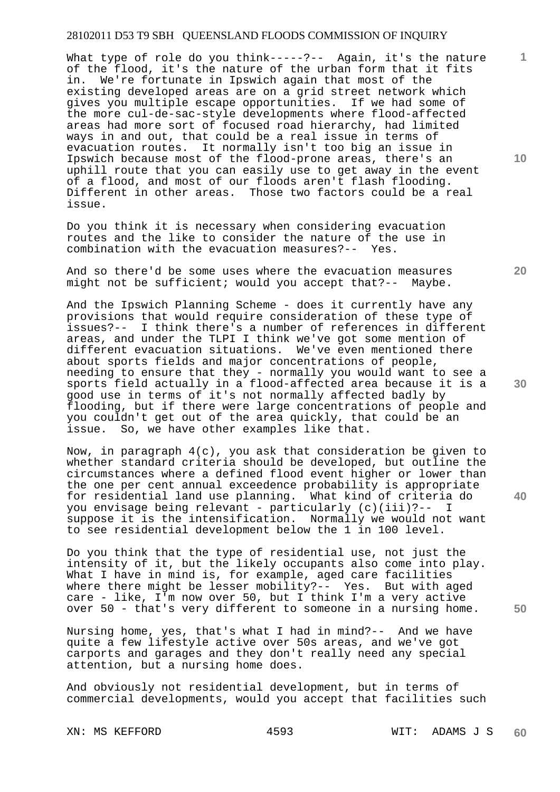What type of role do you think-----?-- Again, it's the nature of the flood, it's the nature of the urban form that it fits in. We're fortunate in Ipswich again that most of the existing developed areas are on a grid street network which gives you multiple escape opportunities. If we had some of the more cul-de-sac-style developments where flood-affected areas had more sort of focused road hierarchy, had limited ways in and out, that could be a real issue in terms of evacuation routes. It normally isn't too big an issue in Ipswich because most of the flood-prone areas, there's an uphill route that you can easily use to get away in the event of a flood, and most of our floods aren't flash flooding. Different in other areas. Those two factors could be a real issue.

Do you think it is necessary when considering evacuation routes and the like to consider the nature of the use in combination with the evacuation measures?-- Yes.

And so there'd be some uses where the evacuation measures might not be sufficient; would you accept that?-- Maybe.

And the Ipswich Planning Scheme - does it currently have any provisions that would require consideration of these type of issues?-- I think there's a number of references in different areas, and under the TLPI I think we've got some mention of different evacuation situations. We've even mentioned there about sports fields and major concentrations of people, needing to ensure that they - normally you would want to see a sports field actually in a flood-affected area because it is a good use in terms of it's not normally affected badly by flooding, but if there were large concentrations of people and you couldn't get out of the area quickly, that could be an issue. So, we have other examples like that.

Now, in paragraph 4(c), you ask that consideration be given to whether standard criteria should be developed, but outline the circumstances where a defined flood event higher or lower than the one per cent annual exceedence probability is appropriate for residential land use planning. What kind of criteria do you envisage being relevant - particularly (c)(iii)?-- I suppose it is the intensification. Normally we would not want to see residential development below the 1 in 100 level.

Do you think that the type of residential use, not just the intensity of it, but the likely occupants also come into play. What I have in mind is, for example, aged care facilities where there might be lesser mobility?-- Yes. But with aged care - like, I'm now over 50, but I think I'm a very active over 50 - that's very different to someone in a nursing home.

Nursing home, yes, that's what I had in mind?-- And we have quite a few lifestyle active over 50s areas, and we've got carports and garages and they don't really need any special attention, but a nursing home does.

And obviously not residential development, but in terms of commercial developments, would you accept that facilities such

**10** 

**1**

**20** 

**30** 

**50**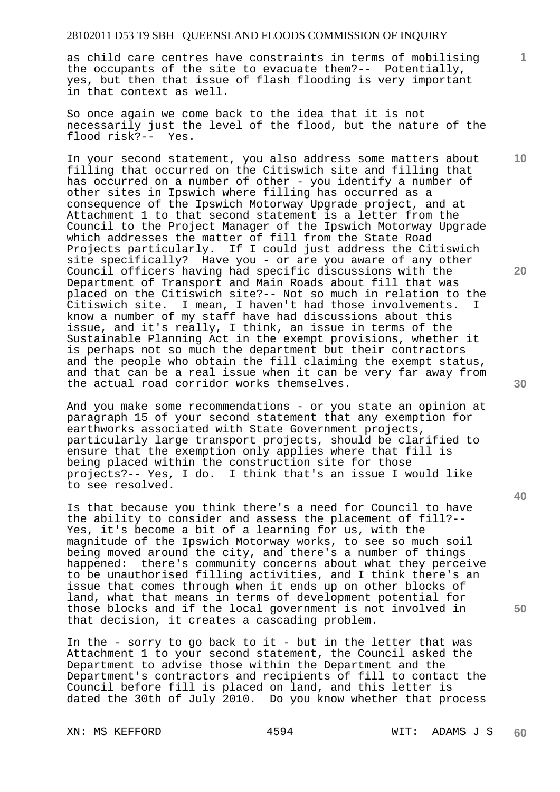as child care centres have constraints in terms of mobilising the occupants of the site to evacuate them?-- Potentially, yes, but then that issue of flash flooding is very important in that context as well.

So once again we come back to the idea that it is not necessarily just the level of the flood, but the nature of the flood risk?-- Yes.

In your second statement, you also address some matters about filling that occurred on the Citiswich site and filling that has occurred on a number of other - you identify a number of other sites in Ipswich where filling has occurred as a consequence of the Ipswich Motorway Upgrade project, and at Attachment 1 to that second statement is a letter from the Council to the Project Manager of the Ipswich Motorway Upgrade which addresses the matter of fill from the State Road Projects particularly. If I could just address the Citiswich site specifically? Have you - or are you aware of any other Council officers having had specific discussions with the Department of Transport and Main Roads about fill that was placed on the Citiswich site?-- Not so much in relation to the Citiswich site. I mean, I haven't had those involvements. I know a number of my staff have had discussions about this issue, and it's really, I think, an issue in terms of the Sustainable Planning Act in the exempt provisions, whether it is perhaps not so much the department but their contractors and the people who obtain the fill claiming the exempt status, and that can be a real issue when it can be very far away from the actual road corridor works themselves.

And you make some recommendations - or you state an opinion at paragraph 15 of your second statement that any exemption for earthworks associated with State Government projects, particularly large transport projects, should be clarified to ensure that the exemption only applies where that fill is being placed within the construction site for those projects?-- Yes, I do. I think that's an issue I would like to see resolved.

Is that because you think there's a need for Council to have the ability to consider and assess the placement of fill?-- Yes, it's become a bit of a learning for us, with the magnitude of the Ipswich Motorway works, to see so much soil being moved around the city, and there's a number of things happened: there's community concerns about what they perceive to be unauthorised filling activities, and I think there's an issue that comes through when it ends up on other blocks of land, what that means in terms of development potential for those blocks and if the local government is not involved in that decision, it creates a cascading problem.

In the - sorry to go back to it - but in the letter that was Attachment 1 to your second statement, the Council asked the Department to advise those within the Department and the Department's contractors and recipients of fill to contact the Council before fill is placed on land, and this letter is dated the 30th of July 2010. Do you know whether that process

**20** 

**10** 

**1**



**40**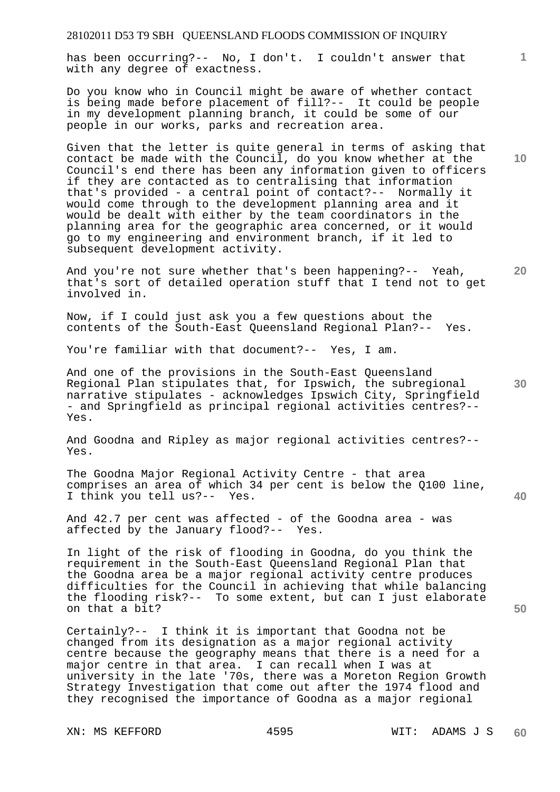has been occurring?-- No, I don't. I couldn't answer that with any degree of exactness.

Do you know who in Council might be aware of whether contact is being made before placement of fill?-- It could be people in my development planning branch, it could be some of our people in our works, parks and recreation area.

Given that the letter is quite general in terms of asking that contact be made with the Council, do you know whether at the Council's end there has been any information given to officers if they are contacted as to centralising that information that's provided - a central point of contact?-- Normally it would come through to the development planning area and it would be dealt with either by the team coordinators in the planning area for the geographic area concerned, or it would go to my engineering and environment branch, if it led to subsequent development activity.

And you're not sure whether that's been happening?-- Yeah, that's sort of detailed operation stuff that I tend not to get involved in.

Now, if I could just ask you a few questions about the contents of the South-East Queensland Regional Plan?-- Yes.

You're familiar with that document?-- Yes, I am.

And one of the provisions in the South-East Queensland Regional Plan stipulates that, for Ipswich, the subregional narrative stipulates - acknowledges Ipswich City, Springfield - and Springfield as principal regional activities centres?-- Yes.

And Goodna and Ripley as major regional activities centres?-- Yes.

The Goodna Major Regional Activity Centre - that area comprises an area of which 34 per cent is below the Q100 line, I think you tell us?-- Yes.

And 42.7 per cent was affected - of the Goodna area - was affected by the January flood?-- Yes.

In light of the risk of flooding in Goodna, do you think the requirement in the South-East Queensland Regional Plan that the Goodna area be a major regional activity centre produces difficulties for the Council in achieving that while balancing the flooding risk?-- To some extent, but can I just elaborate on that a bit?

Certainly?-- I think it is important that Goodna not be changed from its designation as a major regional activity centre because the geography means that there is a need for a major centre in that area. I can recall when I was at university in the late '70s, there was a Moreton Region Growth Strategy Investigation that come out after the 1974 flood and they recognised the importance of Goodna as a major regional

**10** 

**1**

**20** 

**50**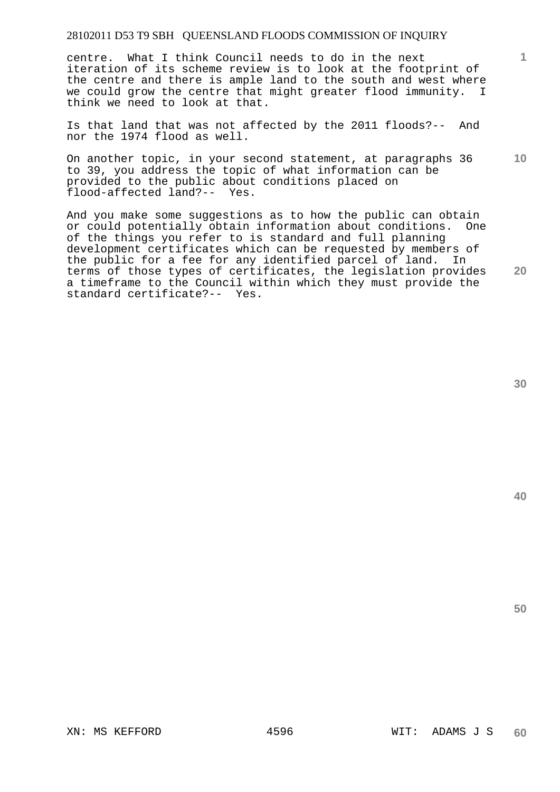centre. What I think Council needs to do in the next iteration of its scheme review is to look at the footprint of the centre and there is ample land to the south and west where we could grow the centre that might greater flood immunity. I think we need to look at that.

Is that land that was not affected by the 2011 floods?-- And nor the 1974 flood as well.

On another topic, in your second statement, at paragraphs 36 to 39, you address the topic of what information can be provided to the public about conditions placed on flood-affected land?-- Yes.

And you make some suggestions as to how the public can obtain or could potentially obtain information about conditions. One of the things you refer to is standard and full planning development certificates which can be requested by members of the public for a fee for any identified parcel of land. In terms of those types of certificates, the legislation provides a timeframe to the Council within which they must provide the standard certificate?-- Yes.

**30** 

**1**

**10** 

**20**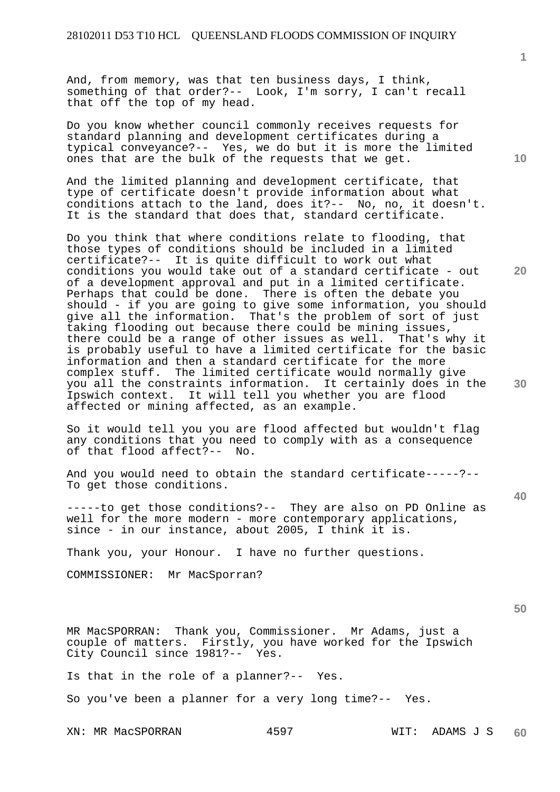And, from memory, was that ten business days, I think, something of that order?-- Look, I'm sorry, I can't recall that off the top of my head.

Do you know whether council commonly receives requests for standard planning and development certificates during a typical conveyance?-- Yes, we do but it is more the limited ones that are the bulk of the requests that we get.

And the limited planning and development certificate, that type of certificate doesn't provide information about what conditions attach to the land, does it?-- No, no, it doesn't. It is the standard that does that, standard certificate.

Do you think that where conditions relate to flooding, that those types of conditions should be included in a limited certificate?-- It is quite difficult to work out what conditions you would take out of a standard certificate - out of a development approval and put in a limited certificate. Perhaps that could be done. There is often the debate you should - if you are going to give some information, you should give all the information. That's the problem of sort of just taking flooding out because there could be mining issues, there could be a range of other issues as well. That's why it is probably useful to have a limited certificate for the basic information and then a standard certificate for the more complex stuff. The limited certificate would normally give you all the constraints information. It certainly does in the Ipswich context. It will tell you whether you are flood affected or mining affected, as an example.

So it would tell you you are flood affected but wouldn't flag any conditions that you need to comply with as a consequence of that flood affect?-- No.

And you would need to obtain the standard certificate-----?-- To get those conditions.

-----to get those conditions?-- They are also on PD Online as well for the more modern - more contemporary applications, since - in our instance, about 2005, I think it is.

Thank you, your Honour. I have no further questions.

COMMISSIONER: Mr MacSporran?

**50** 

MR MacSPORRAN: Thank you, Commissioner. Mr Adams, just a couple of matters. Firstly, you have worked for the Ipswich City Council since 1981?-- Yes.

Is that in the role of a planner?-- Yes.

So you've been a planner for a very long time?-- Yes.

XN: MR MacSPORRAN 4597 WIT: ADAMS J S

**1**

**10** 

**20** 

**30**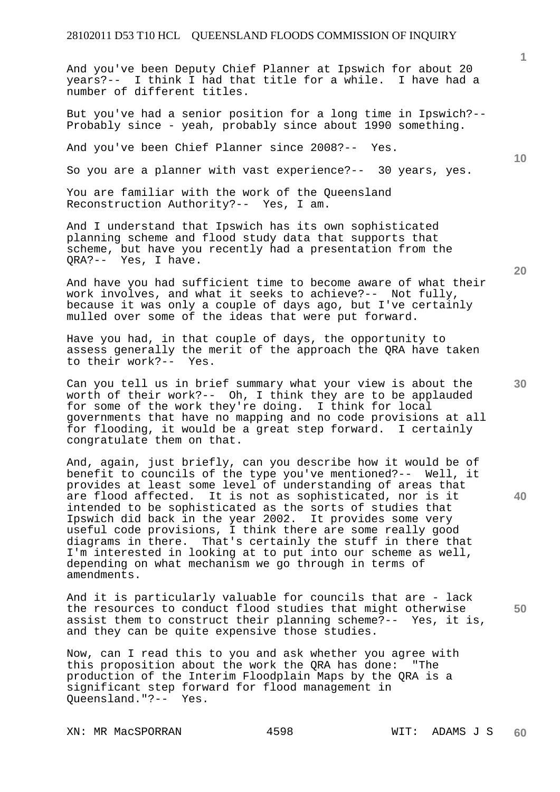And you've been Deputy Chief Planner at Ipswich for about 20 years?-- I think I had that title for a while. I have had a number of different titles.

But you've had a senior position for a long time in Ipswich?-- Probably since - yeah, probably since about 1990 something.

And you've been Chief Planner since 2008?-- Yes.

So you are a planner with vast experience?-- 30 years, yes.

You are familiar with the work of the Queensland Reconstruction Authority?-- Yes, I am.

And I understand that Ipswich has its own sophisticated planning scheme and flood study data that supports that scheme, but have you recently had a presentation from the QRA?-- Yes, I have.

And have you had sufficient time to become aware of what their work involves, and what it seeks to achieve?-- Not fully, because it was only a couple of days ago, but I've certainly mulled over some of the ideas that were put forward.

Have you had, in that couple of days, the opportunity to assess generally the merit of the approach the QRA have taken to their work?-- Yes.

Can you tell us in brief summary what your view is about the worth of their work?-- Oh, I think they are to be applauded for some of the work they're doing. I think for local governments that have no mapping and no code provisions at all for flooding, it would be a great step forward. I certainly congratulate them on that.

And, again, just briefly, can you describe how it would be of benefit to councils of the type you've mentioned?-- Well, it provides at least some level of understanding of areas that are flood affected. It is not as sophisticated, nor is it intended to be sophisticated as the sorts of studies that Ipswich did back in the year 2002. It provides some very useful code provisions, I think there are some really good diagrams in there. That's certainly the stuff in there that I'm interested in looking at to put into our scheme as well, depending on what mechanism we go through in terms of amendments.

And it is particularly valuable for councils that are - lack the resources to conduct flood studies that might otherwise assist them to construct their planning scheme?-- Yes, it is, and they can be quite expensive those studies.

Now, can I read this to you and ask whether you agree with this proposition about the work the QRA has done: "The production of the Interim Floodplain Maps by the QRA is a significant step forward for flood management in Queensland."?-- Yes.

**1**

**10** 

**30** 

**20** 

**40**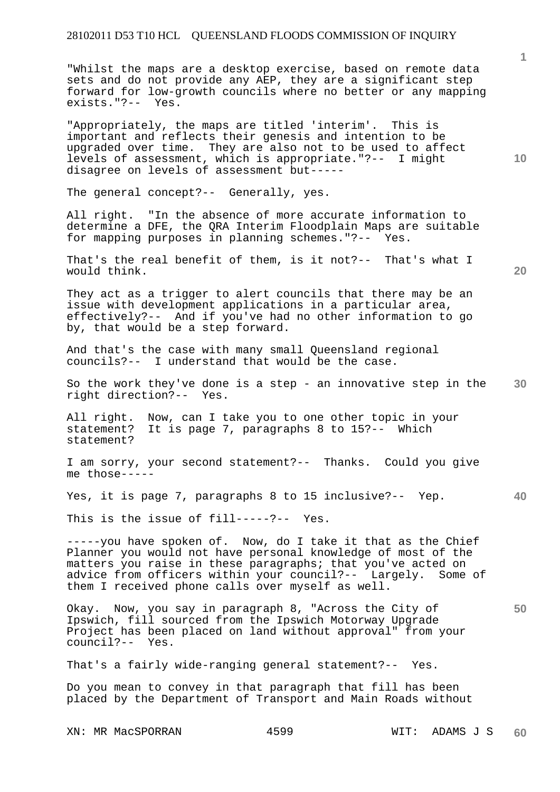"Whilst the maps are a desktop exercise, based on remote data sets and do not provide any AEP, they are a significant step forward for low-growth councils where no better or any mapping exists."?-- Yes.

"Appropriately, the maps are titled 'interim'. This is important and reflects their genesis and intention to be upgraded over time. They are also not to be used to affect levels of assessment, which is appropriate."?-- I might disagree on levels of assessment but-----

The general concept?-- Generally, yes.

All right. "In the absence of more accurate information to determine a DFE, the QRA Interim Floodplain Maps are suitable for mapping purposes in planning schemes."?-- Yes.

That's the real benefit of them, is it not?-- That's what I would think.

**20** 

**50** 

**10** 

They act as a trigger to alert councils that there may be an issue with development applications in a particular area, effectively?-- And if you've had no other information to go by, that would be a step forward.

And that's the case with many small Queensland regional councils?-- I understand that would be the case.

**30**  So the work they've done is a step - an innovative step in the right direction?-- Yes.

All right. Now, can I take you to one other topic in your statement? It is page 7, paragraphs 8 to 15?-- Which statement?

I am sorry, your second statement?-- Thanks. Could you give me those-----

**40**  Yes, it is page 7, paragraphs 8 to 15 inclusive?-- Yep.

This is the issue of fill-----?-- Yes.

-----you have spoken of. Now, do I take it that as the Chief Planner you would not have personal knowledge of most of the matters you raise in these paragraphs; that you've acted on advice from officers within your council?-- Largely. Some of them I received phone calls over myself as well.

Okay. Now, you say in paragraph 8, "Across the City of Ipswich, fill sourced from the Ipswich Motorway Upgrade Project has been placed on land without approval" from your council?-- Yes.

That's a fairly wide-ranging general statement?-- Yes.

Do you mean to convey in that paragraph that fill has been placed by the Department of Transport and Main Roads without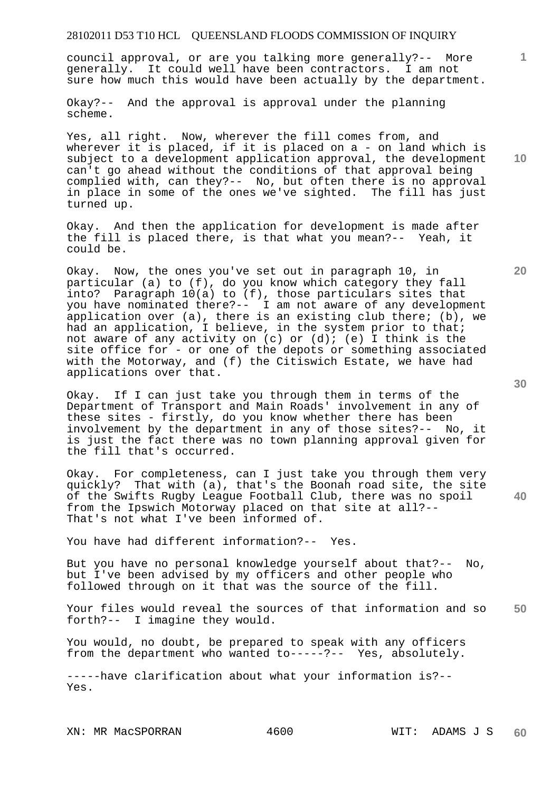council approval, or are you talking more generally?-- More generally. It could well have been contractors. I am not sure how much this would have been actually by the department.

Okay?-- And the approval is approval under the planning scheme.

Yes, all right. Now, wherever the fill comes from, and wherever it is placed, if it is placed on a - on land which is subject to a development application approval, the development can't go ahead without the conditions of that approval being complied with, can they?-- No, but often there is no approval in place in some of the ones we've sighted. The fill has just turned up.

Okay. And then the application for development is made after the fill is placed there, is that what you mean?-- Yeah, it could be.

Okay. Now, the ones you've set out in paragraph 10, in particular (a) to (f), do you know which category they fall into? Paragraph 10(a) to (f), those particulars sites that you have nominated there?-- I am not aware of any development application over (a), there is an existing club there; (b), we had an application, I believe, in the system prior to that; not aware of any activity on  $(c)$  or  $(d)$ ;  $(e)$  I think is the site office for - or one of the depots or something associated with the Motorway, and (f) the Citiswich Estate, we have had applications over that.

Okay. If I can just take you through them in terms of the Department of Transport and Main Roads' involvement in any of these sites - firstly, do you know whether there has been involvement by the department in any of those sites?-- No, it is just the fact there was no town planning approval given for the fill that's occurred.

Okay. For completeness, can I just take you through them very quickly? That with (a), that's the Boonah road site, the site of the Swifts Rugby League Football Club, there was no spoil from the Ipswich Motorway placed on that site at all?-- That's not what I've been informed of.

You have had different information?-- Yes.

But you have no personal knowledge yourself about that?-- No, but I've been advised by my officers and other people who followed through on it that was the source of the fill.

**50**  Your files would reveal the sources of that information and so forth?-- I imagine they would.

You would, no doubt, be prepared to speak with any officers from the department who wanted to-----?-- Yes, absolutely.

-----have clarification about what your information is?-- Yes.

XN: MR MacSPORRAN 4600 WIT: ADAMS J S

**10** 

**20** 

**1**

**30**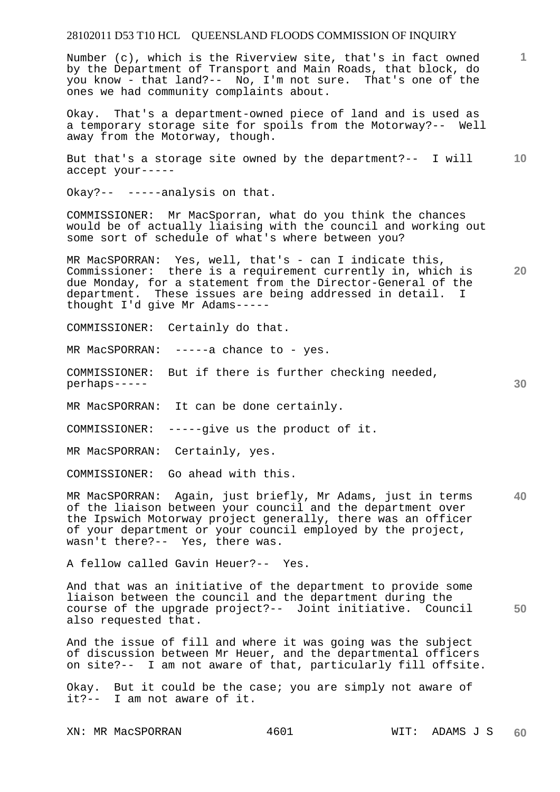Number (c), which is the Riverview site, that's in fact owned by the Department of Transport and Main Roads, that block, do you know - that land?-- No, I'm not sure. That's one of the ones we had community complaints about.

Okay. That's a department-owned piece of land and is used as a temporary storage site for spoils from the Motorway?-- Well away from the Motorway, though.

**10**  But that's a storage site owned by the department?-- I will accept your-----

Okay?-- -----analysis on that.

COMMISSIONER: Mr MacSporran, what do you think the chances would be of actually liaising with the council and working out some sort of schedule of what's where between you?

**20**  MR MacSPORRAN: Yes, well, that's - can I indicate this, Commissioner: there is a requirement currently in, which is due Monday, for a statement from the Director-General of the department. These issues are being addressed in detail. I thought I'd give Mr Adams-----

COMMISSIONER: Certainly do that.

MR MacSPORRAN: -----a chance to - yes.

COMMISSIONER: But if there is further checking needed, perhaps-----

MR MacSPORRAN: It can be done certainly.

COMMISSIONER: -----give us the product of it.

MR MacSPORRAN: Certainly, yes.

COMMISSIONER: Go ahead with this.

**40**  MR MacSPORRAN: Again, just briefly, Mr Adams, just in terms of the liaison between your council and the department over the Ipswich Motorway project generally, there was an officer of your department or your council employed by the project, wasn't there?-- Yes, there was.

A fellow called Gavin Heuer?-- Yes.

**50**  And that was an initiative of the department to provide some liaison between the council and the department during the course of the upgrade project?-- Joint initiative. Council also requested that.

And the issue of fill and where it was going was the subject of discussion between Mr Heuer, and the departmental officers on site?-- I am not aware of that, particularly fill offsite.

Okay. But it could be the case; you are simply not aware of it?-- I am not aware of it.

**1**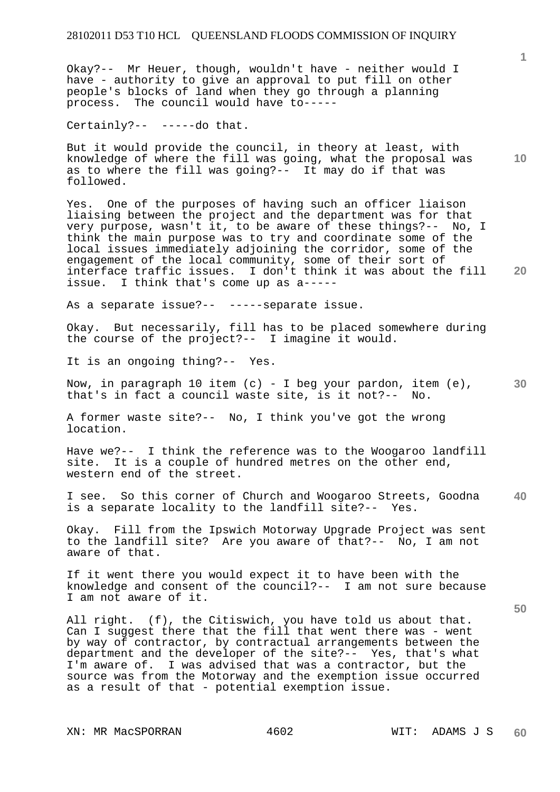Okay?-- Mr Heuer, though, wouldn't have - neither would I have - authority to give an approval to put fill on other people's blocks of land when they go through a planning process. The council would have to-----

Certainly?-- -----do that.

But it would provide the council, in theory at least, with knowledge of where the fill was going, what the proposal was as to where the fill was going?-- It may do if that was followed.

Yes. One of the purposes of having such an officer liaison liaising between the project and the department was for that very purpose, wasn't it, to be aware of these things?-- No, I think the main purpose was to try and coordinate some of the local issues immediately adjoining the corridor, some of the engagement of the local community, some of their sort of<br>interface traffic issues. I don't think it was about the I don't think it was about the fill issue. I think that's come up as a-----

As a separate issue?-- -----separate issue.

Okay. But necessarily, fill has to be placed somewhere during the course of the project?-- I imagine it would.

It is an ongoing thing?-- Yes.

**30**  Now, in paragraph 10 item  $(c)$  - I beg your pardon, item  $(e)$ , that's in fact a council waste site, is it not?-- No.

A former waste site?-- No, I think you've got the wrong location.

Have we?-- I think the reference was to the Woogaroo landfill site. It is a couple of hundred metres on the other end, western end of the street.

**40**  I see. So this corner of Church and Woogaroo Streets, Goodna is a separate locality to the landfill site?-- Yes.

Okay. Fill from the Ipswich Motorway Upgrade Project was sent to the landfill site? Are you aware of that?-- No, I am not aware of that.

If it went there you would expect it to have been with the knowledge and consent of the council?-- I am not sure because I am not aware of it.

All right. (f), the Citiswich, you have told us about that. Can I suggest there that the fill that went there was - went by way of contractor, by contractual arrangements between the department and the developer of the site?-- Yes, that's what<br>I'm aware of. I was advised that was a contractor, but the I was advised that was a contractor, but the source was from the Motorway and the exemption issue occurred as a result of that - potential exemption issue.

**10** 

**20**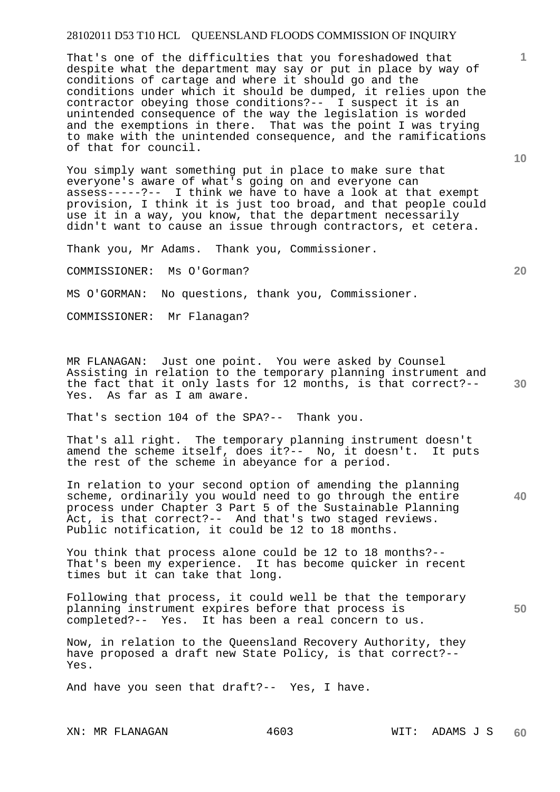That's one of the difficulties that you foreshadowed that despite what the department may say or put in place by way of conditions of cartage and where it should go and the conditions under which it should be dumped, it relies upon the contractor obeying those conditions?-- I suspect it is an unintended consequence of the way the legislation is worded and the exemptions in there. That was the point I was trying to make with the unintended consequence, and the ramifications of that for council.

You simply want something put in place to make sure that everyone's aware of what's going on and everyone can assess-----?-- I think we have to have a look at that exempt provision, I think it is just too broad, and that people could use it in a way, you know, that the department necessarily didn't want to cause an issue through contractors, et cetera.

Thank you, Mr Adams. Thank you, Commissioner.

COMMISSIONER: Ms O'Gorman?

MS O'GORMAN: No questions, thank you, Commissioner.

COMMISSIONER: Mr Flanagan?

MR FLANAGAN: Just one point. You were asked by Counsel Assisting in relation to the temporary planning instrument and the fact that it only lasts for 12 months, is that correct?-- Yes. As far as I am aware.

That's section 104 of the SPA?-- Thank you.

That's all right. The temporary planning instrument doesn't amend the scheme itself, does it?-- No, it doesn't. It puts the rest of the scheme in abeyance for a period.

In relation to your second option of amending the planning scheme, ordinarily you would need to go through the entire process under Chapter 3 Part 5 of the Sustainable Planning Act, is that correct?-- And that's two staged reviews. Public notification, it could be 12 to 18 months.

You think that process alone could be 12 to 18 months?-- That's been my experience. It has become quicker in recent times but it can take that long.

**50**  Following that process, it could well be that the temporary planning instrument expires before that process is completed?-- Yes. It has been a real concern to us.

Now, in relation to the Queensland Recovery Authority, they have proposed a draft new State Policy, is that correct?-- Yes.

And have you seen that draft?-- Yes, I have.

**10** 

**20** 

**1**

**40**